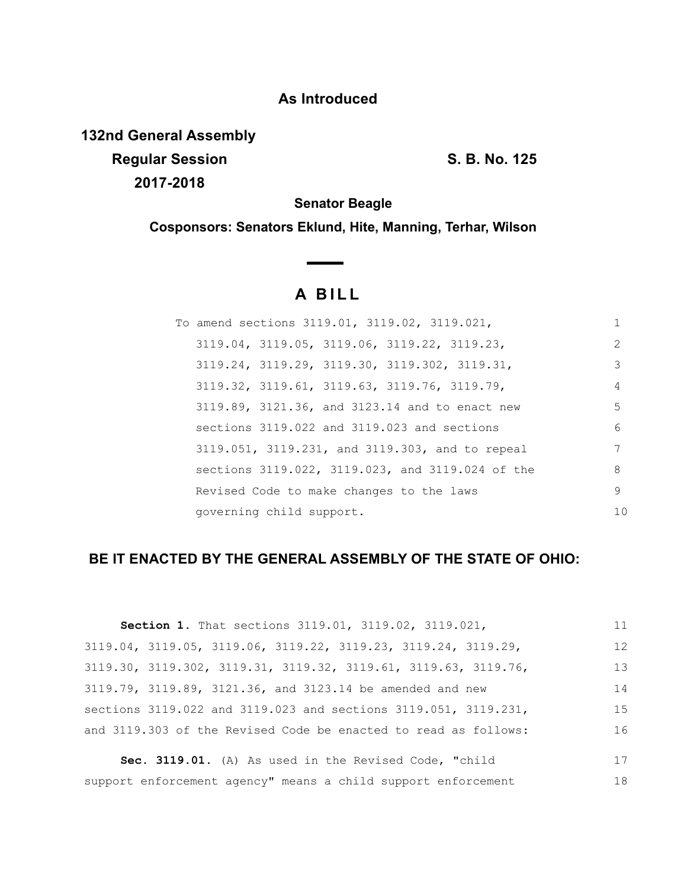## **As Introduced**

**132nd General Assembly Regular Session S. B. No. 125 2017-2018**

**Senator Beagle**

**Cosponsors: Senators Eklund, Hite, Manning, Terhar, Wilson**

## **A BILL**

|                          | To amend sections 3119.01, 3119.02, 3119.021,               | 1              |
|--------------------------|-------------------------------------------------------------|----------------|
|                          | $3119.04$ , $3119.05$ , $3119.06$ , $3119.22$ , $3119.23$   | 2              |
|                          | 3119.24, 3119.29, 3119.30, 3119.302, 3119.31,               | 3              |
|                          | $3119.32$ , $3119.61$ , $3119.63$ , $3119.76$ , $3119.79$ , | 4              |
|                          | 3119.89, 3121.36, and 3123.14 and to enact new              | 5              |
|                          | sections 3119.022 and 3119.023 and sections                 | 6              |
|                          | 3119.051, 3119.231, and 3119.303, and to repeal             | 7              |
|                          | sections 3119.022, 3119.023, and 3119.024 of the            | 8              |
|                          | Revised Code to make changes to the laws                    | 9              |
| governing child support. |                                                             | 1 <sub>0</sub> |

## **BE IT ENACTED BY THE GENERAL ASSEMBLY OF THE STATE OF OHIO:**

| Section 1. That sections 3119.01, 3119.02, 3119.021,            | 11 |
|-----------------------------------------------------------------|----|
| 3119.04, 3119.05, 3119.06, 3119.22, 3119.23, 3119.24, 3119.29,  | 12 |
| 3119.30, 3119.302, 3119.31, 3119.32, 3119.61, 3119.63, 3119.76, | 13 |
| 3119.79, 3119.89, 3121.36, and 3123.14 be amended and new       | 14 |
| sections 3119.022 and 3119.023 and sections 3119.051, 3119.231, | 15 |
| and 3119.303 of the Revised Code be enacted to read as follows: | 16 |

**Sec. 3119.01.** (A) As used in the Revised Code, "child support enforcement agency" means a child support enforcement 17 18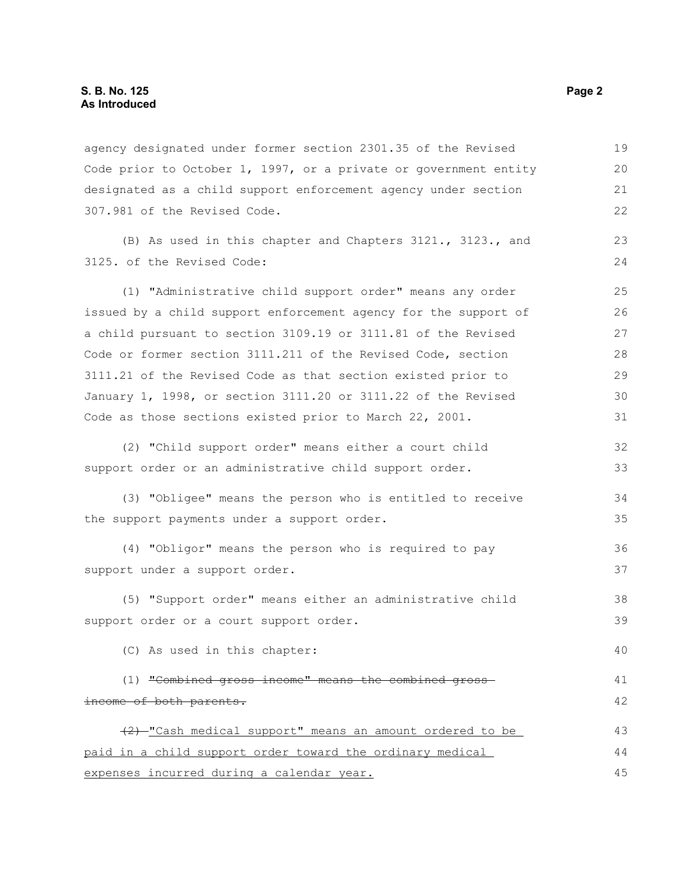agency designated under former section 2301.35 of the Revised Code prior to October 1, 1997, or a private or government entity designated as a child support enforcement agency under section 307.981 of the Revised Code. 19 20 21 22

(B) As used in this chapter and Chapters 3121., 3123., and 3125. of the Revised Code:

(1) "Administrative child support order" means any order issued by a child support enforcement agency for the support of a child pursuant to section 3109.19 or 3111.81 of the Revised Code or former section 3111.211 of the Revised Code, section 3111.21 of the Revised Code as that section existed prior to January 1, 1998, or section 3111.20 or 3111.22 of the Revised Code as those sections existed prior to March 22, 2001. 25 26 27 28 29 30 31

(2) "Child support order" means either a court child support order or an administrative child support order. 32 33

(3) "Obligee" means the person who is entitled to receive the support payments under a support order. 34 35

(4) "Obligor" means the person who is required to pay support under a support order. 36 37

(5) "Support order" means either an administrative child support order or a court support order.

(C) As used in this chapter:

(1) "Combined gross income" means the combined gross income of both parents. 41 42

(2) "Cash medical support" means an amount ordered to be paid in a child support order toward the ordinary medical expenses incurred during a calendar year. 43 44 45

23 24

38 39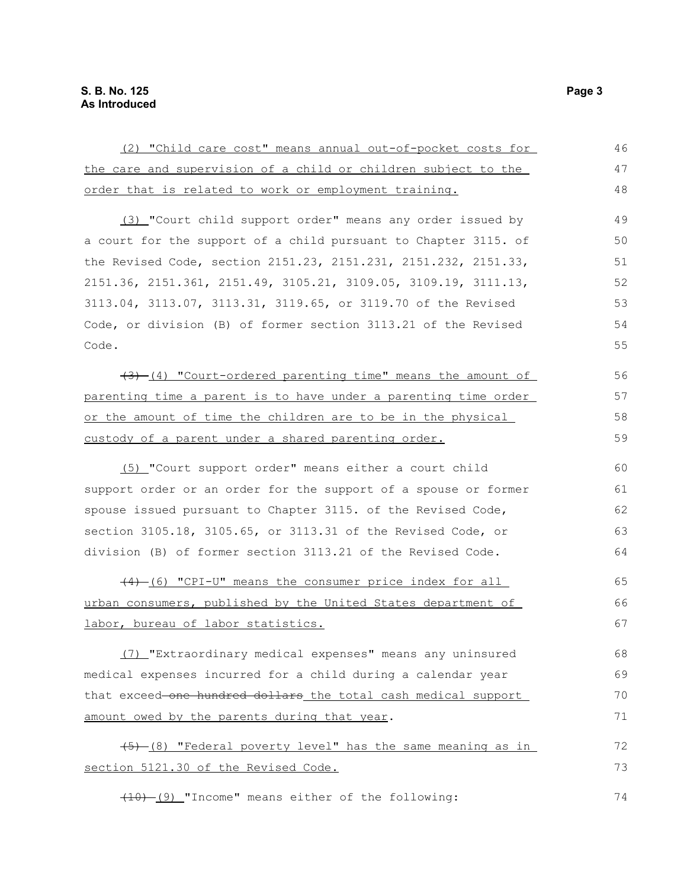| (2) "Child care cost" means annual out-of-pocket costs for      | 46 |
|-----------------------------------------------------------------|----|
| the care and supervision of a child or children subject to the  | 47 |
| order that is related to work or employment training.           | 48 |
| (3) "Court child support order" means any order issued by       | 49 |
| a court for the support of a child pursuant to Chapter 3115. of | 50 |
| the Revised Code, section 2151.23, 2151.231, 2151.232, 2151.33, | 51 |
| 2151.36, 2151.361, 2151.49, 3105.21, 3109.05, 3109.19, 3111.13, | 52 |
| 3113.04, 3113.07, 3113.31, 3119.65, or 3119.70 of the Revised   | 53 |
| Code, or division (B) of former section 3113.21 of the Revised  | 54 |
| Code.                                                           | 55 |
| (4) "Court-ordered parenting time" means the amount of          | 56 |
| parenting time a parent is to have under a parenting time order | 57 |
| or the amount of time the children are to be in the physical    | 58 |
| custody of a parent under a shared parenting order.             | 59 |
| (5) "Court support order" means either a court child            | 60 |
| support order or an order for the support of a spouse or former | 61 |
| spouse issued pursuant to Chapter 3115. of the Revised Code,    | 62 |
| section 3105.18, 3105.65, or 3113.31 of the Revised Code, or    | 63 |
| division (B) of former section 3113.21 of the Revised Code.     | 64 |
| (4) (6) "CPI-U" means the consumer price index for all          | 65 |
| urban consumers, published by the United States department of   | 66 |
| labor, bureau of labor statistics.                              | 67 |
| (7) "Extraordinary medical expenses" means any uninsured        | 68 |
| medical expenses incurred for a child during a calendar year    | 69 |
| that exceed-one hundred dollars the total cash medical support  | 70 |
| amount owed by the parents during that year.                    | 71 |
| (5) (8) "Federal poverty level" has the same meaning as in      | 72 |
| section 5121.30 of the Revised Code.                            | 73 |
| $(10)$ (9) "Income" means either of the following:              | 74 |

(10) (9) "Income" means either of the following: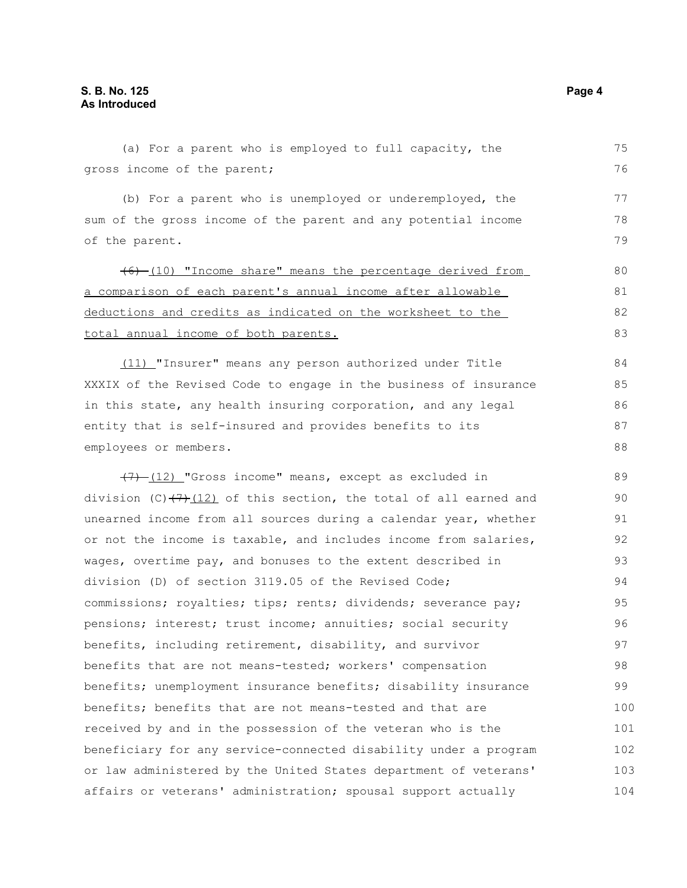(a) For a parent who is employed to full capacity, the gross income of the parent; (b) For a parent who is unemployed or underemployed, the sum of the gross income of the parent and any potential income of the parent. (6) (10) "Income share" means the percentage derived from a comparison of each parent's annual income a fter allowable deductions and credits as indicated on the worksheet to the total annual income of both parents. (11) "Insurer" means any person authorized under Title XXXIX of the Revised Code to engage in the business of insurance in this state, any health insuring corporation, and any legal entity that is self-insured and provides benefits to its employees or members.  $(7)$  (12) "Gross income" means, except as excluded in division (C) $(7)$ (12) of this section, the total of all earned and unearned income from all sources during a calendar year, whether or not the income is taxable, and includes income from salaries, wages, overtime pay, and bonuses to the extent described in division (D) of section 3119.05 of the Revised Code; commissions; royalties; tips; rents; dividends; severance pay; pensions; interest; trust income; annuities; social security benefits, including retirement, disability, and survivor benefits that are not means-tested; workers' compensation benefits; unemployment insurance benefits; disability insurance benefits; benefits that are not means-tested and that are received by and in the possession of the veteran who is the beneficiary for any service-connected disability under a program or law administered by the United States department of veterans' affairs or veterans' administration; spousal support actually 75 76 77 78 79 80 81 82 83 84 85 86 87 88 89 90 91 92 93 94 95 96 97 98 99 100 101 102 103 104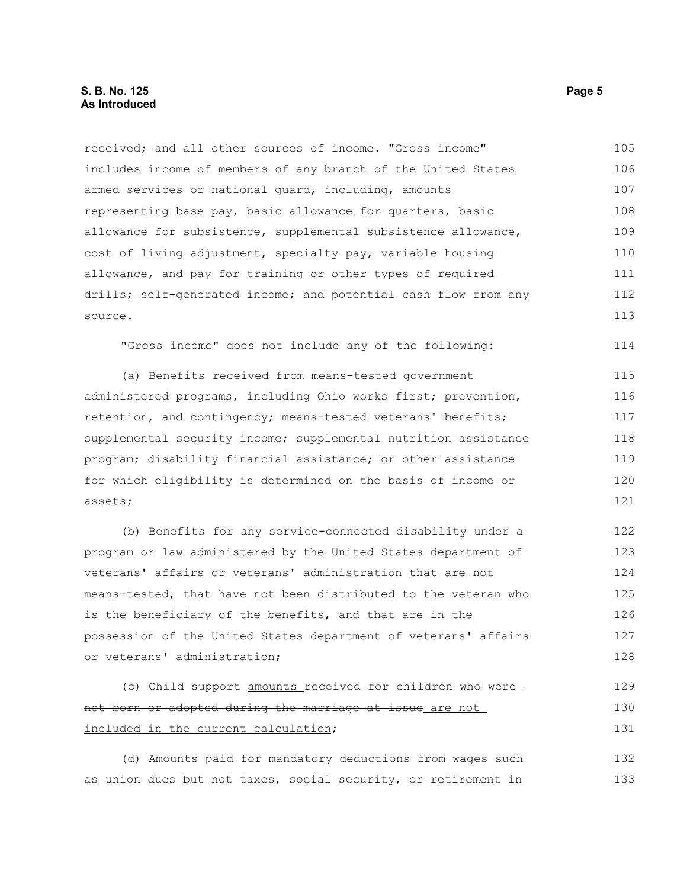received; and all other sources of income. "Gross income" includes income of members of any branch of the United States armed services or national guard, including, amounts representing base pay, basic allowance for quarters, basic allowance for subsistence, supplemental subsistence allowance, cost of living adjustment, specialty pay, variable housing allowance, and pay for training or other types of required drills; self-generated income; and potential cash flow from any source. 105 106 107 108 109 110 111 112 113

"Gross income" does not include any of the following:

(a) Benefits received from means-tested government administered programs, including Ohio works first; prevention, retention, and contingency; means-tested veterans' benefits; supplemental security income; supplemental nutrition assistance program; disability financial assistance; or other assistance for which eligibility is determined on the basis of income or assets; 115 116 117 118 119 120 121

(b) Benefits for any service-connected disability under a program or law administered by the United States department of veterans' affairs or veterans' administration that are not means-tested, that have not been distributed to the veteran who is the beneficiary of the benefits, and that are in the possession of the United States department of veterans' affairs or veterans' administration; 122 123 124 125 126 127 128

```
(c) Child support amounts received for children who were
not born or adopted during the marriage at issue are not
included in the current calculation;
                                                                           129
                                                                           130
                                                                           131
```
(d) Amounts paid for mandatory deductions from wages such as union dues but not taxes, social security, or retirement in 132 133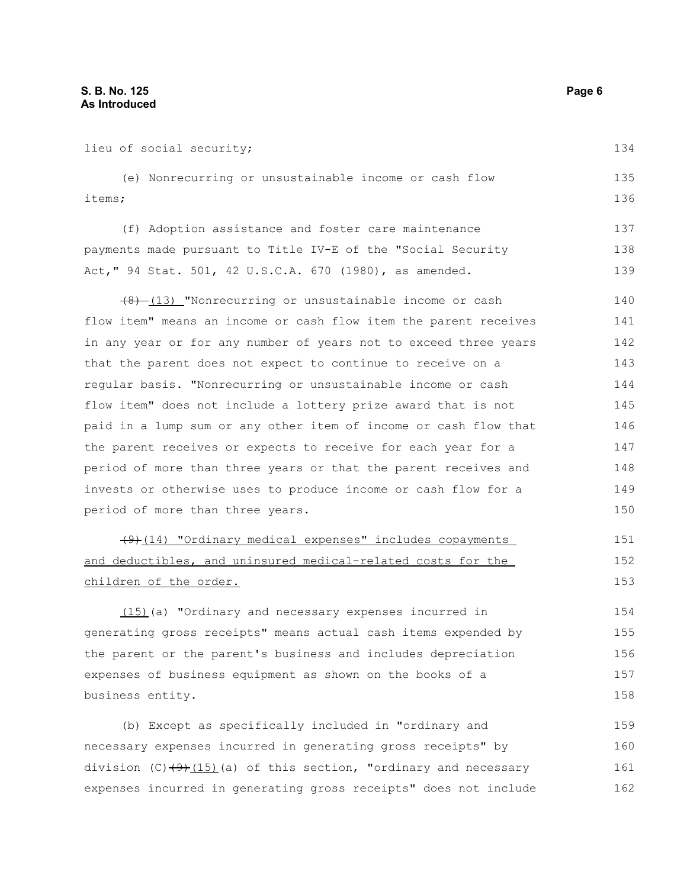lieu of social security; (e) Nonrecurring or unsustainable income or cash flow items; (f) Adoption assistance and foster care maintenance payments made pursuant to Title IV-E of the "Social Security Act," 94 Stat. 501, 42 U.S.C.A. 670 (1980), as amended.  $(8)$  (13) "Nonrecurring or unsustainable income or cash flow item" means an income or cash flow item the parent receives in any year or for any number of years not to exceed three years that the parent does not expect to continue to receive on a regular basis. "Nonrecurring or unsustainable income or cash flow item" does not include a lottery prize award that is not paid in a lump sum or any other item of income or cash flow that the parent receives or expects to receive for each year for a period of more than three years or that the parent receives and invests or otherwise uses to produce income or cash flow for a period of more than three years. (9) (14) "Ordinary medical expenses" includes copayments and deductibles, and uninsured medical-related costs for the children of the order. (15)(a) "Ordinary and necessary expenses incurred in generating gross receipts" means actual cash items expended by the parent or the parent's business and includes depreciation expenses of business equipment as shown on the books of a business entity. (b) Except as specifically included in "ordinary and necessary expenses incurred in generating gross receipts" by 134 135 136 137 138 139 140 141 142 143 144 145 146 147 148 149 150 151 152 153 154 155 156 157 158 159 160

division (C) $(9)$ (15)(a) of this section, "ordinary and necessary expenses incurred in generating gross receipts" does not include 161 162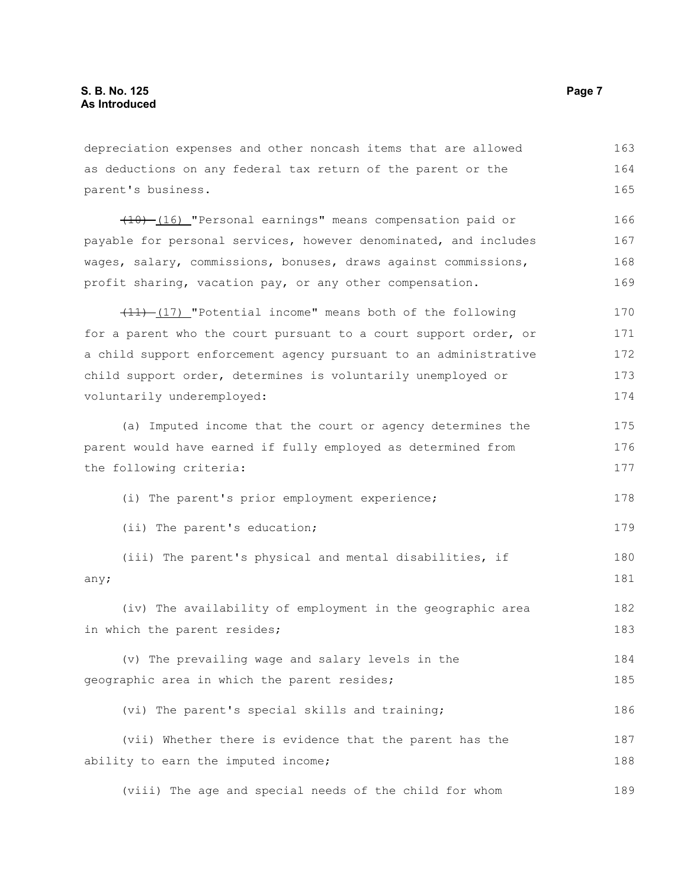depreciation expenses and other noncash items that are allowed as deductions on any federal tax return of the parent or the parent's business. (10) (16) "Personal earnings" means compensation paid or payable for personal services, however denominated, and includes wages, salary, commissions, bonuses, draws against commissions, profit sharing, vacation pay, or any other compensation. (11) (17) "Potential income" means both of the following for a parent who the court pursuant to a court support order, or a child support enforcement agency pursuant to an administrative child support order, determines is voluntarily unemployed or voluntarily underemployed: (a) Imputed income that the court or agency determines the parent would have earned if fully employed as determined from the following criteria: (i) The parent's prior employment experience; (ii) The parent's education; (iii) The parent's physical and mental disabilities, if any; (iv) The availability of employment in the geographic area in which the parent resides; (v) The prevailing wage and salary levels in the geographic area in which the parent resides; (vi) The parent's special skills and training; (vii) Whether there is evidence that the parent has the ability to earn the imputed income; 163 164 165 166 167 168 169 170 171 172 173 174 175 176 177 178 179 180 181 182 183 184 185 186 187 188

(viii) The age and special needs of the child for whom 189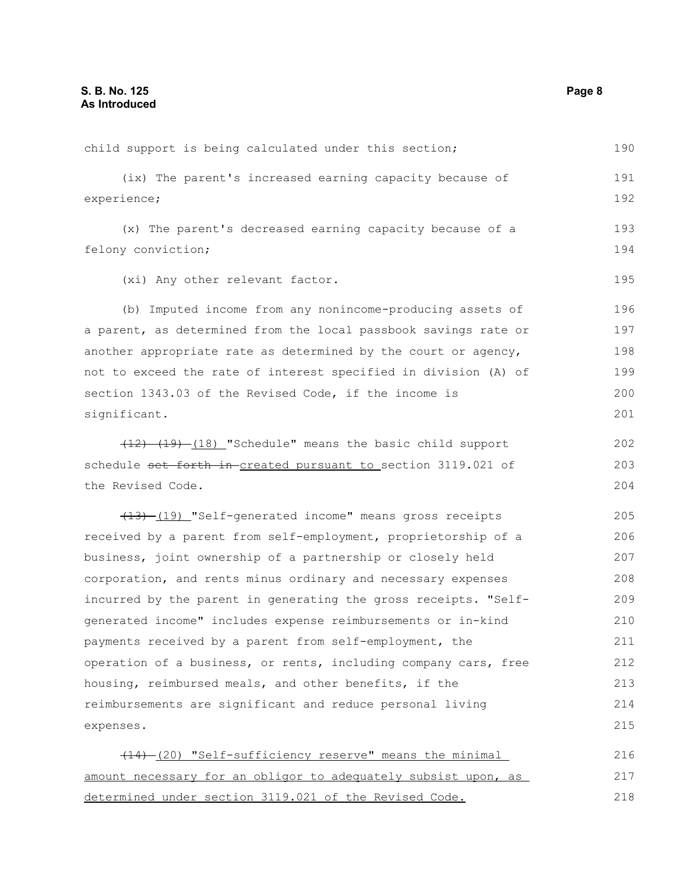child support is being calculated under this section; (ix) The parent's increased earning capacity because of experience; (x) The parent's decreased earning capacity because of a felony conviction; (xi) Any other relevant factor. (b) Imputed income from any nonincome-producing assets of a parent, as determined from the local passbook savings rate or another appropriate rate as determined by the court or agency, not to exceed the rate of interest specified in division (A) of section 1343.03 of the Revised Code, if the income is significant. (12) (19) (18) "Schedule" means the basic child support schedule set forth in created pursuant to section 3119.021 of the Revised Code. (13) (19) "Self-generated income" means gross receipts received by a parent from self-employment, proprietorship of a business, joint ownership of a partnership or closely held corporation, and rents minus ordinary and necessary expenses incurred by the parent in generating the gross receipts. "Selfgenerated income" includes expense reimbursements or in-kind payments received by a parent from self-employment, the operation of a business, or rents, including company cars, free housing, reimbursed meals, and other benefits, if the reimbursements are significant and reduce personal living expenses.  $(14)$  (20) "Self-sufficiency reserve" means the minimal amount necessary for an obligor to adequately subsist upon, as determined under section 3119.021 of the Revised Code. 190 191 192 193 194 195 196 197 198 199 200 201 202 203 204 205 206 207 208 209 210 211 212 213 214 215 216 217 218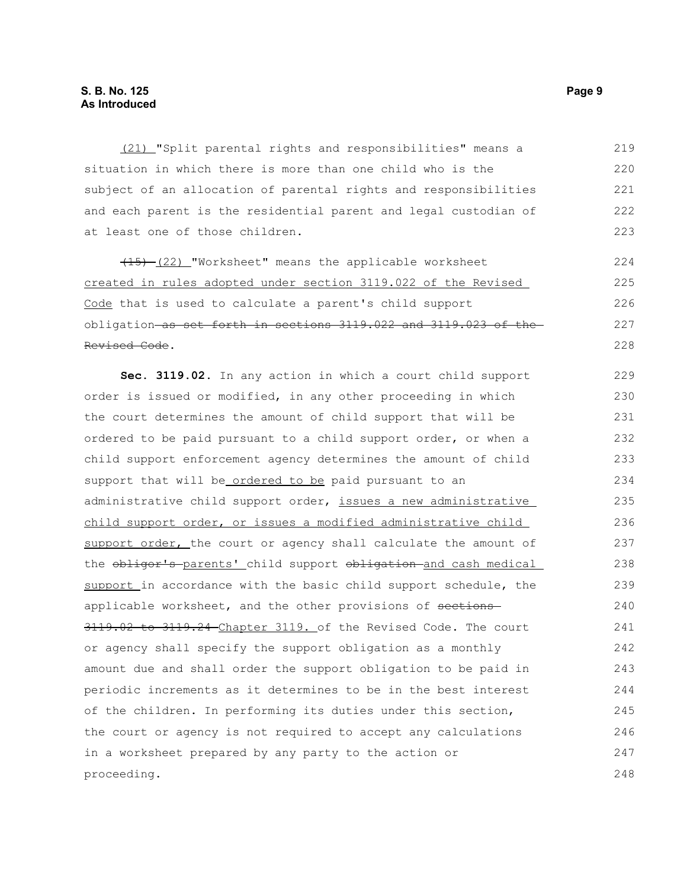(21) "Split parental rights and responsibilities" means a situation in which there is more than one child who is the subject of an allocation of parental rights and responsibilities and each parent is the residential parent and legal custodian of at least one of those children. 219 220 221 222 223

(15) (22) "Worksheet" means the applicable worksheet created in rules adopted under section 3119.022 of the Revised Code that is used to calculate a parent's child support obligation as set forth in sections 3119.022 and 3119.023 of the Revised Code.

**Sec. 3119.02.** In any action in which a court child support order is issued or modified, in any other proceeding in which the court determines the amount of child support that will be ordered to be paid pursuant to a child support order, or when a child support enforcement agency determines the amount of child support that will be ordered to be paid pursuant to an administrative child support order, issues a new administrative child support order, or issues a modified administrative child support order, the court or agency shall calculate the amount of the obligor's parents' child support obligation and cash medical support in accordance with the basic child support schedule, the applicable worksheet, and the other provisions of sections 3119.02 to 3119.24 Chapter 3119. of the Revised Code. The court or agency shall specify the support obligation as a monthly amount due and shall order the support obligation to be paid in periodic increments as it determines to be in the best interest of the children. In performing its duties under this section, the court or agency is not required to accept any calculations in a worksheet prepared by any party to the action or proceeding. 229 230 231 232 233 234 235 236 237 238 239 240 241 242 243 244 245 246 247 248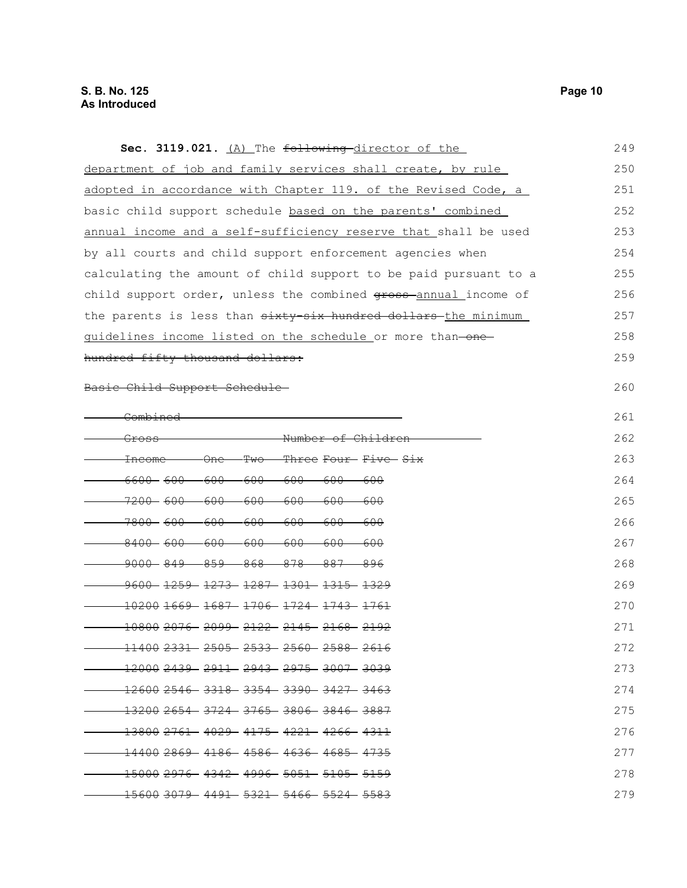| Sec. 3119.021. (A) The following director of the                                                       | 249 |
|--------------------------------------------------------------------------------------------------------|-----|
| department of job and family services shall create, by rule                                            | 250 |
| adopted in accordance with Chapter 119. of the Revised Code, a                                         | 251 |
| basic child support schedule based on the parents' combined                                            | 252 |
| annual income and a self-sufficiency reserve that shall be used                                        | 253 |
| by all courts and child support enforcement agencies when                                              | 254 |
| calculating the amount of child support to be paid pursuant to a                                       | 255 |
| child support order, unless the combined gross-annual income of                                        | 256 |
| the parents is less than sixty-six hundred dollars the minimum                                         | 257 |
| guidelines income listed on the schedule or more than-one-                                             | 258 |
| hundred fifty thousand dollars:                                                                        | 259 |
| Basic Child Support Schedule                                                                           | 260 |
| <del>Combined</del>                                                                                    | 261 |
| -Number of Childrer<br><del>Gross</del>                                                                | 262 |
| <del>Two</del><br>- <del>Three Four- Five- Six</del><br><del>One</del><br><del>Income</del>            | 263 |
| <del>6600- 600-</del><br><del>600-</del><br>-600-<br><del>600</del><br><del>600</del><br>-600          | 264 |
| <del>7200- 600-</del><br><del>600</del><br><del>-600</del><br>-600<br><del>600</del><br><del>600</del> | 265 |
| <del>7800- 600-</del><br>-600-<br>-600<br>-600-<br>-600<br>-600                                        | 266 |
| $-8400 - 600 - 600$<br>-600-<br>-600-<br>-600-<br>-600                                                 | 267 |
| <del>-9000 - 849 - 859 - 868 - 878 -</del><br>-887-<br>-896                                            | 268 |
| $-9600 - 1259 - 1273 - 1287 - 1301 - 1315 - 1329$                                                      | 269 |
| $-102001669 - 1687 - 1706 - 1724 - 1743 - 1761$                                                        | 270 |
| $-108002076 - 2099 - 2122 - 2145 - 2168 - 2192$                                                        | 271 |
| 11400 2331 2505 2533 2560 2588 2616                                                                    | 272 |
| <del>12000 2439 - 2911 - 2943 - 2975 - 3007 - 3039</del>                                               | 273 |
| <del>12600 2546 - 3318 - 3354 - 3390 - 3427 - 3463</del>                                               | 274 |
|                                                                                                        | 275 |
| <del>13800 2761 4029 4175 4221 4266 4311</del>                                                         | 276 |
| <del>14400 2869 - 4186 - 4586 - 4636 - 4685 - 4735</del>                                               | 277 |
| <del>15000 2976- 4342- 4996- 5051- 5105- 5159</del>                                                    | 278 |
| <del>15600 3079 -4491 -5321 -5466 -5524 -5583</del>                                                    | 279 |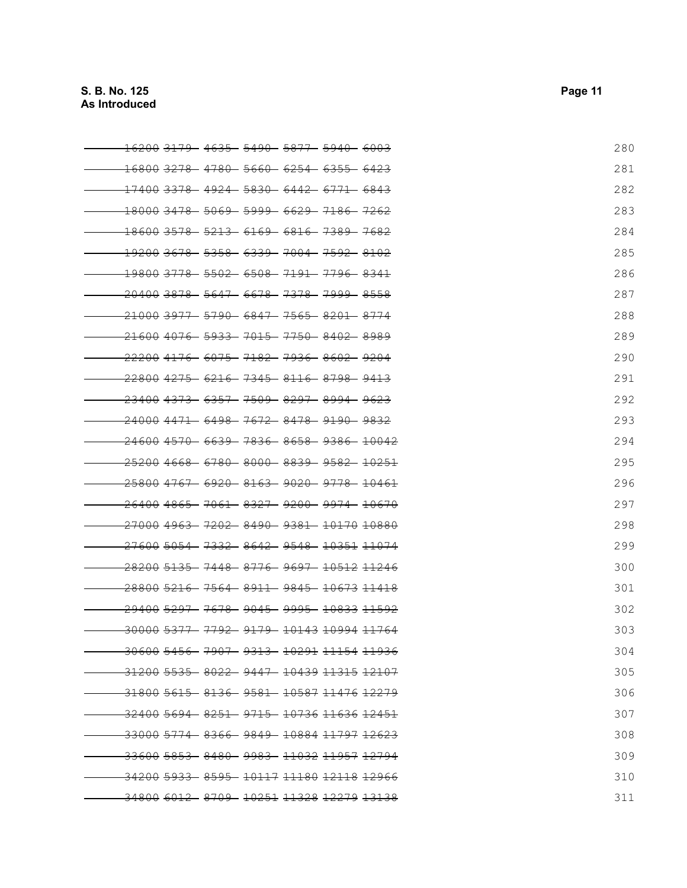| <del>16200 31</del> | - <del>4635</del> | - 5490 | - <del>5877</del> | - <del>5940-</del>                                             | - <del>6003</del> | 280 |
|---------------------|-------------------|--------|-------------------|----------------------------------------------------------------|-------------------|-----|
|                     |                   |        |                   | <del>16800 3278 -4780 -5660 -6254 -6355 -6423</del>            |                   | 281 |
|                     |                   |        |                   | <del>.17400 3378 - 4924 - 5830 - 6442 - 6771 - 6843</del>      |                   | 282 |
|                     |                   |        |                   | <del>18000 3478 - 5069 - 5999 - 6629 - 7186 - 7262</del>       |                   | 283 |
|                     |                   |        |                   | <del>.18600 3578    5213    6169    6816    7389    7682</del> |                   | 284 |
|                     |                   |        |                   | <del>19200 3678  5358  6339  7004  7592  8102</del>            |                   | 285 |
|                     |                   |        |                   | <del>19800 3778 - 5502 - 6508 - 7191 - 7796 - 8341</del>       |                   | 286 |
|                     |                   |        |                   | <del>20400 3878 - 5647 - 6678 - 7378 - 7999 - 8558</del>       |                   | 287 |
|                     |                   |        |                   | <del>21000 3977 - 5790 - 6847 - 7565 - 8201 - 8774</del>       |                   | 288 |
|                     |                   |        |                   | <del>21600 4076 - 5933 - 7015 - 7750 - 8402 - 8989</del>       |                   | 289 |
|                     |                   |        |                   | <del>22200 4176 - 6075 - 7182 - 7936 - 8602 - 9204</del>       |                   | 290 |
|                     |                   |        |                   | <del>.22800 4275 - 6216 - 7345 - 8116 - 8798 - 9413</del>      |                   | 291 |
|                     |                   |        |                   | <del>23400 4373 - 6357 - 7509 - 8297 - 8994 - 9623</del>       |                   | 292 |
|                     |                   |        |                   | <del>24000 4471 - 6498 - 7672 - 8478 - 9190 - 9832</del>       |                   | 293 |
|                     |                   |        |                   | <del>24600 4570- 6639- 7836- 8658- 9386- 10042</del>           |                   | 294 |
|                     |                   |        |                   | <del>25200 4668 - 6780 - 8000 - 8839 - 9582 - 10251</del>      |                   | 295 |
|                     |                   |        |                   | <del>25800 4767 - 6920 - 8163 - 9020 - 9778 - 10461</del>      |                   | 296 |
|                     |                   |        |                   | <del>26400 4865 - 7061 - 8327 - 9200 - 9974 - 10670</del>      |                   | 297 |
|                     |                   |        |                   | <del>27000 4963 - 7202 - 8490 - 9381 - 10170 10880</del>       |                   | 298 |
|                     |                   |        |                   | <del>27600 5054 - 7332 - 8642 - 9548 - 10351 11074</del>       |                   | 299 |
|                     |                   |        |                   | <del>28200 5135 - 7448 - 8776 - 9697 - 10512 11246</del>       |                   | 300 |
|                     |                   |        |                   | <del>28800 5216 - 7564 - 8911 - 9845 - 10673 11418</del>       |                   | 301 |
|                     |                   |        |                   | <del>29400 5297 - 7678 - 9045 - 9995 - 10833 11592</del>       |                   | 302 |
|                     |                   |        |                   | <del>30000 5377 -7792 -9179 -10143 10994 11764</del>           |                   | 303 |
|                     |                   |        |                   | -30600 5456- 7907- 9313- 10291 11154 11936                     |                   | 304 |
|                     |                   |        |                   | <del>.31200 5535 - 8022 - 9447 - 10439 11315 12107</del>       |                   | 305 |
|                     |                   |        |                   | <del>-31800 5615 - 8136 - 9581 - 10587 11476 12279</del>       |                   | 306 |
|                     |                   |        |                   | -32400 5694  8251  9715  10736 11636 12451                     |                   | 307 |
|                     |                   |        |                   | <del>-33000 5774 - 8366 - 9849 - 10884 11797 12623</del>       |                   | 308 |
|                     |                   |        |                   | <del>-33600 5853 - 8480 - 9983 - 11032 11957 12794</del>       |                   | 309 |
|                     |                   |        |                   | <del>-34200 5933 - 8595 - 10117 11180 12118 12966</del>        |                   | 310 |
|                     |                   |        |                   | 34800 6012 8709 10251 11328 12279 13138                        |                   | 311 |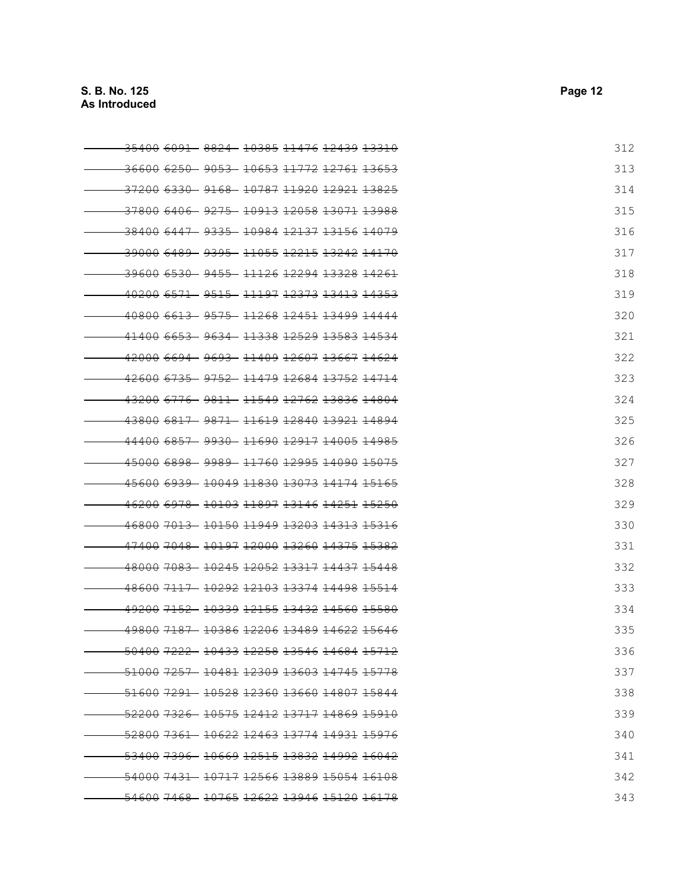| <del>.35400 6091 - 8824 - 10385 11476 12439 13310</del>           | 312 |
|-------------------------------------------------------------------|-----|
| <del>36600 6250 - 9053 - 10653 11772 12761</del> <del>13653</del> | 313 |
| <del>-37200 6330 - 9168 - 10787 11920 12921 13825</del>           | 314 |
| 37800 6406 9275 10913 12058 13071 13988                           | 315 |
| - <del>38400 6447 - 9335 - 10984 12137 13156 14079</del>          | 316 |
| <del>.39000 6489 - 9395 - 11055 12215 13242 14170</del>           | 317 |
| -39600 6530 - 9455 - 11126 12294 13328 14261                      | 318 |
| <del>.40200 6571 - 9515 - 11197 12373 13413 14353</del>           | 319 |
| <del>40800 6613 - 9575 - 11268 12451 13499 14444</del>            | 320 |
| <u>41400 6653 - 9634 - 11338 12529 13583 14534</u>                | 321 |
| 42000 6694 9693 11409 12607 13667 14624                           | 322 |
| <u>42600 6735 - 9752 - 11479 12684 13752 14714</u>                | 323 |
| 43200 6776 9811 11549 12762 13836 14804                           | 324 |
| 43800 6817 - 9871 - 11619 12840 13921 14894                       | 325 |
| <del>.44400 6857 - 9930 - 11690 12917 14005 14985</del>           | 326 |
| 45000 6898 - 9989 - 11760 12995 14090 15075                       | 327 |
| 45600 6939 10049 11830 13073 14174 15165                          | 328 |
| 46200 6978 10103 11897 13146 14251 15250                          | 329 |
| <del>46800 7013 - 10150 11949 13203 14313 15316</del>             | 330 |
| <del>47400 7048  10197 12000 13260 14375 15382</del>              | 331 |
| <del>.48000 7083 - 10245 12052 13317 14437 15448</del>            | 332 |
| 48600 7117 10292 12103 13374 14498 15514                          | 333 |
| <del>.49200 7152 - 10339 12155 13432</del> <del>14560 15580</del> | 334 |
| <u>49800 7187 - 10386 12206 13489 14622 15646</u>                 | 335 |
| 50400 7222 10433 12258 13546 14684 15712                          | 336 |
| -51000 7257 10481 12309 13603 14745 15778                         | 337 |
|                                                                   | 338 |
| <del>52200 7326 10575 12412 13717 14869 15910</del>               | 339 |
| -52800 7361 - 10622 12463 13774 14931 15976                       | 340 |
| <del>53400 7396 10669 12515 13832 14992</del> <del>16042</del>    | 341 |
| <del>54000 7431 10717 12566 13889 15054 16108</del>               | 342 |
| 54600 7468 10765 12622 13946 15120 16178                          | 343 |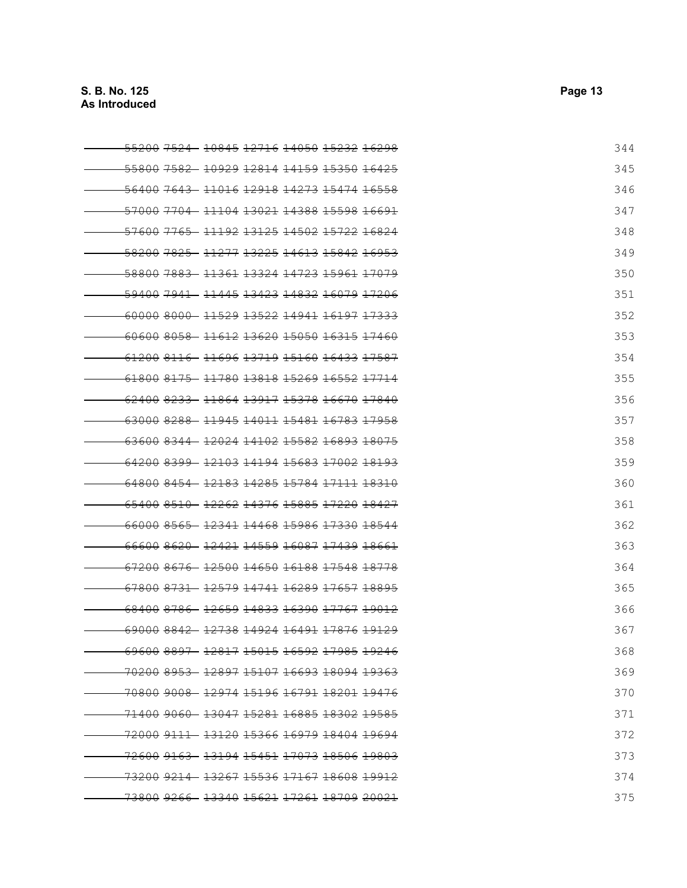| <del>55200 752</del>                                           |                                                       | <del>10845 12716 14050 15232 16298</del> |  |  |  | 344 |
|----------------------------------------------------------------|-------------------------------------------------------|------------------------------------------|--|--|--|-----|
| <del>55800 7582 10929 12814 14159 15350 16425</del>            |                                                       |                                          |  |  |  | 345 |
| 56400 7643 11016 12918 14273 15474 16558                       |                                                       |                                          |  |  |  | 346 |
| 57000 7704 11104 13021 14388 15598 16691                       |                                                       |                                          |  |  |  | 347 |
| 57600 7765 11192 13125 14502 15722 16824                       |                                                       |                                          |  |  |  | 348 |
| 58200 7825 11277 13225 14613 15842 16953                       |                                                       |                                          |  |  |  | 349 |
| <del>58800 7883 - 11361 13324 14723 15961 17079</del>          |                                                       |                                          |  |  |  | 350 |
| <del>59400 7941</del>                                          | - <del>11445 13423 14832</del> <del>16079 17206</del> |                                          |  |  |  | 351 |
| <del>60000 8000 - 11529 13522 14941 16197 17333</del>          |                                                       |                                          |  |  |  | 352 |
| 60600 8058 11612 13620 15050 16315 17460                       |                                                       |                                          |  |  |  | 353 |
| <u>61200 8116 - 11696 13719 15160 16433 17587</u>              |                                                       |                                          |  |  |  | 354 |
| 61800 8175 11780 13818 15269 16552 17714                       |                                                       |                                          |  |  |  | 355 |
| 62400 8233 11864 13917 15378 16670 17840                       |                                                       |                                          |  |  |  | 356 |
| <del>63000 8288 - 11945 14011 15481 16783 17958</del>          |                                                       |                                          |  |  |  | 357 |
| 63600 8344- 12024 14102 15582 16893 18075                      |                                                       |                                          |  |  |  | 358 |
| <del>64200 8399 12103 14194 15683 17002 18193</del>            |                                                       |                                          |  |  |  | 359 |
| <del>64800 8454 - 12183 14285 15784 17111 18310</del>          |                                                       |                                          |  |  |  | 360 |
| <del>65400 8510 - 12262 14376 15885 17220 18427</del>          |                                                       |                                          |  |  |  | 361 |
| <u>66000 8565 - 12341 14468 15986 17330 18544</u>              |                                                       |                                          |  |  |  | 362 |
| 66600 8620 - 12421 14559 16087 17439 18661                     |                                                       |                                          |  |  |  | 363 |
| <del>67200 8676 12500 14650 16188 17548 18778</del>            |                                                       |                                          |  |  |  | 364 |
| <del>67800 8731 - 12579 14741 16289 17657 18895</del>          |                                                       |                                          |  |  |  | 365 |
| <del>68400 8786 - 12659 14833 16390 17767 19012</del>          |                                                       |                                          |  |  |  | 366 |
| 69000 8842 12738 14924 16491 17876 19129                       |                                                       |                                          |  |  |  | 367 |
| <u>69600 8897- 12817 15015 16592 17985 19246</u>               |                                                       |                                          |  |  |  | 368 |
| 70200 8953 12897 15107 16693 18094 19363                       |                                                       |                                          |  |  |  | 369 |
| <del>70800 9008 12974 15196 16791 18201 19476</del>            |                                                       |                                          |  |  |  | 370 |
| <del>71400 9060 13047 15281</del> 16885 18302 19585            |                                                       |                                          |  |  |  | 371 |
|                                                                |                                                       |                                          |  |  |  | 372 |
| <del>72600 9163 - 13194 15451 17073 18506 19803</del>          |                                                       |                                          |  |  |  | 373 |
| <del>73200 9214 -13267 15536 17167 18608 19912</del>           |                                                       |                                          |  |  |  | 374 |
| <del>73800 9266 13340 15621 17261</del> 18709 <del>20021</del> |                                                       |                                          |  |  |  | 375 |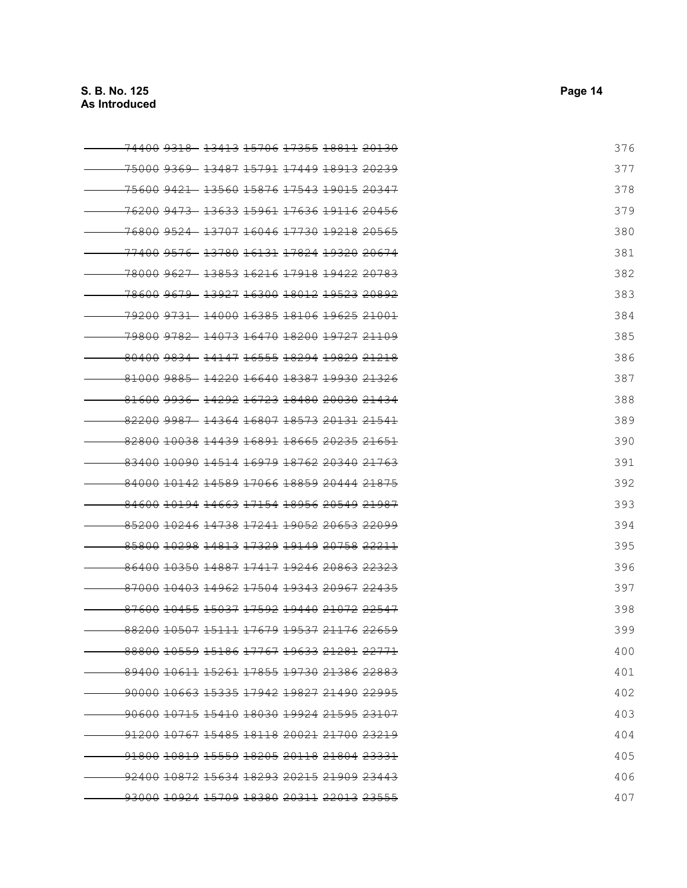| <del>74400 9318- 13413 15706 17355</del> <del>18811 20130</del>  | 376 |
|------------------------------------------------------------------|-----|
| <del>.75000 9369 13487 15791 17449 18913 20239</del>             | 377 |
| <del>.75600 9421 13560 15876 17543 19015 20347</del>             | 378 |
| <del>.76200 9473 - 13633 15961 17636 19116 20456</del>           | 379 |
| <del>.76800 9524 13707 16046 17730 19218 20565</del>             | 380 |
| <del>.77400 9576 -13780 16131 17824 19320 20674</del>            | 381 |
| <del>.78000 9627 13853 16216 17918 19422</del> <del>20783</del>  | 382 |
| <del>-78600 9679 - 13927 16300 18012 19523 20892</del>           | 383 |
| <del>-79200 9731 -14000 16385 18106 19625 21001</del>            | 384 |
| <del>-79800 9782 -14073 16470 18200 19727 21109</del>            | 385 |
| 80400 9834 14147 16555 18294 19829 21218                         | 386 |
| 81000 9885 14220 16640 18387 19930 21326                         | 387 |
| 81600 9936 14292 16723 18480 20030 21434                         | 388 |
| <del>82200 9987 - 14364 16807 18573 20131 21541</del>            | 389 |
| <del>82800 10038 14439 16891</del> <del>18665 20235 21651</del>  | 390 |
| 83400 10090 14514 16979 18762 20340 21763                        | 391 |
| 84000 10142 14589 17066 18859 20444 21875                        | 392 |
| 84600 10194 14663 17154 18956 20549 21987                        | 393 |
| -85200 10246 14738 17241 19052 20653 22099                       | 394 |
| <del>85800 10298 14813 17329 19149</del> <del>20758 22211</del>  | 395 |
| <del>86400 10350 14887 17417 19246 20863 22323</del>             | 396 |
| <del>87000 10403 14962 17504 19343</del> <del>20967 22435</del>  | 397 |
| <del>87600 10455 15037 17592 19440 21072 22547</del>             | 398 |
| -88200 10507 15111 17679 19537 21176 22659                       | 399 |
| 88800 10559 15186 17767 19633 21281 22771                        | 400 |
| 89400 10611 15261 17855 19730 21386 22883                        | 401 |
| <del>-90000 10663 15335 17942</del> <del>19827 21490 22995</del> | 402 |
| -90600 10715 15410 18030 19924 21595 23107                       | 403 |
| -91200 10767 15485 18118 20021 21700 23219                       | 404 |
| <del>91800 10819 15559 18205 20118 21804 23331</del>             | 405 |
| <del>92400 10872</del> <del>15634 18293 20215 21909 23443</del>  | 406 |
| <del>93000 10924 15709 18380 20311 22013 23555</del>             | 407 |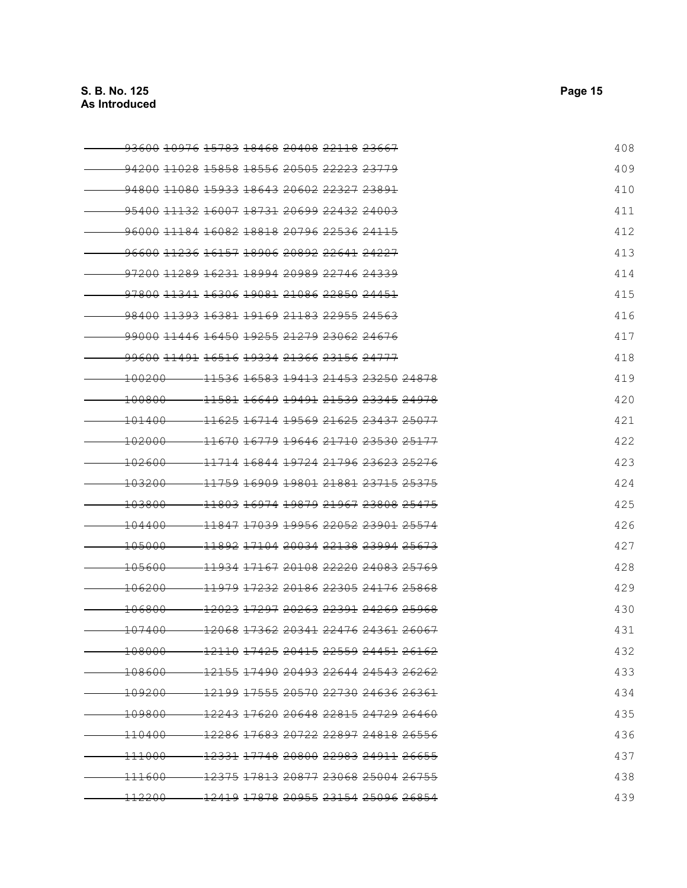| <del>93600 10976 15783 18468</del> <del>20408 22118 23667</del> |                                                                                             |  |  | 408 |
|-----------------------------------------------------------------|---------------------------------------------------------------------------------------------|--|--|-----|
| 94200 11028 15858 18556 20505 22223 23779                       |                                                                                             |  |  | 409 |
| <u>94800 11080 15933 18643 20602 22327 23891</u>                |                                                                                             |  |  | 410 |
| <del>95400 11132 16007 18731 20699 22432 24003</del>            |                                                                                             |  |  | 411 |
| <del>96000 11184 16082 18818 20796 22536 24115</del>            |                                                                                             |  |  | 412 |
| 96600 11236 16157 18906 20892 22641 24227                       |                                                                                             |  |  | 413 |
| <del>97200 11289 16231</del> <del>18994 20989 22746 24339</del> |                                                                                             |  |  | 414 |
| <del>97800 11341 16306 19081 21086 22850 24451</del>            |                                                                                             |  |  | 415 |
| <del>98400 11393 16381 19169 21183 22955 24563</del>            |                                                                                             |  |  | 416 |
| -99000 11446 16450 19255 21279 23062 24676                      |                                                                                             |  |  | 417 |
| <del>99600 11491 16516 19334 21366 23156 24777</del>            |                                                                                             |  |  | 418 |
| <del>100200</del>                                               | <del>11536 16583 19413 21453 23250 24878</del>                                              |  |  | 419 |
| <del>100800</del>                                               | <del>11581</del> <del>16649 19491 21539 23345 24978</del>                                   |  |  | 420 |
| <del>101400</del>                                               | <del>11625 16714 19569 21625 23437 25077</del>                                              |  |  | 421 |
| <del>102000</del>                                               | <del>11670 16779 19646 21710 23530 25177</del>                                              |  |  | 422 |
| <del>102600</del>                                               | <del>11714 16844 19724 21796 23623 25276</del>                                              |  |  | 423 |
| <del>103200</del>                                               | <del>11759 16909 19801 21881 23715 25375</del>                                              |  |  | 424 |
| 103800                                                          | 11803 16974 19879 21967 23808 25475                                                         |  |  | 425 |
| <del>104400</del>                                               | 11847 17039 19956 22052 23901 25574                                                         |  |  | 426 |
| <del>105000</del>                                               | <del>11892 17104 20034 22138 23994 25673</del>                                              |  |  | 427 |
| <del>105600</del>                                               | <del>11934 17167 20108 22220 24083 25769</del>                                              |  |  | 428 |
| <del>106200</del>                                               | 11979 17232 20186 22305 24176 25868                                                         |  |  | 429 |
| $-106800$                                                       | <del>12023 17297 20263 22391</del> <del>24269 25968</del>                                   |  |  | 430 |
| <del>107400</del>                                               | <del>12068 17362</del> <del>20341 22476 24361 26067</del>                                   |  |  | 431 |
| $-108000$                                                       | <del>-12110</del> <del>17425  20415  22559  24451  26162</del>                              |  |  | 432 |
| <del>108600-</del>                                              | $-12155$ $17490$ $20493$ $22644$ $24543$ $26262$                                            |  |  | 433 |
| - <del>109200</del>                                             | <del>-12199 17555 20570 22730 24636 26361</del>                                             |  |  | 434 |
| <del>109800-</del>                                              | -12243 17620 20648 22815 24729 26460                                                        |  |  | 435 |
| - <del>110400</del>                                             | <del>-12286</del> <del>17683  20722  22897  24818  26556</del>                              |  |  | 436 |
| <del>111000</del>                                               | <del>-12331</del> <del>17748</del> 20800 <del>22983</del> <del>24911</del> <del>26655</del> |  |  | 437 |
| <del>111600</del>                                               | <del>-12375</del> <del>17813</del> 20877  23068  25004  26755                               |  |  | 438 |
| <del>112200</del>                                               | -12419 17878 20955 23154 25096 26854                                                        |  |  | 439 |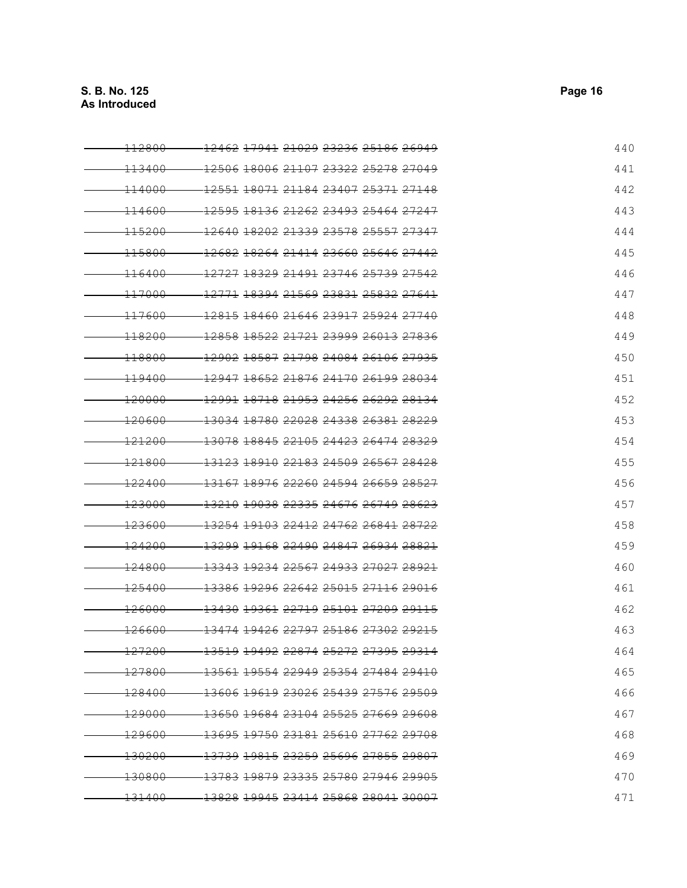| <del>112800</del> | <del>12462</del> <del>17941</del> <del>21029 23236 25186 26949</del> | 440 |
|-------------------|----------------------------------------------------------------------|-----|
| <del>113400</del> | 12506 18006 21107 23322 25278 27049                                  | 441 |
| <del>114000</del> | <del>12551</del> <del>18071</del> <del>21184 23407 25371 27148</del> | 442 |
| <del>114600</del> | <u>12595 18136 21262 23493 25464 27247</u>                           | 443 |
| <del>115200</del> | <del>12640 18202 21339 23578 25557 27347</del>                       | 444 |
| <del>115800</del> | <del>12682</del> <del>18264 21414 23660 25646 27442</del>            | 445 |
| <del>116400</del> | <del>12727</del> <del>18329 21491 23746 25739 27542</del>            | 446 |
| <del>117000</del> |                                                                      | 447 |
| <del>117600</del> | <del>12815 18460 21646 23917 25924 27740</del>                       | 448 |
| <del>118200</del> | 12858 18522 21721 23999 26013 27836                                  | 449 |
| <del>118800</del> | 12902 18587 21798 24084 26106 27935                                  | 450 |
| <del>119400</del> | 12947 18652 21876 24170 26199 28034                                  | 451 |
| <del>120000</del> | <del>12991 18718 21953 24256 26292 28134</del>                       | 452 |
| <del>120600</del> | 13034 18780 22028 24338 26381 28229                                  | 453 |
| <del>121200</del> | <del>13078 18845 22105 24423 26474 28329</del>                       | 454 |
| <del>121800</del> | <del>13123 18910 22183 24509 26567 28428</del>                       | 455 |
| 122400            | <del>13167 18976 22260 24594 26659 28527</del>                       | 456 |
| <del>123000</del> | <del>13210 19038 22335 24676 26749 28623</del>                       | 457 |
| <del>123600</del> | <del>13254 19103 22412 24762 26841 28722</del>                       | 458 |
| <del>124200</del> | <del>13299 19168 22490 24847 26934 28821</del>                       | 459 |
| $-124800$         | <del>13343 19234 22567 24933 27027 28921</del>                       | 460 |
| <del>125400</del> | <del>13386 19296 22642 25015 27116 29016</del>                       | 461 |
| <del>126000</del> | 13430 19361 22719 25101 27209 29115                                  | 462 |
| <del>126600</del> | <del>13474 19426 22797 25186 27302 29215</del>                       | 463 |
| <del>127200</del> | <del>13519 19492 22874 25272 27395 29314</del>                       | 464 |
| 127800            | - <del>13561</del> <del>19554 22949 25354 27484 29410</del>          | 465 |
| <del>128400</del> | <del>13606 19619 23026 25439 27576 29509</del>                       | 466 |
| <del>129000</del> | <del>13650 19684 23104 25525 27669 29608</del>                       | 467 |
| <del>129600</del> | 13695 19750 23181 25610 27762 29708                                  | 468 |
| 130200            | <del>13739 19815 23259 25696 27855</del> <del>29807</del>            | 469 |
| <del>130800</del> | <del>13783 19879 23335 25780 27946 29905</del>                       | 470 |
| <del>131400</del> | <del>13828 19945 23414 25868 28041</del> <del>30007</del>            | 471 |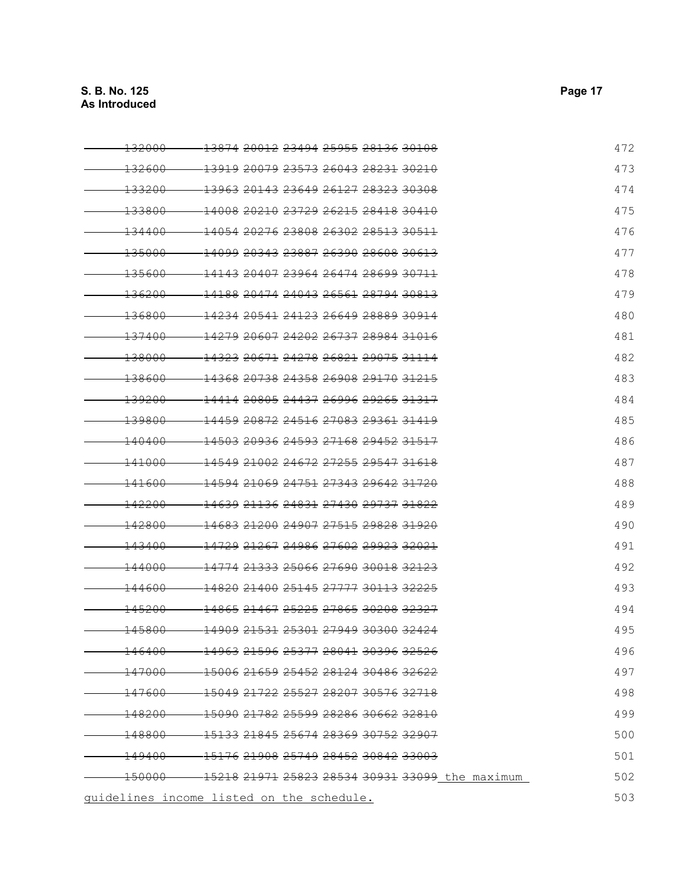| <del>132000</del><br><del>13874 20012</del> <del>23494 25955 28136 30108</del>            | 472 |
|-------------------------------------------------------------------------------------------|-----|
| 13919 20079 23573 26043 28231 30210<br><del>132600</del>                                  | 473 |
| <del>13963</del> <del>20143 23649 26127 28323</del> <del>30308</del><br><del>133200</del> | 474 |
| <del>133800</del><br><del>14008 20210 23729 26215 28418 30410</del>                       | 475 |
| <del>14054 20276 23808 26302 28513 30511</del><br><del>134400</del>                       | 476 |
| <del>14099</del> <del>20343 23887 26390 28608 30613</del><br><del>135000</del>            | 477 |
| <del>14143</del> <del>20407 23964 26474 28699 30711</del><br><del>135600</del>            | 478 |
| <del>14188 20474 24043 26561 28794 30813</del><br><del>136200</del>                       | 479 |
| <del>136800</del><br><del>14234 20541 24123 26649 28889 30914</del>                       | 480 |
| <del>14279 20607 24202 26737 28984 31016</del><br><del>137400</del>                       | 481 |
| <del>138000</del><br><del>14323 20671 24278 26821 29075 31114</del>                       | 482 |
| <del>14368 20738 24358 26908 29170 31215</del><br><del>138600</del>                       | 483 |
| 139200<br><del>14414 20805 24437 26996 29265 31317</del>                                  | 484 |
| <del>14459 20872 24516 27083 29361 31419</del><br><del>139800</del>                       | 485 |
| <del>140400</del><br><del>14503 20936 24593 27168 29452 31517</del>                       | 486 |
| <del>14549 21002 24672 27255 29547 31618</del><br><del>141000</del>                       | 487 |
| <del>14594 21069 24751 27343 29642 31720</del><br><del>141600</del>                       | 488 |
| 142200<br><del>14639 21136 24831 27430 29737 31822</del>                                  | 489 |
| 142800<br>14683 21200 24907 27515 29828 31920                                             | 490 |
| <del>14729 21267 24986 27602 29923 32021</del><br>143400                                  | 491 |
| <del>14774</del> <del>21333</del> <del>25066 27690 30018 32123</del><br><del>144000</del> | 492 |
| <del>14820 21400 25145 27777 30113 32225</del><br><del>144600</del>                       | 493 |
| <del>145200</del><br>14865 21467 25225 27865 30208 32327                                  | 494 |
| <del>145800</del><br><del>14909 21531 25301 27949 30300 32424</del>                       | 495 |
| -14963 21596 25377 28041 30396 32526<br>146400                                            | 496 |
| $-147000 -$<br>$-150062165925452281243048632622$                                          | 497 |
| -15049 21722 25527 28207 30576 32718<br><del>-147600</del>                                | 498 |
| -15090 21782 25599 28286 30662 32810<br>$-148200-$                                        | 499 |
| $-148800-$<br>-15133 21845 25674 28369 30752 32907                                        | 500 |
| - <del>15176</del> 2 <del>1908 25749 28452 30842 33003</del><br><del>149400</del>         | 501 |
| 150000 - 15218 21971 25823 28534 30931 33099 the maximum                                  | 502 |
| guidelines income listed on the schedule.                                                 | 503 |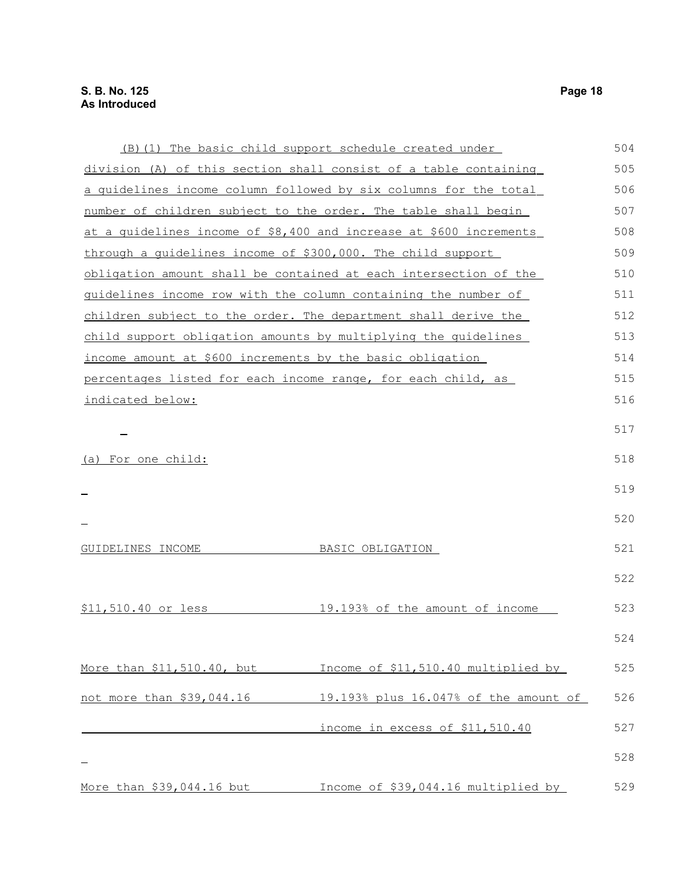|                                                             | (B) (1) The basic child support schedule created under             | 504 |
|-------------------------------------------------------------|--------------------------------------------------------------------|-----|
|                                                             | division (A) of this section shall consist of a table containing   | 505 |
|                                                             | a quidelines income column followed by six columns for the total   | 506 |
|                                                             | number of children subject to the order. The table shall begin     | 507 |
|                                                             | at a quidelines income of \$8,400 and increase at \$600 increments | 508 |
| through a quidelines income of \$300,000. The child support |                                                                    | 509 |
|                                                             | obligation amount shall be contained at each intersection of the   | 510 |
|                                                             | guidelines income row with the column containing the number of     | 511 |
|                                                             | children subject to the order. The department shall derive the     | 512 |
|                                                             | child support obligation amounts by multiplying the quidelines     | 513 |
| income amount at \$600 increments by the basic obligation   |                                                                    | 514 |
|                                                             | percentages listed for each income range, for each child, as       | 515 |
| indicated below:                                            |                                                                    | 516 |
|                                                             |                                                                    | 517 |
|                                                             |                                                                    |     |
| <u>(a) For one child:</u>                                   |                                                                    | 518 |
|                                                             |                                                                    | 519 |
|                                                             |                                                                    |     |
|                                                             |                                                                    | 520 |
| GUIDELINES INCOME                                           | BASIC OBLIGATION                                                   | 521 |
|                                                             |                                                                    |     |
|                                                             |                                                                    | 522 |
| \$11,510.40 or less                                         | 19.193% of the amount of income                                    | 523 |
|                                                             |                                                                    | 524 |
|                                                             |                                                                    |     |
| More than \$11,510.40, but                                  | Income of \$11,510.40 multiplied by                                | 525 |
| not more than \$39,044.16                                   | 19.193% plus 16.047% of the amount of                              | 526 |
|                                                             | income in excess of \$11,510.40                                    | 527 |
|                                                             |                                                                    | 528 |
|                                                             |                                                                    |     |
| More than \$39,044.16 but                                   | Income of \$39,044.16 multiplied by                                | 529 |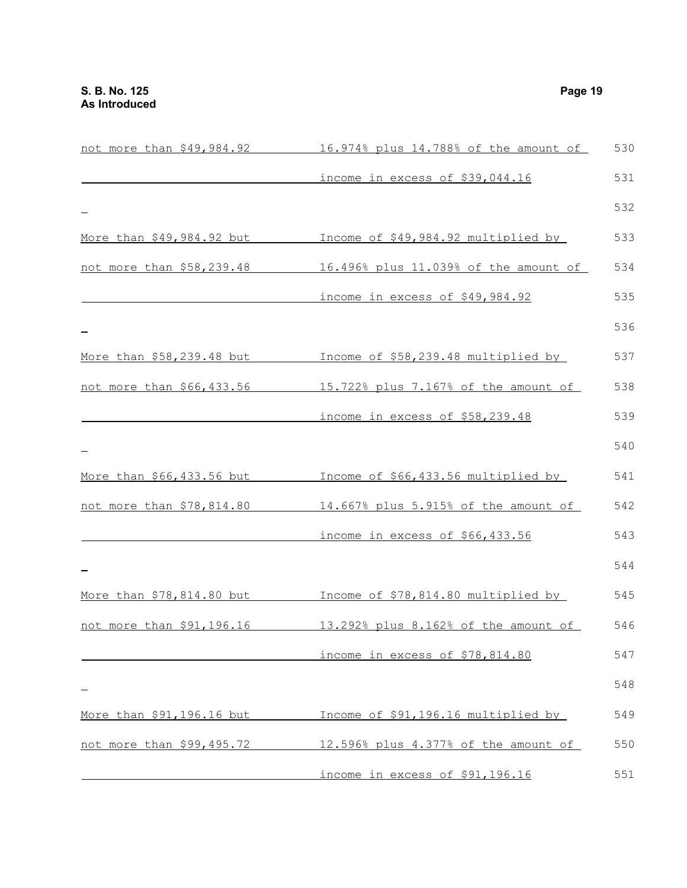| <u>not more than \$49,984.92</u>   | 16.974% plus 14.788% of the amount of | 530 |
|------------------------------------|---------------------------------------|-----|
|                                    | income in excess of \$39,044.16       | 531 |
|                                    |                                       | 532 |
| More than \$49,984.92 but          | Income of \$49,984.92 multiplied by   | 533 |
| not more than \$58,239.48          | 16.496% plus 11.039% of the amount of | 534 |
|                                    | income in excess of \$49,984.92       | 535 |
|                                    |                                       | 536 |
| More than \$58,239.48 but          | Income of \$58,239.48 multiplied by   | 537 |
| not more than \$66,433.56          | 15.722% plus 7.167% of the amount of  | 538 |
|                                    | income in excess of \$58,239.48       | 539 |
|                                    |                                       | 540 |
| More than \$66,433.56 but          | Income of \$66,433.56 multiplied by   | 541 |
| not more than \$78,814.80          | 14.667% plus 5.915% of the amount of  | 542 |
|                                    | income in excess of \$66,433.56       | 543 |
|                                    |                                       | 544 |
| <u>More than \$78,814.80 but .</u> | Income of \$78,814.80 multiplied by   | 545 |
| not more than \$91,196.16          | 13.292% plus 8.162% of the amount of  | 546 |
|                                    | income in excess of \$78,814.80       | 547 |
|                                    |                                       | 548 |
| More than \$91,196.16 but          | Income of \$91,196.16 multiplied by   | 549 |
| not more than \$99,495.72          | 12.596% plus 4.377% of the amount of  | 550 |
|                                    | income in excess of \$91,196.16       | 551 |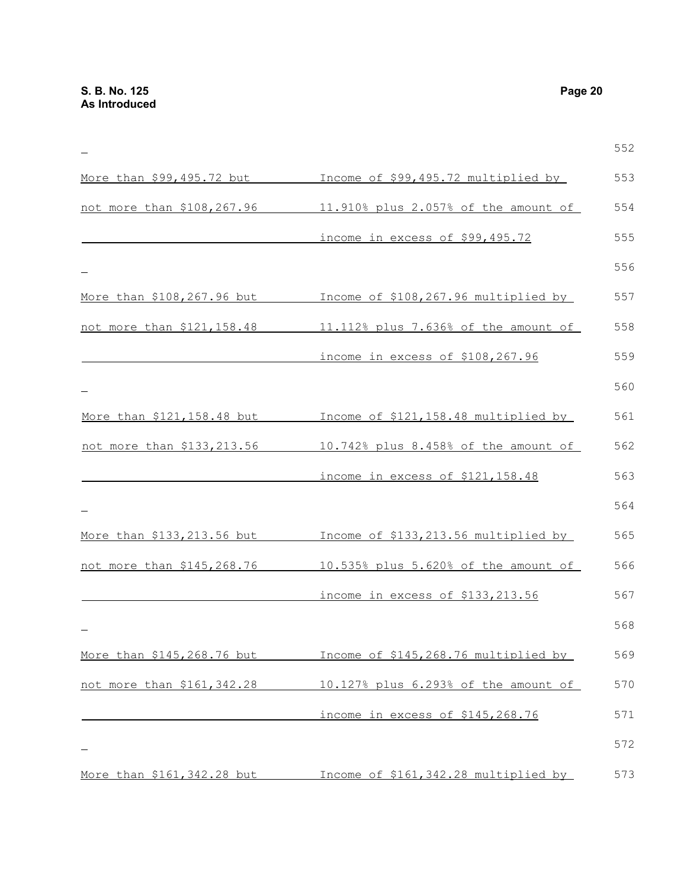|                             |                                      | 552 |
|-----------------------------|--------------------------------------|-----|
| More than \$99,495.72 but   | Income of \$99,495.72 multiplied by  | 553 |
| not more than \$108,267.96  | 11.910% plus 2.057% of the amount of | 554 |
|                             | income in excess of \$99,495.72      | 555 |
|                             |                                      | 556 |
| More than \$108,267.96 but  | Income of \$108,267.96 multiplied by | 557 |
| not more than \$121,158.48  | 11.112% plus 7.636% of the amount of | 558 |
|                             | income in excess of \$108,267.96     | 559 |
|                             |                                      | 560 |
| More than \$121, 158.48 but | Income of \$121,158.48 multiplied by | 561 |
| not more than \$133,213.56  | 10.742% plus 8.458% of the amount of | 562 |
|                             | income in excess of \$121,158.48     | 563 |
|                             |                                      | 564 |
| More than \$133, 213.56 but | Income of \$133,213.56 multiplied by | 565 |
| not more than \$145,268.76  | 10.535% plus 5.620% of the amount of | 566 |
|                             | income in excess of \$133,213.56     | 567 |
|                             |                                      | 568 |
| More than \$145,268.76 but  | Income of \$145,268.76 multiplied by | 569 |
| not more than \$161,342.28  | 10.127% plus 6.293% of the amount of | 570 |
|                             | income in excess of \$145,268.76     | 571 |
|                             |                                      | 572 |
| More than \$161, 342.28 but | Income of \$161,342.28 multiplied by | 573 |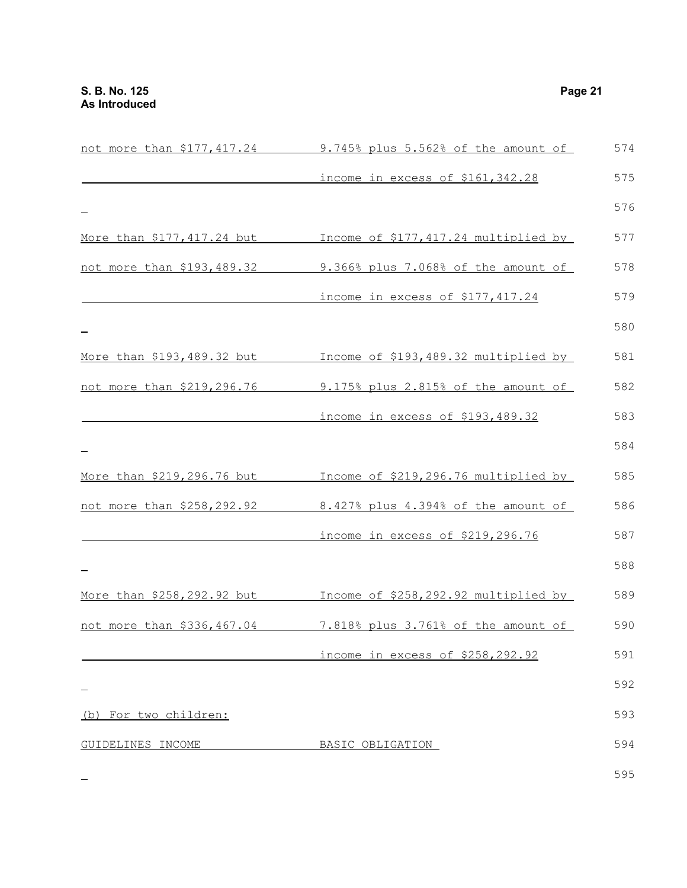| not more than \$177,417.24 | 9.745% plus 5.562% of the amount of  | 574 |
|----------------------------|--------------------------------------|-----|
|                            | income in excess of \$161,342.28     | 575 |
|                            |                                      | 576 |
| More than \$177,417.24 but | Income of \$177,417.24 multiplied by | 577 |
| not more than \$193,489.32 | 9.366% plus 7.068% of the amount of  | 578 |
|                            | income in excess of \$177,417.24     | 579 |
|                            |                                      | 580 |
| More than \$193,489.32 but | Income of \$193,489.32 multiplied by | 581 |
| not more than \$219,296.76 | 9.175% plus 2.815% of the amount of  | 582 |
|                            | income in excess of \$193,489.32     | 583 |
|                            |                                      | 584 |
| More than \$219,296.76 but | Income of \$219,296.76 multiplied by | 585 |
| not more than \$258,292.92 | 8.427% plus 4.394% of the amount of  | 586 |
|                            | income in excess of \$219,296.76     | 587 |
|                            |                                      | 588 |
| More than \$258,292.92 but | Income of \$258,292.92 multiplied by | 589 |
| not more than \$336,467.04 | 7.818% plus 3.761% of the amount of  | 590 |
|                            | income in excess of \$258,292.92     | 591 |
|                            |                                      | 592 |
| (b) For two children:      |                                      | 593 |
| GUIDELINES INCOME          | BASIC OBLIGATION                     | 594 |
|                            |                                      | 595 |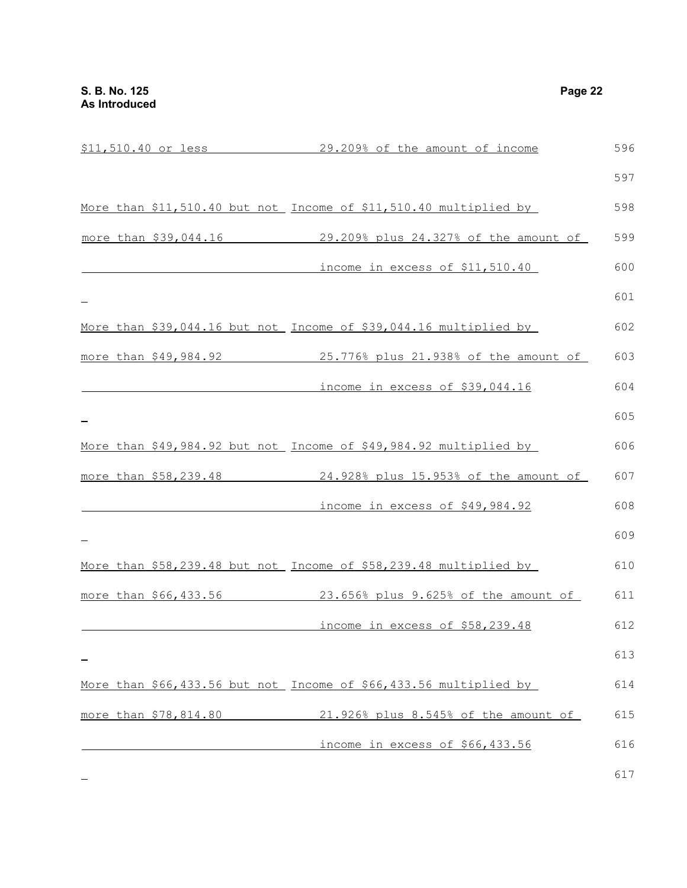|                       | \$11,510.40 or less 29.209% of the amount of income               | 596 |
|-----------------------|-------------------------------------------------------------------|-----|
|                       |                                                                   | 597 |
|                       | More than \$11,510.40 but not Income of \$11,510.40 multiplied by | 598 |
| more than \$39,044.16 | 29.209% plus 24.327% of the amount of                             | 599 |
|                       | income in excess of \$11,510.40                                   | 600 |
|                       |                                                                   | 601 |
|                       | More than \$39,044.16 but not Income of \$39,044.16 multiplied by | 602 |
| more than \$49,984.92 | 25.776% plus 21.938% of the amount of                             | 603 |
|                       | income in excess of \$39,044.16                                   | 604 |
|                       |                                                                   | 605 |
|                       | More than \$49,984.92 but not Income of \$49,984.92 multiplied by | 606 |
| more than \$58,239.48 | 24.928% plus 15.953% of the amount of                             | 607 |
|                       | income in excess of \$49,984.92                                   | 608 |
|                       |                                                                   | 609 |
|                       | More than \$58,239.48 but not Income of \$58,239.48 multiplied by | 610 |
| more than \$66,433.56 | 23.656% plus 9.625% of the amount of                              | 611 |
|                       | income in excess of \$58,239.48                                   | 612 |
|                       |                                                                   | 613 |
|                       | More than \$66,433.56 but not Income of \$66,433.56 multiplied by | 614 |
| more than \$78,814.80 | 21.926% plus 8.545% of the amount of                              | 615 |
|                       | income in excess of \$66,433.56                                   | 616 |
|                       |                                                                   | 617 |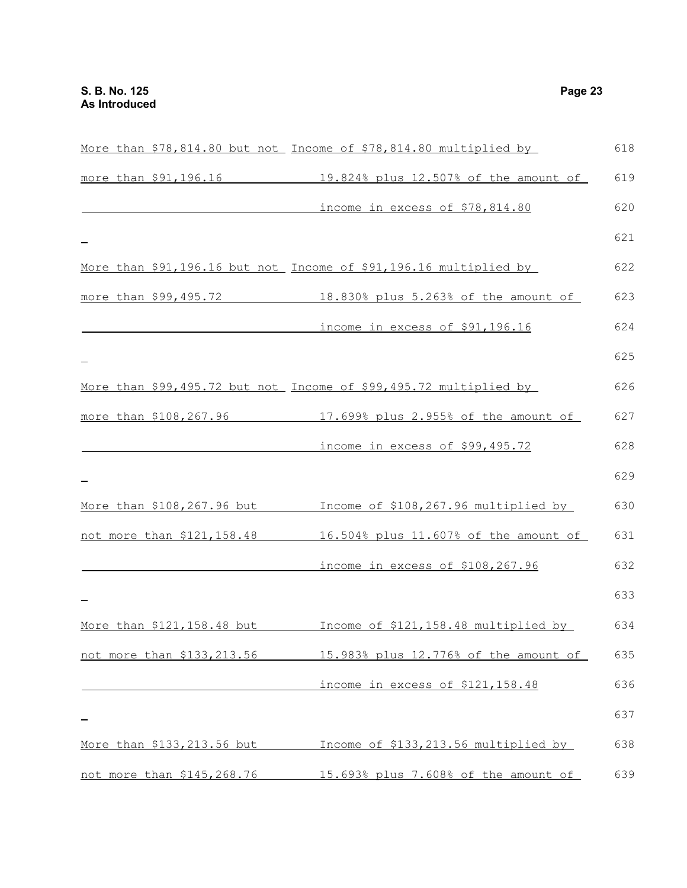|                             | More than \$78,814.80 but not Income of \$78,814.80 multiplied by | 618 |
|-----------------------------|-------------------------------------------------------------------|-----|
|                             | more than \$91,196.16 19.824% plus 12.507% of the amount of       | 619 |
|                             | income in excess of \$78,814.80                                   | 620 |
|                             |                                                                   | 621 |
|                             | More than \$91,196.16 but not Income of \$91,196.16 multiplied by | 622 |
|                             | more than \$99,495.72 18.830% plus 5.263% of the amount of        | 623 |
|                             | income in excess of \$91,196.16                                   | 624 |
|                             |                                                                   | 625 |
|                             | More than \$99,495.72 but not Income of \$99,495.72 multiplied by | 626 |
| more than \$108,267.96      | 17.699% plus 2.955% of the amount of                              | 627 |
|                             | <u>income in excess of \$99,495.72</u>                            | 628 |
|                             |                                                                   | 629 |
| More than \$108,267.96 but  | Income of \$108,267.96 multiplied by                              | 630 |
| not more than \$121,158.48  | 16.504% plus 11.607% of the amount of                             | 631 |
|                             | income in excess of \$108,267.96                                  | 632 |
|                             |                                                                   | 633 |
| More than \$121, 158.48 but | Income of \$121,158.48 multiplied by                              | 634 |
| not more than \$133,213.56  | 15.983% plus 12.776% of the amount of                             | 635 |
|                             | income in excess of \$121,158.48                                  | 636 |
|                             |                                                                   | 637 |
| More than \$133,213.56 but  | Income of \$133,213.56 multiplied by                              | 638 |
| not more than \$145,268.76  | 15.693% plus 7.608% of the amount of                              | 639 |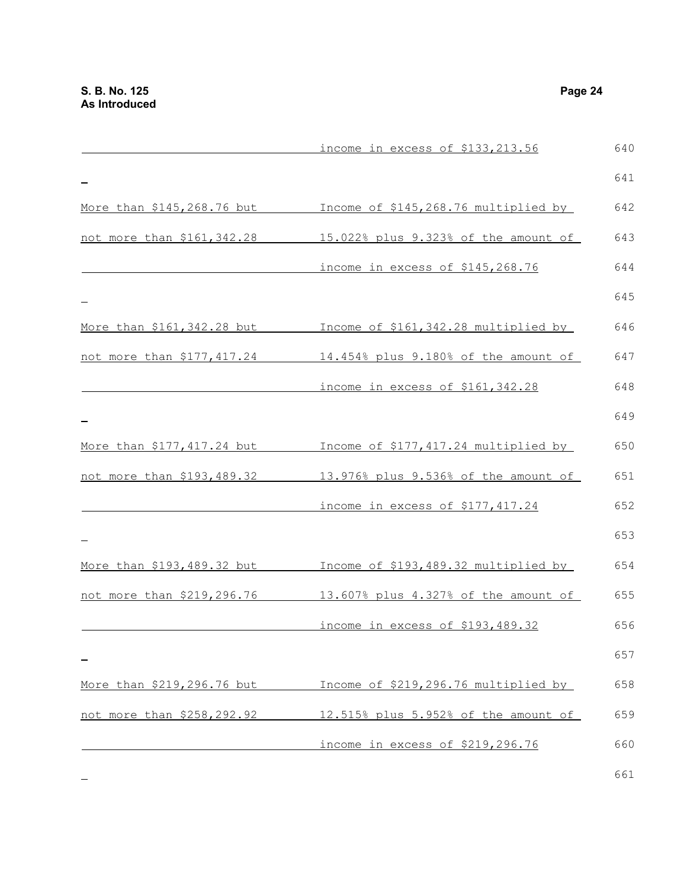|                             | income in excess of \$133,213.56     | 640 |
|-----------------------------|--------------------------------------|-----|
|                             |                                      | 641 |
| More than \$145,268.76 but  | Income of \$145,268.76 multiplied by | 642 |
| not more than \$161,342.28  | 15.022% plus 9.323% of the amount of | 643 |
|                             | income in excess of \$145,268.76     | 644 |
|                             |                                      | 645 |
| More than \$161, 342.28 but | Income of \$161,342.28 multiplied by | 646 |
| not more than \$177,417.24  | 14.454% plus 9.180% of the amount of | 647 |
|                             | income in excess of \$161,342.28     | 648 |
|                             |                                      | 649 |
| More than \$177,417.24 but  | Income of \$177,417.24 multiplied by | 650 |
| not more than \$193,489.32  | 13.976% plus 9.536% of the amount of | 651 |
|                             | income in excess of \$177,417.24     | 652 |
|                             |                                      | 653 |
| More than \$193,489.32 but  | Income of \$193,489.32 multiplied by | 654 |
| not more than \$219,296.76  | 13.607% plus 4.327% of the amount of | 655 |
|                             | income in excess of \$193,489.32     | 656 |
|                             |                                      | 657 |
| More than \$219,296.76 but  | Income of \$219,296.76 multiplied by | 658 |
| not more than \$258,292.92  | 12.515% plus 5.952% of the amount of | 659 |
|                             | income in excess of \$219,296.76     | 660 |
|                             |                                      |     |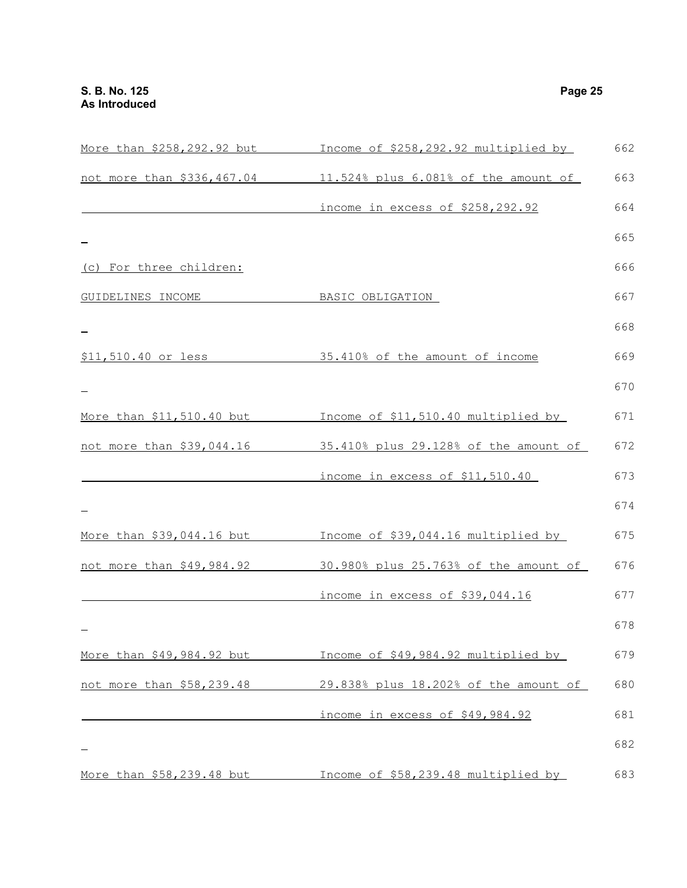$\overline{\phantom{0}}$ 

| More than \$258,292.92 but | Income of \$258,292.92 multiplied by       | 662 |
|----------------------------|--------------------------------------------|-----|
| not more than \$336,467.04 | $11.524$ % plus $6.081$ % of the amount of | 663 |
|                            | income in excess of \$258,292.92           | 664 |
|                            |                                            | 665 |
| (c) For three children:    |                                            | 666 |
| GUIDELINES INCOME          | BASIC OBLIGATION                           | 667 |
|                            |                                            | 668 |
| \$11,510.40 or less        | 35.410% of the amount of income            | 669 |
|                            |                                            | 670 |

## More than \$11,510.40 but Income of \$11,510.40 multiplied by not more than \$39,044.16 35.410% plus 29.128% of the amount of 672 income in excess of \$11,510.40 671 673

|                           |                                       | 674 |
|---------------------------|---------------------------------------|-----|
| More than \$39,044.16 but | Income of \$39,044.16 multiplied by   | 675 |
| not more than \$49,984.92 | 30.980% plus 25.763% of the amount of | 676 |
|                           | income in excess of \$39,044.16       | 677 |
|                           |                                       | 678 |
| More than \$49,984.92 but | Income of \$49,984.92 multiplied by   | 679 |
| not more than \$58,239.48 | 29.838% plus 18.202% of the amount of | 680 |
|                           |                                       |     |

 income in excess of \$49,984.92 681 682

More than \$58,239.48 but \_\_\_\_\_\_\_ Income of \$58,239.48 multiplied by \_\_\_\_\_\_ 683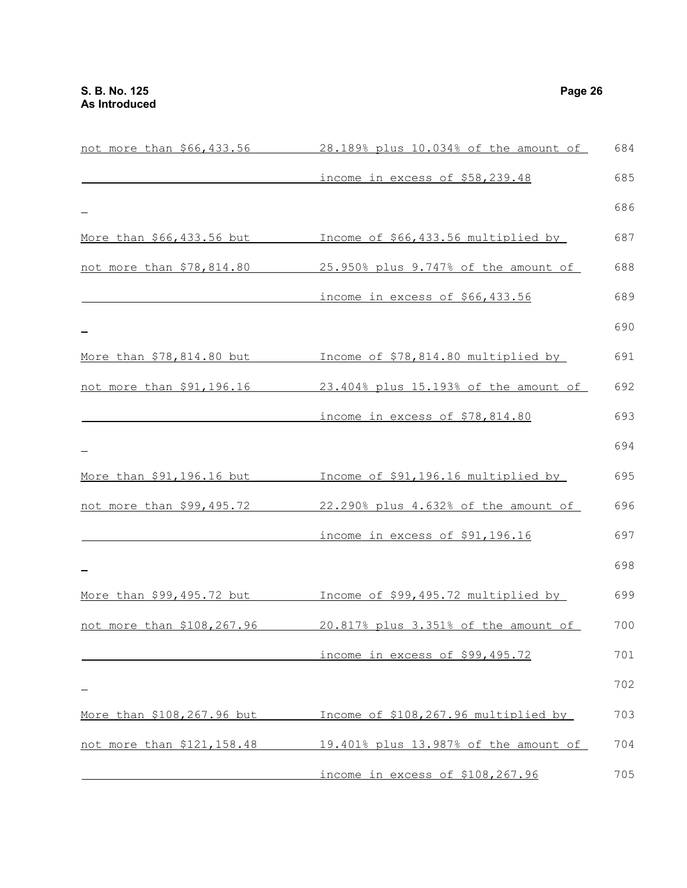| not more than \$66,433.56  | 28.189% plus 10.034% of the amount of | 684 |
|----------------------------|---------------------------------------|-----|
|                            | income in excess of \$58,239.48       | 685 |
|                            |                                       | 686 |
| More than \$66,433.56 but  | Income of \$66,433.56 multiplied by   | 687 |
| not more than \$78,814.80  | 25.950% plus 9.747% of the amount of  | 688 |
|                            | income in excess of \$66,433.56       | 689 |
|                            |                                       | 690 |
| More than \$78,814.80 but  | Income of \$78,814.80 multiplied by   | 691 |
| not more than \$91,196.16  | 23.404% plus 15.193% of the amount of | 692 |
|                            | income in excess of \$78,814.80       | 693 |
|                            |                                       | 694 |
| More than \$91,196.16 but  | Income of \$91,196.16 multiplied by   | 695 |
| not more than \$99,495.72  | 22.290% plus 4.632% of the amount of  | 696 |
|                            | income in excess of \$91,196.16       | 697 |
|                            |                                       | 698 |
| More than \$99,495.72 but  | Income of \$99,495.72 multiplied by   | 699 |
| not more than \$108,267.96 | 20.817% plus 3.351% of the amount of  | 700 |
|                            | income in excess of \$99,495.72       | 701 |
|                            |                                       | 702 |
| More than \$108,267.96 but | Income of \$108,267.96 multiplied by  | 703 |
| not more than \$121,158.48 | 19.401% plus 13.987% of the amount of | 704 |
|                            | income in excess of \$108,267.96      | 705 |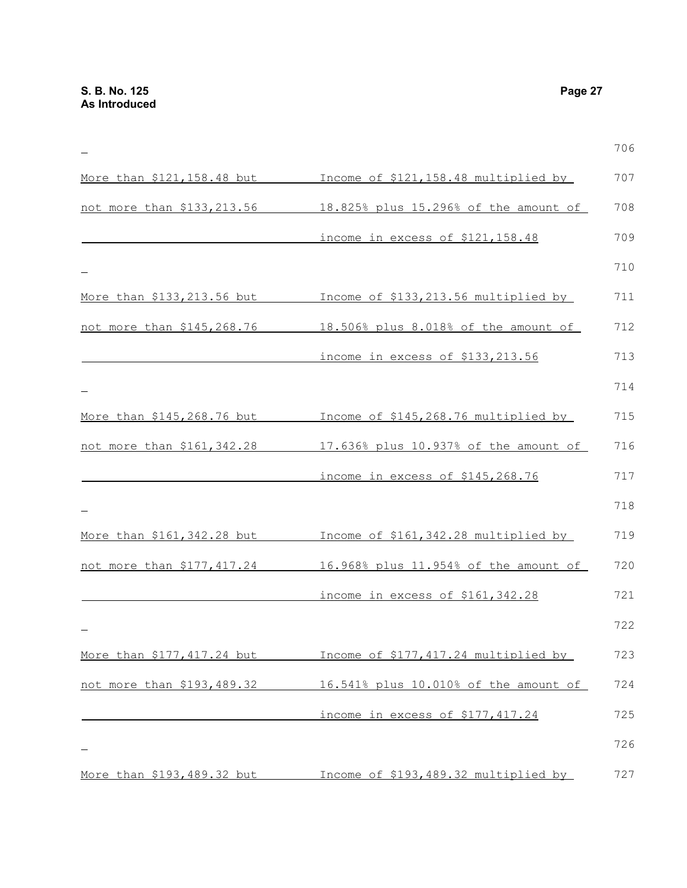|                             |                                       | 706 |
|-----------------------------|---------------------------------------|-----|
| More than \$121,158.48 but  | Income of \$121,158.48 multiplied by  | 707 |
| not more than \$133,213.56  | 18.825% plus 15.296% of the amount of | 708 |
|                             | income in excess of \$121,158.48      | 709 |
|                             |                                       | 710 |
| More than \$133,213.56 but  | Income of \$133, 213.56 multiplied by | 711 |
| not more than \$145,268.76  | 18.506% plus 8.018% of the amount of  | 712 |
|                             | income in excess of \$133,213.56      | 713 |
|                             |                                       | 714 |
| More than \$145,268.76 but  | Income of \$145,268.76 multiplied by  | 715 |
| not more than \$161,342.28  | 17.636% plus 10.937% of the amount of | 716 |
|                             | income in excess of \$145,268.76      | 717 |
|                             |                                       | 718 |
| More than \$161, 342.28 but | Income of \$161,342.28 multiplied by  | 719 |
| not more than \$177,417.24  | 16.968% plus 11.954% of the amount of | 720 |
|                             | income in excess of \$161,342.28      | 721 |
|                             |                                       | 722 |
| More than \$177, 417.24 but | Income of \$177,417.24 multiplied by  | 723 |
| not more than \$193,489.32  | 16.541% plus 10.010% of the amount of | 724 |
|                             | income in excess of \$177,417.24      | 725 |
|                             |                                       | 726 |
| More than \$193,489.32 but  | Income of \$193,489.32 multiplied by  | 727 |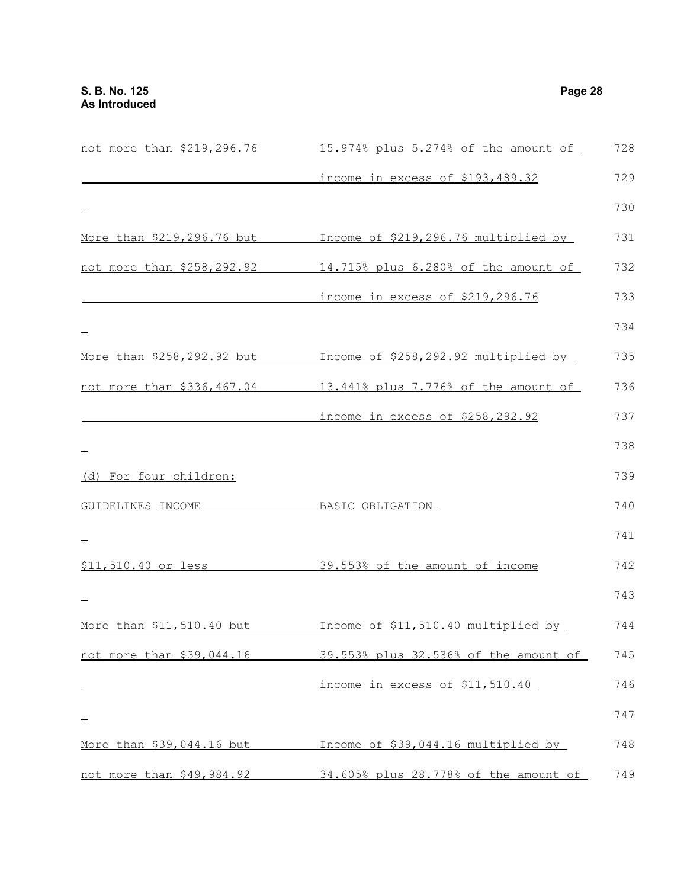|                                  | not more than \$219,296.76 15.974% plus 5.274% of the amount of | 728 |
|----------------------------------|-----------------------------------------------------------------|-----|
|                                  | income in excess of \$193,489.32                                | 729 |
|                                  |                                                                 | 730 |
| More than \$219,296.76 but       | Income of \$219,296.76 multiplied by                            | 731 |
| not more than \$258,292.92       | 14.715% plus 6.280% of the amount of                            | 732 |
|                                  | income in excess of \$219,296.76                                | 733 |
|                                  |                                                                 | 734 |
| More than \$258,292.92 but       | Income of \$258,292.92 multiplied by                            | 735 |
|                                  | not more than \$336,467.04 13.441% plus 7.776% of the amount of | 736 |
|                                  | income in excess of \$258,292.92                                | 737 |
|                                  |                                                                 | 738 |
| (d) For four children:           |                                                                 | 739 |
| GUIDELINES INCOME                | BASIC OBLIGATION                                                | 740 |
|                                  |                                                                 | 741 |
| \$11,510.40 or less              | 39.553% of the amount of income                                 | 742 |
|                                  |                                                                 | 743 |
| More than \$11,510.40 but        | Income of \$11,510.40 multiplied by                             | 744 |
| not more than \$39,044.16        | 39.553% plus 32.536% of the amount of                           | 745 |
|                                  | income in excess of \$11,510.40                                 | 746 |
|                                  |                                                                 | 747 |
| <u>More than \$39,044.16 but</u> | Income of \$39,044.16 multiplied by                             | 748 |
| not more than \$49,984.92        | 34.605% plus 28.778% of the amount of                           | 749 |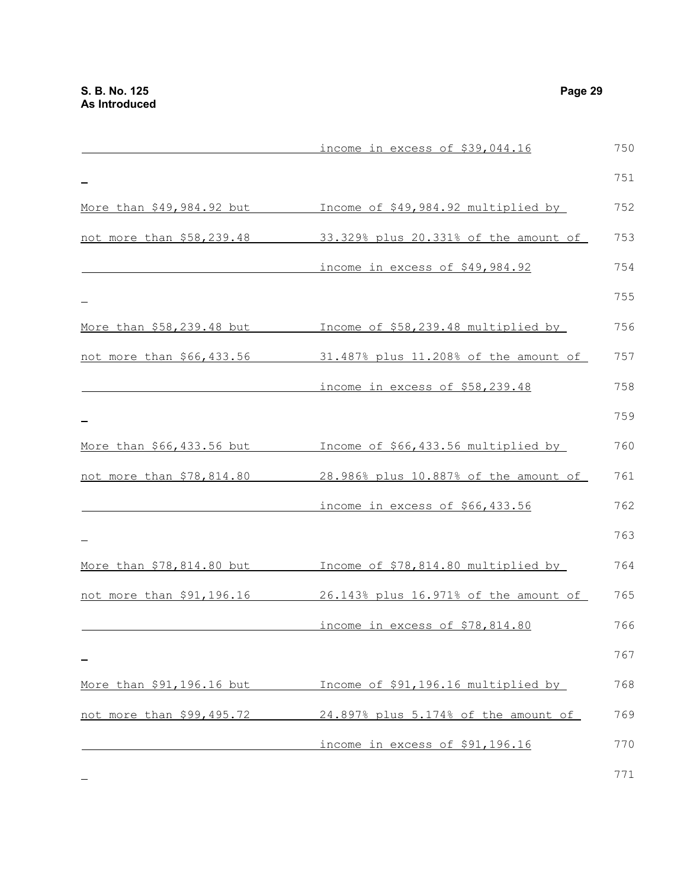|                           | income in excess of \$39,044.16       | 750 |
|---------------------------|---------------------------------------|-----|
|                           |                                       | 751 |
| More than \$49,984.92 but | Income of \$49,984.92 multiplied by   | 752 |
| not more than \$58,239.48 | 33.329% plus 20.331% of the amount of | 753 |
|                           | income in excess of \$49,984.92       | 754 |
|                           |                                       | 755 |
| More than \$58,239.48 but | Income of \$58,239.48 multiplied by   | 756 |
| not more than \$66,433.56 | 31.487% plus 11.208% of the amount of | 757 |
|                           | income in excess of \$58,239.48       | 758 |
|                           |                                       | 759 |
| More than \$66,433.56 but | Income of \$66,433.56 multiplied by   | 760 |
| not more than \$78,814.80 | 28.986% plus 10.887% of the amount of | 761 |
|                           | income in excess of \$66,433.56       | 762 |
|                           |                                       | 763 |
| More than \$78,814.80 but | Income of \$78,814.80 multiplied by   | 764 |
| not more than \$91,196.16 | 26.143% plus 16.971% of the amount of | 765 |
|                           | income in excess of \$78,814.80       | 766 |
|                           |                                       | 767 |
| More than \$91,196.16 but | Income of \$91,196.16 multiplied by   | 768 |
| not more than \$99,495.72 | 24.897% plus 5.174% of the amount of  | 769 |
|                           | income in excess of \$91,196.16       | 770 |
|                           |                                       |     |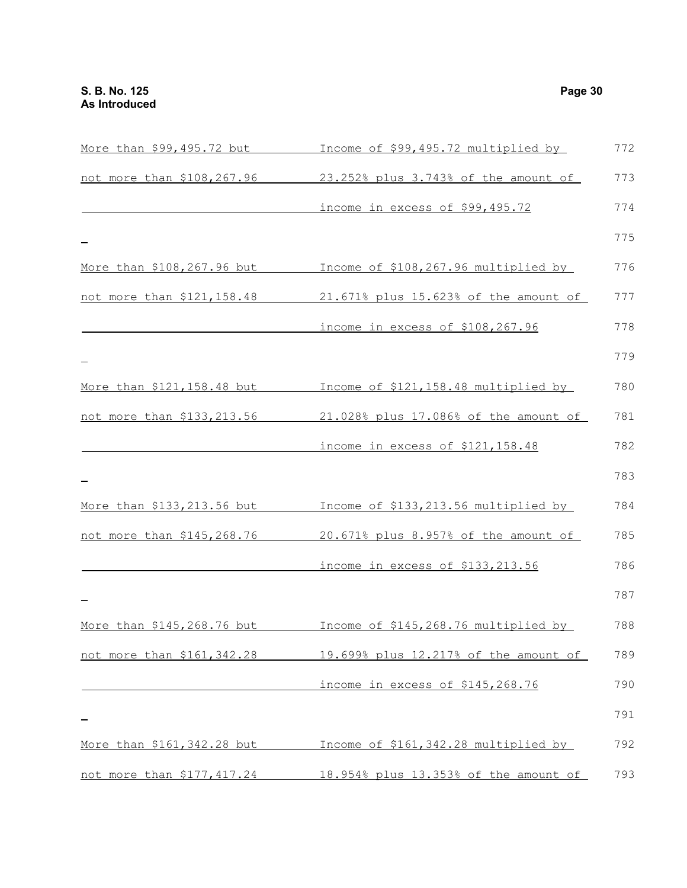| More than \$99,495.72 but   | Income of \$99,495.72 multiplied by   | 772 |
|-----------------------------|---------------------------------------|-----|
| not more than \$108,267.96  | 23.252% plus 3.743% of the amount of  | 773 |
|                             | income in excess of \$99,495.72       | 774 |
|                             |                                       | 775 |
| More than \$108,267.96 but  | Income of \$108,267.96 multiplied by  | 776 |
| not more than \$121,158.48  | 21.671% plus 15.623% of the amount of | 777 |
|                             | income in excess of \$108,267.96      | 778 |
|                             |                                       | 779 |
| More than \$121,158.48 but  | Income of \$121,158.48 multiplied by  | 780 |
| not more than \$133,213.56  | 21.028% plus 17.086% of the amount of | 781 |
|                             | income in excess of \$121,158.48      | 782 |
|                             |                                       | 783 |
| More than \$133, 213.56 but | Income of \$133,213.56 multiplied by  | 784 |
| not more than \$145,268.76  | 20.671% plus 8.957% of the amount of  | 785 |
|                             | income in excess of \$133,213.56      | 786 |
|                             |                                       | 787 |
| More than \$145,268.76 but  | Income of \$145,268.76 multiplied by  | 788 |
| not more than \$161,342.28  | 19.699% plus 12.217% of the amount of | 789 |
|                             | income in excess of \$145,268.76      | 790 |
|                             |                                       | 791 |
| More than \$161, 342.28 but | Income of \$161,342.28 multiplied by  | 792 |
| not more than \$177,417.24  | 18.954% plus 13.353% of the amount of | 793 |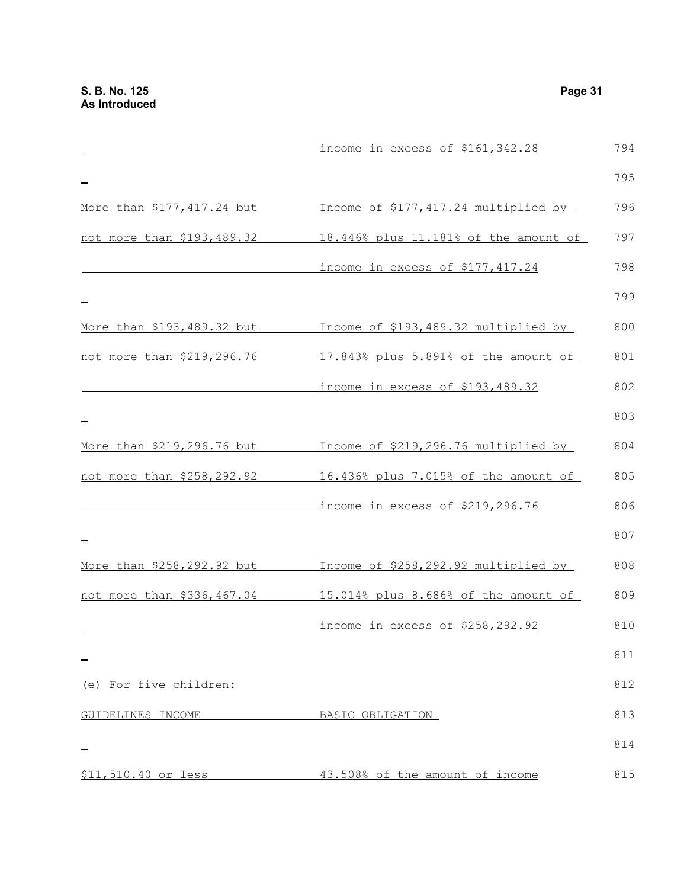|                            | income in excess of \$161,342.28      | 794 |
|----------------------------|---------------------------------------|-----|
|                            |                                       | 795 |
| More than \$177,417.24 but | Income of \$177,417.24 multiplied by  | 796 |
| not more than \$193,489.32 | 18.446% plus 11.181% of the amount of | 797 |
|                            | income in excess of \$177,417.24      | 798 |
|                            |                                       | 799 |
| More than \$193,489.32 but | Income of \$193,489.32 multiplied by  | 800 |
| not more than \$219,296.76 | 17.843% plus 5.891% of the amount of  | 801 |
|                            | income in excess of \$193,489.32      | 802 |
|                            |                                       | 803 |
| More than \$219,296.76 but | Income of \$219,296.76 multiplied by  | 804 |
| not more than \$258,292.92 | 16.436% plus 7.015% of the amount of  | 805 |
|                            | income in excess of \$219,296.76      | 806 |
|                            |                                       | 807 |
| More than \$258,292.92 but | Income of \$258,292.92 multiplied by  | 808 |
| not more than \$336,467.04 | 15.014% plus 8.686% of the amount of  | 809 |
|                            | income in excess of \$258,292.92      | 810 |
|                            |                                       | 811 |
| (e) For five children:     |                                       | 812 |
| GUIDELINES INCOME          | BASIC OBLIGATION                      | 813 |
|                            |                                       | 814 |
| \$11,510.40 or less        | 43.508% of the amount of income       | 815 |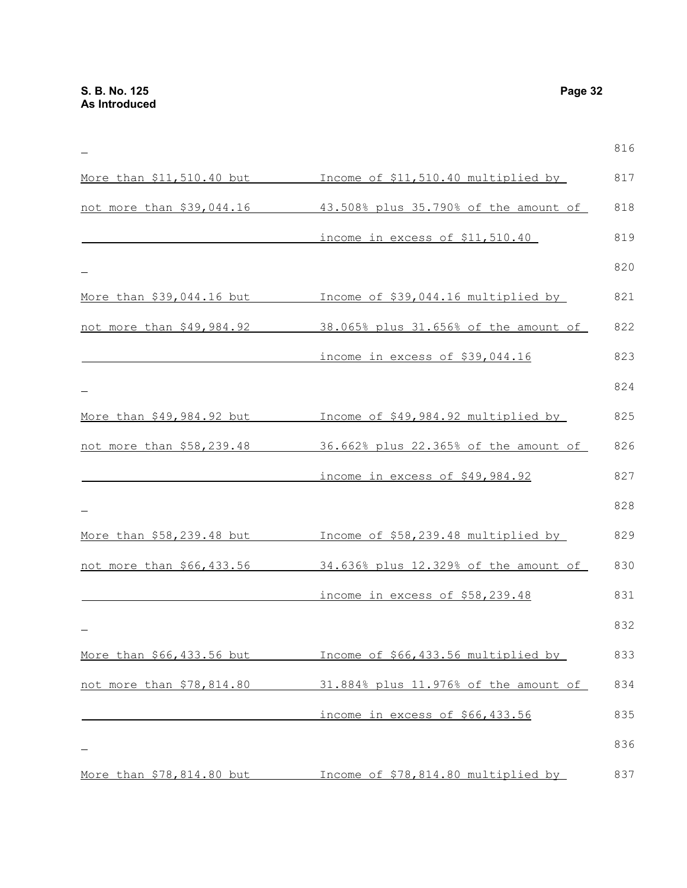|                           |                                       | 816 |
|---------------------------|---------------------------------------|-----|
| More than \$11,510.40 but | Income of \$11,510.40 multiplied by   | 817 |
| not more than \$39,044.16 | 43.508% plus 35.790% of the amount of | 818 |
|                           | income in excess of \$11,510.40       | 819 |
|                           |                                       | 820 |
| More than \$39,044.16 but | Income of \$39,044.16 multiplied by   | 821 |
| not more than \$49,984.92 | 38.065% plus 31.656% of the amount of | 822 |
|                           | income in excess of \$39,044.16       | 823 |
|                           |                                       | 824 |
| More than \$49,984.92 but | Income of \$49,984.92 multiplied by   | 825 |
| not more than \$58,239.48 | 36.662% plus 22.365% of the amount of | 826 |
|                           | income in excess of \$49,984.92       | 827 |
|                           |                                       | 828 |
| More than \$58,239.48 but | Income of \$58,239.48 multiplied by   | 829 |
| not more than \$66,433.56 | 34.636% plus 12.329% of the amount of | 830 |
|                           | income in excess of \$58,239.48       | 831 |
|                           |                                       | 832 |
| More than \$66,433.56 but | Income of \$66,433.56 multiplied by   | 833 |
| not more than \$78,814.80 | 31.884% plus 11.976% of the amount of | 834 |
|                           | income in excess of \$66,433.56       | 835 |
|                           |                                       | 836 |
| More than \$78,814.80 but | Income of \$78,814.80 multiplied by   | 837 |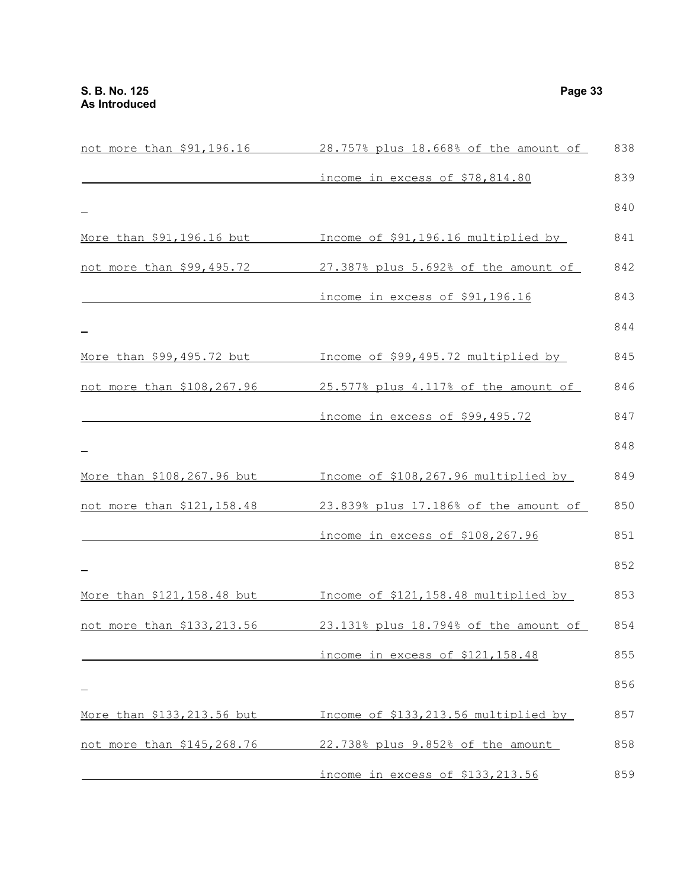|                                   | not more than \$91,196.16 28.757% plus 18.668% of the amount of | 838 |
|-----------------------------------|-----------------------------------------------------------------|-----|
|                                   | income in excess of \$78,814.80                                 | 839 |
|                                   |                                                                 | 840 |
| More than \$91,196.16 but         | Income of \$91,196.16 multiplied by                             | 841 |
| not more than \$99,495.72         | 27.387% plus 5.692% of the amount of                            | 842 |
|                                   | income in excess of \$91,196.16                                 | 843 |
|                                   |                                                                 | 844 |
| More than \$99,495.72 but         | Income of \$99,495.72 multiplied by                             | 845 |
| not more than \$108,267.96        | 25.577% plus 4.117% of the amount of                            | 846 |
|                                   | income in excess of \$99,495.72                                 | 847 |
|                                   |                                                                 | 848 |
| More than \$108,267.96 but        | Income of \$108,267.96 multiplied by                            | 849 |
| not more than \$121,158.48        | 23.839% plus 17.186% of the amount of                           | 850 |
|                                   | income in excess of \$108,267.96                                | 851 |
|                                   |                                                                 | 852 |
| <u>More than \$121,158.48 but</u> | Income of \$121,158.48 multiplied by                            | 853 |
| not more than \$133,213.56        | 23.131% plus 18.794% of the amount of                           | 854 |
|                                   | income in excess of \$121,158.48                                | 855 |
|                                   |                                                                 | 856 |
| More than \$133,213.56 but        | Income of \$133,213.56 multiplied by                            | 857 |
| not more than \$145,268.76        | 22.738% plus 9.852% of the amount                               | 858 |
|                                   | income in excess of \$133,213.56                                | 859 |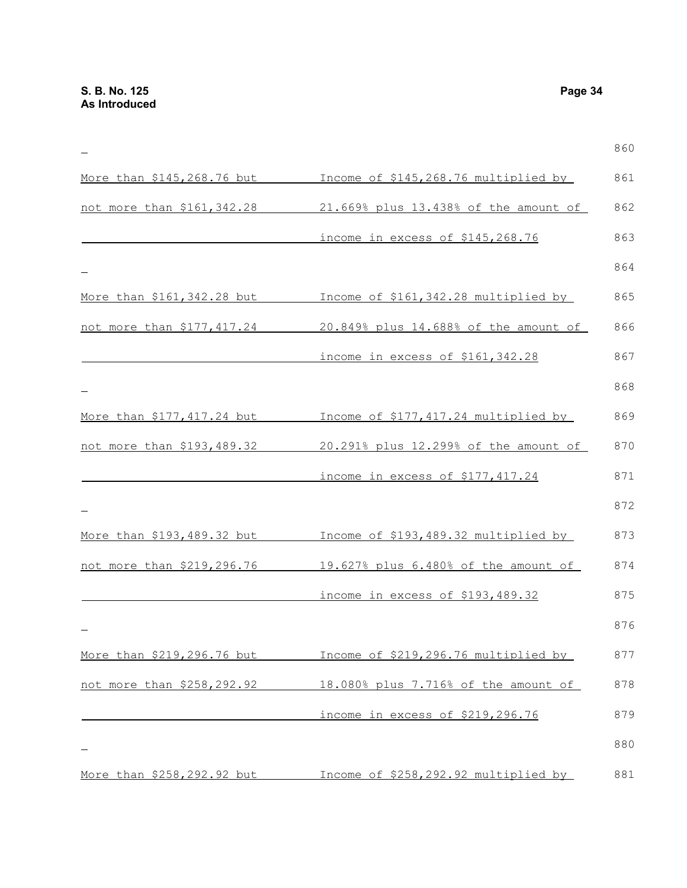|                            |                                       | 860 |
|----------------------------|---------------------------------------|-----|
| More than \$145,268.76 but | Income of \$145,268.76 multiplied by  | 861 |
| not more than \$161,342.28 | 21.669% plus 13.438% of the amount of | 862 |
|                            | income in excess of \$145,268.76      | 863 |
|                            |                                       | 864 |
| More than \$161,342.28 but | Income of \$161,342.28 multiplied by  | 865 |
| not more than \$177,417.24 | 20.849% plus 14.688% of the amount of | 866 |
|                            | income in excess of \$161,342.28      | 867 |
|                            |                                       | 868 |
| More than \$177,417.24 but | Income of \$177,417.24 multiplied by  | 869 |
| not more than \$193,489.32 | 20.291% plus 12.299% of the amount of | 870 |
|                            | income in excess of \$177,417.24      | 871 |
|                            |                                       | 872 |
| More than \$193,489.32 but | Income of \$193,489.32 multiplied by  | 873 |
| not more than \$219,296.76 | 19.627% plus 6.480% of the amount of  | 874 |
|                            | income in excess of \$193,489.32      | 875 |
|                            |                                       | 876 |
| More than \$219,296.76 but | Income of \$219,296.76 multiplied by  | 877 |
| not more than \$258,292.92 | 18.080% plus 7.716% of the amount of  | 878 |
|                            | income in excess of \$219,296.76      | 879 |
|                            |                                       | 880 |
| More than \$258,292.92 but | Income of \$258,292.92 multiplied by  | 881 |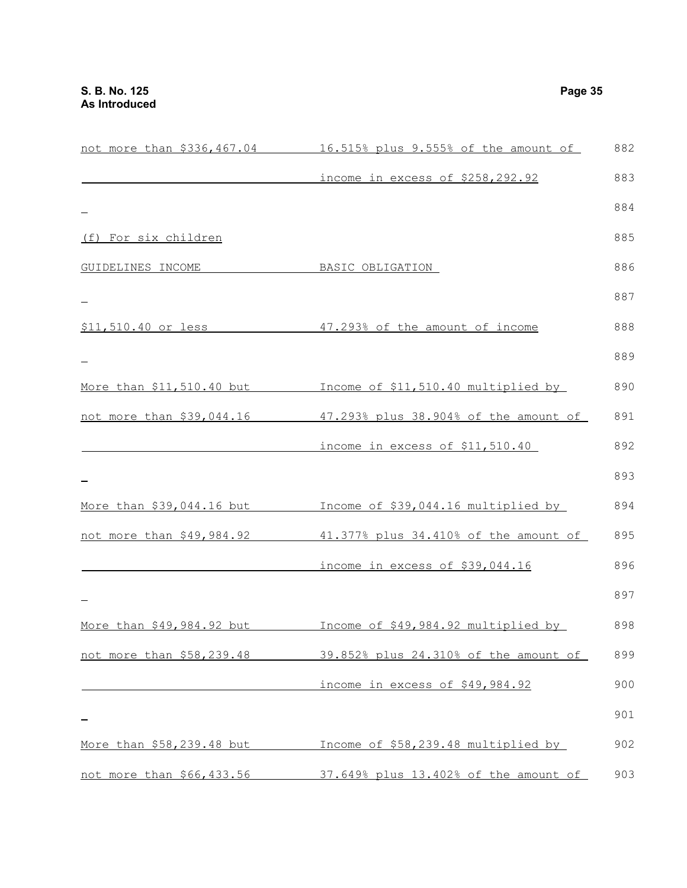|                           | not more than \$336,467.04 16.515% plus 9.555% of the amount of | 882 |
|---------------------------|-----------------------------------------------------------------|-----|
|                           | income in excess of \$258,292.92                                | 883 |
|                           |                                                                 | 884 |
| (f) For six children      |                                                                 | 885 |
| GUIDELINES INCOME         | BASIC OBLIGATION                                                | 886 |
|                           |                                                                 | 887 |
| \$11,510.40 or less       | 47.293% of the amount of income                                 | 888 |
|                           |                                                                 | 889 |
| More than \$11,510.40 but | Income of \$11,510.40 multiplied by                             | 890 |
| not more than \$39,044.16 | 47.293% plus 38.904% of the amount of                           | 891 |
|                           | income in excess of \$11,510.40                                 | 892 |
|                           |                                                                 | 893 |
| More than \$39,044.16 but | Income of \$39,044.16 multiplied by                             | 894 |
| not more than \$49,984.92 | 41.377% plus 34.410% of the amount of                           | 895 |
|                           | income in excess of \$39,044.16                                 | 896 |
|                           |                                                                 | 897 |
| More than \$49,984.92 but | Income of \$49,984.92 multiplied by                             | 898 |
| not more than \$58,239.48 | 39.852% plus 24.310% of the amount of                           | 899 |
|                           | income in excess of \$49,984.92                                 | 900 |
|                           |                                                                 | 901 |
| More than \$58,239.48 but | Income of \$58,239.48 multiplied by                             | 902 |
| not more than \$66,433.56 | 37.649% plus 13.402% of the amount of                           | 903 |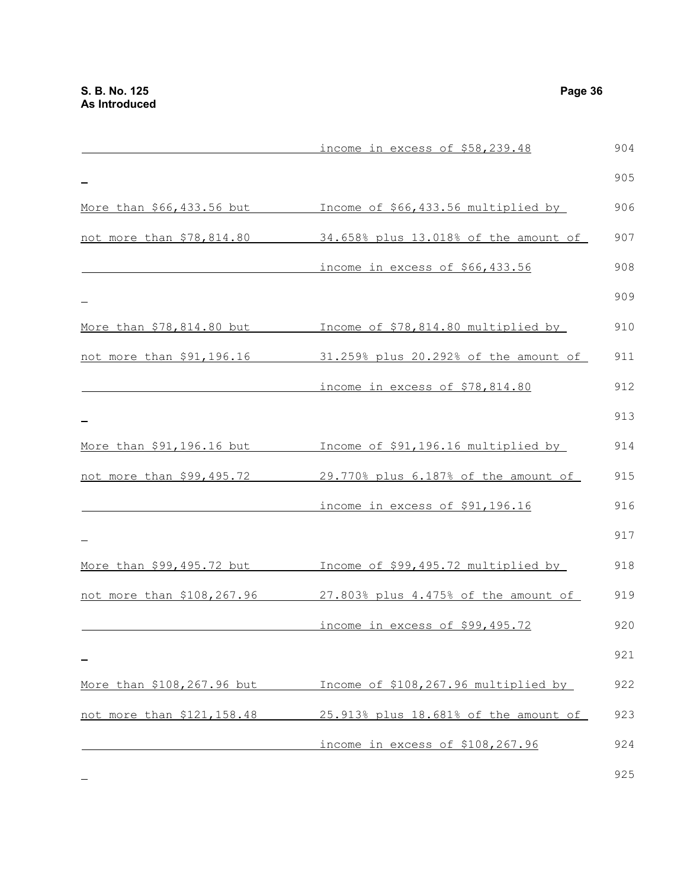|                            | income in excess of \$58,239.48       | 904 |
|----------------------------|---------------------------------------|-----|
|                            |                                       | 905 |
| More than \$66,433.56 but  | Income of \$66,433.56 multiplied by   | 906 |
| not more than \$78,814.80  | 34.658% plus 13.018% of the amount of | 907 |
|                            | income in excess of \$66,433.56       | 908 |
|                            |                                       | 909 |
| More than \$78,814.80 but  | Income of \$78,814.80 multiplied by   | 910 |
| not more than \$91,196.16  | 31.259% plus 20.292% of the amount of | 911 |
|                            | income in excess of \$78,814.80       | 912 |
|                            |                                       | 913 |
| More than \$91,196.16 but  | Income of \$91,196.16 multiplied by   | 914 |
| not more than \$99,495.72  | 29.770% plus 6.187% of the amount of  | 915 |
|                            | income in excess of \$91,196.16       | 916 |
|                            |                                       | 917 |
| More than \$99,495.72 but  | Income of \$99,495.72 multiplied by   | 918 |
| not more than \$108,267.96 | 27.803% plus 4.475% of the amount of  | 919 |
|                            | income in excess of \$99,495.72       | 920 |
|                            |                                       | 921 |
| More than \$108,267.96 but | Income of \$108,267.96 multiplied by  | 922 |
| not more than \$121,158.48 | 25.913% plus 18.681% of the amount of | 923 |
|                            | income in excess of \$108,267.96      | 924 |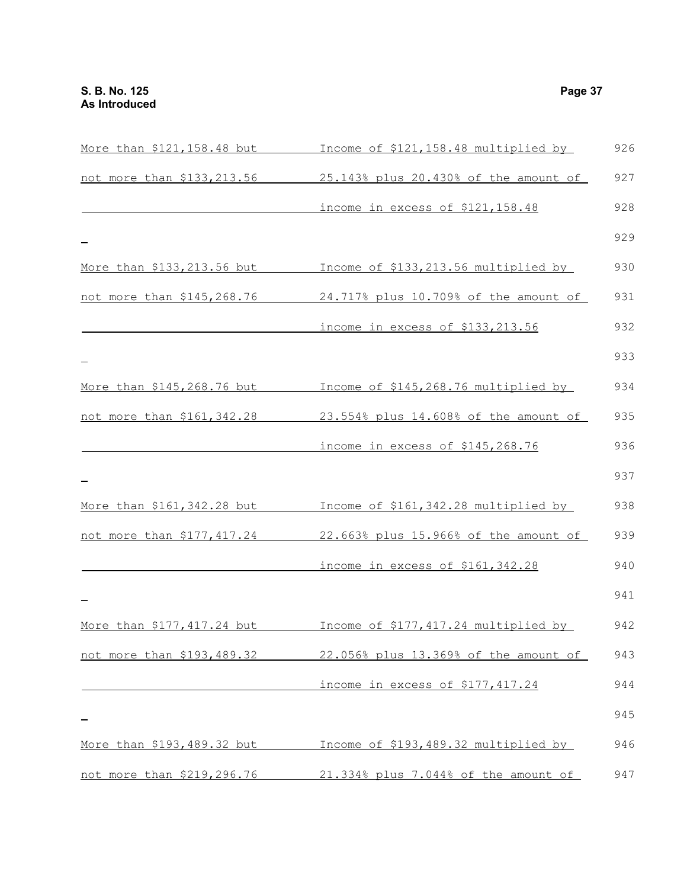| More than \$121,158.48 but  | Income of \$121,158.48 multiplied by  | 926 |
|-----------------------------|---------------------------------------|-----|
| not more than \$133,213.56  | 25.143% plus 20.430% of the amount of | 927 |
|                             | income in excess of \$121,158.48      | 928 |
|                             |                                       | 929 |
| More than \$133, 213.56 but | Income of \$133,213.56 multiplied by  | 930 |
| not more than \$145,268.76  | 24.717% plus 10.709% of the amount of | 931 |
|                             | income in excess of \$133,213.56      | 932 |
|                             |                                       | 933 |
| More than \$145,268.76 but  | Income of \$145,268.76 multiplied by  | 934 |
| not more than \$161,342.28  | 23.554% plus 14.608% of the amount of | 935 |
|                             | income in excess of \$145,268.76      | 936 |
|                             |                                       | 937 |
| More than \$161, 342.28 but | Income of \$161,342.28 multiplied by  | 938 |
| not more than \$177,417.24  | 22.663% plus 15.966% of the amount of | 939 |
|                             | income in excess of \$161,342.28      | 940 |
|                             |                                       | 941 |
| More than \$177,417.24 but  | Income of \$177,417.24 multiplied by  | 942 |
| not more than \$193,489.32  | 22.056% plus 13.369% of the amount of | 943 |
|                             | income in excess of \$177,417.24      | 944 |
|                             |                                       | 945 |
| More than \$193,489.32 but  | Income of \$193,489.32 multiplied by  | 946 |
| not more than \$219,296.76  | 21.334% plus 7.044% of the amount of  | 947 |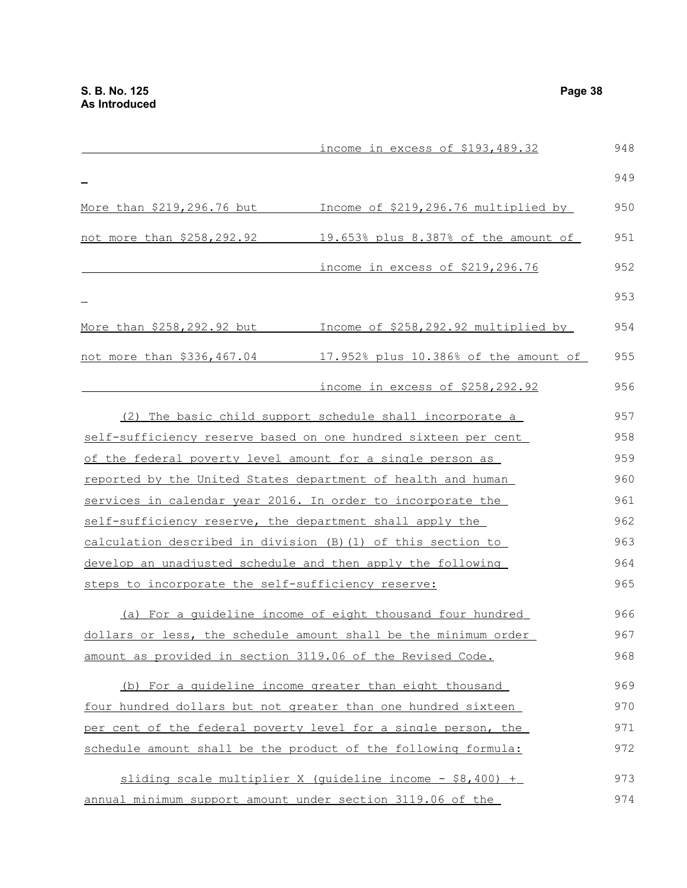|                                                            | income in excess of \$193,489.32                                | 948 |
|------------------------------------------------------------|-----------------------------------------------------------------|-----|
|                                                            |                                                                 | 949 |
| More than \$219,296.76 but                                 | Income of \$219,296.76 multiplied by                            | 950 |
| not more than \$258,292.92                                 | 19.653% plus 8.387% of the amount of                            | 951 |
|                                                            | income in excess of \$219,296.76                                | 952 |
|                                                            |                                                                 | 953 |
| More than \$258,292.92 but                                 | Income of \$258,292.92 multiplied by                            | 954 |
| not more than \$336,467.04                                 | 17.952% plus 10.386% of the amount of                           | 955 |
|                                                            | income in excess of \$258,292.92                                | 956 |
|                                                            | (2) The basic child support schedule shall incorporate a        | 957 |
|                                                            | self-sufficiency reserve based on one hundred sixteen per cent  | 958 |
|                                                            | of the federal poverty level amount for a single person as      | 959 |
|                                                            | reported by the United States department of health and human    | 960 |
|                                                            | services in calendar year 2016. In order to incorporate the     | 961 |
| self-sufficiency reserve, the department shall apply the   |                                                                 | 962 |
|                                                            | calculation described in division (B) (1) of this section to    | 963 |
|                                                            | develop an unadjusted schedule and then apply the following     | 964 |
| steps to incorporate the self-sufficiency reserve:         |                                                                 | 965 |
|                                                            | (a) For a quideline income of eight thousand four hundred       | 966 |
|                                                            | dollars or less, the schedule amount shall be the minimum order | 967 |
| amount as provided in section 3119.06 of the Revised Code. |                                                                 | 968 |
|                                                            | (b) For a quideline income greater than eight thousand          | 969 |
|                                                            | four hundred dollars but not greater than one hundred sixteen   | 970 |
|                                                            | per cent of the federal poverty level for a single person, the  | 971 |
|                                                            | schedule amount shall be the product of the following formula:  | 972 |
|                                                            | sliding scale multiplier X (quideline income - $$8,400$ ) +     | 973 |
|                                                            | annual minimum support amount under section 3119.06 of the      | 974 |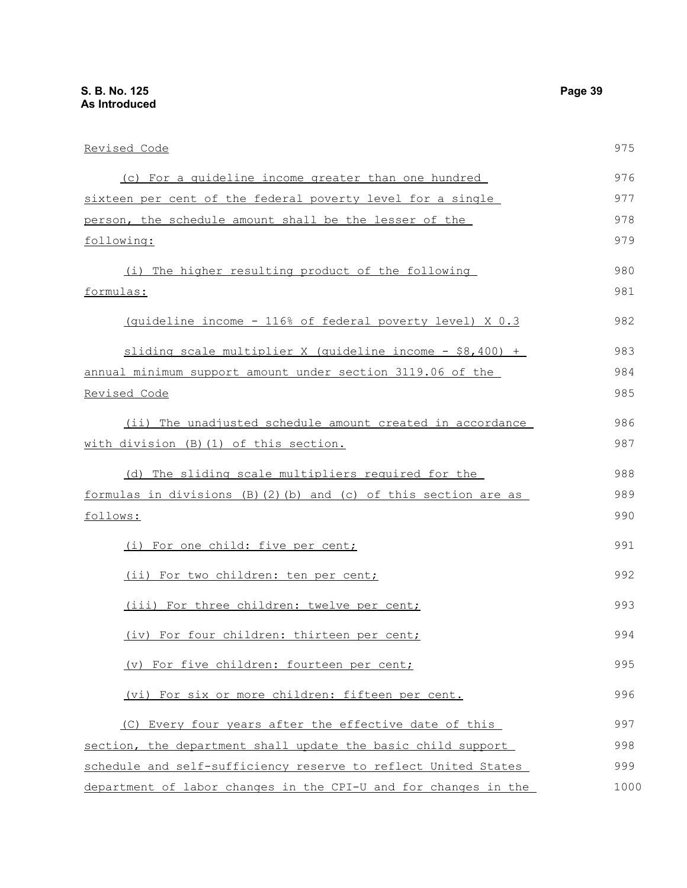| Revised Code                                                             | 975  |
|--------------------------------------------------------------------------|------|
| (c) For a quideline income greater than one hundred                      | 976  |
| sixteen per cent of the federal poverty level for a single               | 977  |
| person, the schedule amount shall be the lesser of the                   | 978  |
| following:                                                               | 979  |
| (i) The higher resulting product of the following                        | 980  |
| formulas:                                                                | 981  |
| (quideline income - 116% of federal poverty level) X 0.3                 | 982  |
| sliding scale multiplier X (quideline income $-$ \$8,400) +              | 983  |
| annual minimum support amount under section 3119.06 of the               | 984  |
| Revised Code                                                             | 985  |
| (ii) The unadjusted schedule amount created in accordance                | 986  |
| with division (B) (1) of this section.                                   | 987  |
| (d) The sliding scale multipliers required for the                       | 988  |
| formulas in divisions $(B)$ $(2)$ $(b)$ and $(c)$ of this section are as | 989  |
| follows:                                                                 | 990  |
| (i) For one child: five per cent;                                        | 991  |
| (ii) For two children: ten per cent;                                     | 992  |
| (iii) For three children: twelve per cent;                               | 993  |
| (iv) For four children: thirteen per cent;                               | 994  |
| (v) For five children: fourteen per cent;                                | 995  |
| (vi) For six or more children: fifteen per cent.                         | 996  |
| (C) Every four years after the effective date of this                    | 997  |
| section, the department shall update the basic child support             | 998  |
| schedule and self-sufficiency reserve to reflect United States           | 999  |
| department of labor changes in the CPI-U and for changes in the          | 1000 |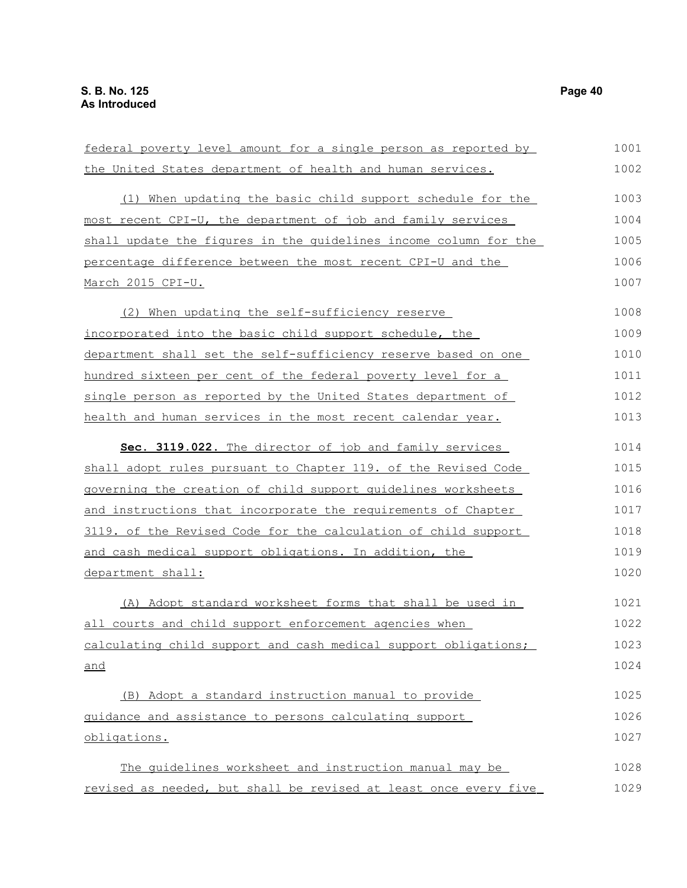| federal poverty level amount for a single person as reported by  | 1001 |
|------------------------------------------------------------------|------|
| the United States department of health and human services.       | 1002 |
| (1) When updating the basic child support schedule for the       | 1003 |
| most recent CPI-U, the department of job and family services     | 1004 |
| shall update the figures in the quidelines income column for the | 1005 |
| percentage difference between the most recent CPI-U and the      | 1006 |
| March 2015 CPI-U.                                                | 1007 |
| (2) When updating the self-sufficiency reserve                   | 1008 |
| incorporated into the basic child support schedule, the          | 1009 |
| department shall set the self-sufficiency reserve based on one   | 1010 |
| hundred sixteen per cent of the federal poverty level for a      | 1011 |
| single person as reported by the United States department of     | 1012 |
| health and human services in the most recent calendar year.      | 1013 |
| Sec. 3119.022. The director of job and family services           | 1014 |
| shall adopt rules pursuant to Chapter 119. of the Revised Code   | 1015 |
| governing the creation of child support quidelines worksheets    | 1016 |
| and instructions that incorporate the requirements of Chapter    | 1017 |
| 3119. of the Revised Code for the calculation of child support   | 1018 |
| and cash medical support obligations. In addition, the           | 1019 |
| department shall:                                                | 1020 |
| (A) Adopt standard worksheet forms that shall be used in         | 1021 |
| all courts and child support enforcement agencies when           | 1022 |
| calculating child support and cash medical support obligations;  | 1023 |
| and                                                              | 1024 |
| (B) Adopt a standard instruction manual to provide               | 1025 |
| guidance and assistance to persons calculating support           | 1026 |
| obligations.                                                     | 1027 |
| The quidelines worksheet and instruction manual may be           | 1028 |
| revised as needed, but shall be revised at least once every five | 1029 |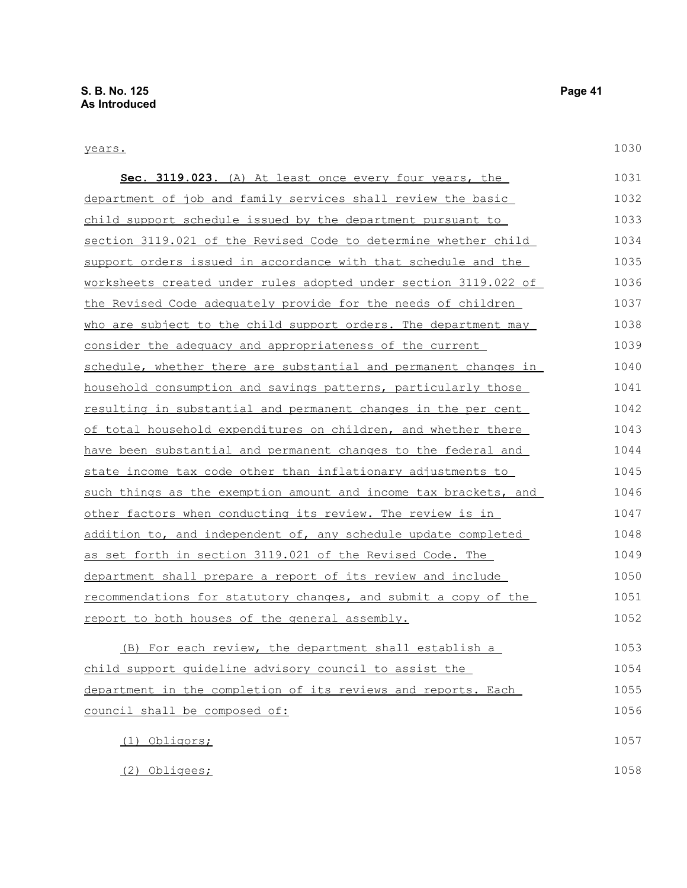# years.

| Sec. 3119.023. (A) At least once every four years, the                 | 1031 |
|------------------------------------------------------------------------|------|
| department of job and family services shall review the basic           | 1032 |
| child support schedule issued by the department pursuant to            | 1033 |
| <u>section 3119.021 of the Revised Code to determine whether child</u> | 1034 |
| support orders issued in accordance with that schedule and the         | 1035 |
| worksheets created under rules adopted under section 3119.022 of       | 1036 |
| the Revised Code adequately provide for the needs of children          | 1037 |
| who are subject to the child support orders. The department may        | 1038 |
| consider the adequacy and appropriateness of the current               | 1039 |
| schedule, whether there are substantial and permanent changes in       | 1040 |
| household consumption and savings patterns, particularly those         | 1041 |
| resulting in substantial and permanent changes in the per cent         | 1042 |
| of total household expenditures on children, and whether there         | 1043 |
| have been substantial and permanent changes to the federal and         | 1044 |
| state income tax code other than inflationary adjustments to           | 1045 |
| such things as the exemption amount and income tax brackets, and       | 1046 |
| other factors when conducting its review. The review is in             | 1047 |
| addition to, and independent of, any schedule update completed         | 1048 |
| as set forth in section 3119.021 of the Revised Code. The              | 1049 |
| <u>department shall prepare a report of its review and include</u>     | 1050 |
| recommendations for statutory changes, and submit a copy of the        | 1051 |
| report to both houses of the general assembly.                         | 1052 |
| (B) For each review, the department shall establish a                  | 1053 |
| child support quideline advisory council to assist the                 | 1054 |
| department in the completion of its reviews and reports. Each          | 1055 |
| council shall be composed of:                                          | 1056 |

| (1) Obligors; | 1057 |
|---------------|------|
| (2) Obligees; | 1058 |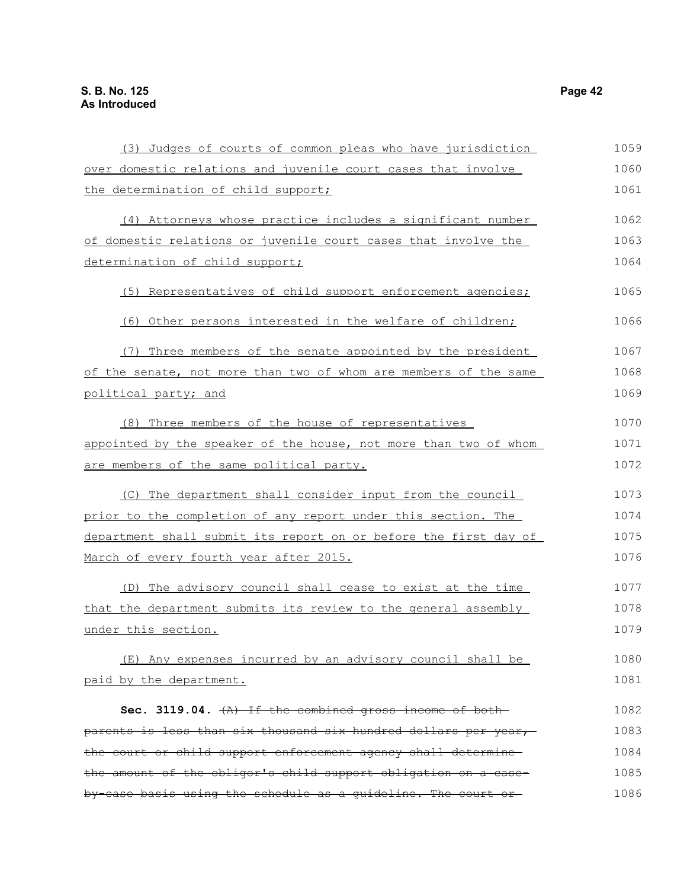(3) Judges of courts of common pleas who have jurisdiction over domestic relations and juvenile court cases that involve the determination of child support; (4) Attorneys whose practice includes a significant number of domestic relations or juvenile court cases that involve the determination of child support; (5) Representatives of child support enforcement agencies; (6) Other persons interested in the welfare of children; (7) Three members of the senate appointed by the president of the senate, not more than two of whom are members of the same political party; and (8) Three members of the house of representatives appointed by the speaker of the house, not more than two of whom are members of the same political party. (C) The department shall consider input from the council prior to the completion of any report under this section. The department shall submit its report on or before the first day of March of every fourth year after 2015. (D) The advisory council shall cease to exist at the time that the department submits its review to the general assembly under this section. (E) Any expenses incurred by an advisory council shall be paid by the department. Sec. 3119.04.  $\{A\}$  If the combined gross income of bothparents is less than six thousand six hundred dollars per year, the court or child support enforcement agency shall determine the amount of the obligor's child support obligation on a caseby-case basis using the schedule as a guideline. The court or 1059 1060 1061 1062 1063 1064 1065 1066 1067 1068 1069 1070 1071 1072 1073 1074 1075 1076 1077 1078 1079 1080 1081 1082 1083 1084 1085 1086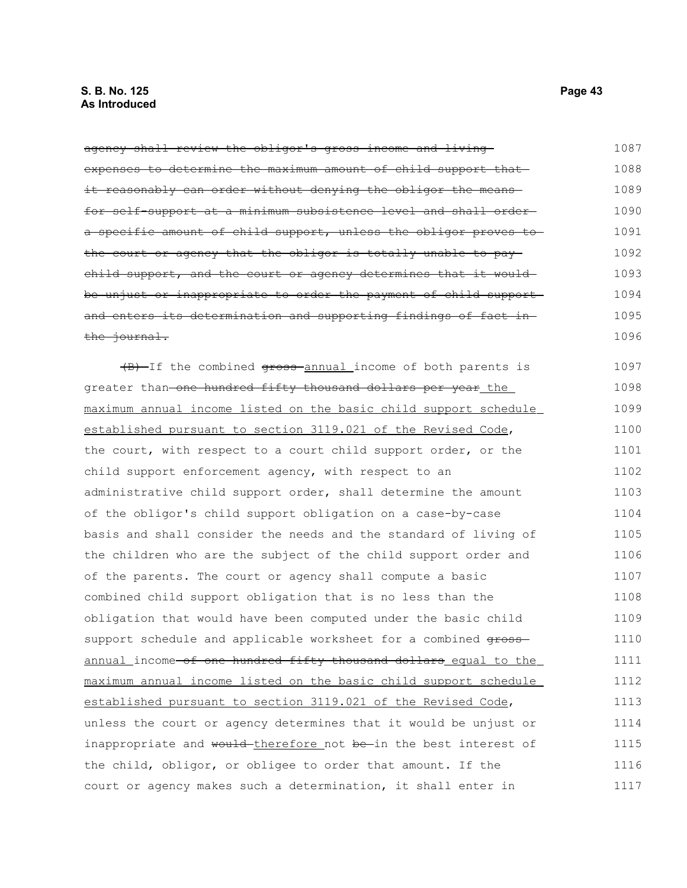agency shall review the obligor's gross income and living expenses to determine the maximum amount of child support that it reasonably can order without denying the obligor the meansfor self-support at a minimum subsistence level and shall order a specific amount of child support, unless the obligor proves to the court or agency that the obligor is totally unable to pay child support, and the court or agency determines that it would be unjust or inappropriate to order the payment of child support and enters its determination and supporting findings of fact in the journal. (B) If the combined gross annual income of both parents is greater than-one hundred fifty thousand dollars per year the maximum annual income listed on the basic child support schedule established pursuant to section 3119.021 of the Revised Code, the court, with respect to a court child support order, or the child support enforcement agency, with respect to an administrative child support order, shall determine the amount of the obligor's child support obligation on a case-by-case basis and shall consider the needs and the standard of living of the children who are the subject of the child support order and of the parents. The court or agency shall compute a basic combined child support obligation that is no less than the obligation that would have been computed under the basic child support schedule and applicable worksheet for a combined  $q$ rossannual income of one hundred fifty thousand dollars equal to the maximum annual income listed on the basic child support schedule established pursuant to section 3119.021 of the Revised Code, unless the court or agency determines that it would be unjust or inappropriate and would-therefore not be-in the best interest of the child, obligor, or obligee to order that amount. If the court or agency makes such a determination, it shall enter in 1087 1088 1089 1090 1091 1092 1093 1094 1095 1096 1097 1098 1099 1100 1101 1102 1103 1104 1105 1106 1107 1108 1109 1110 1111 1112 1113 1114 1115 1116 1117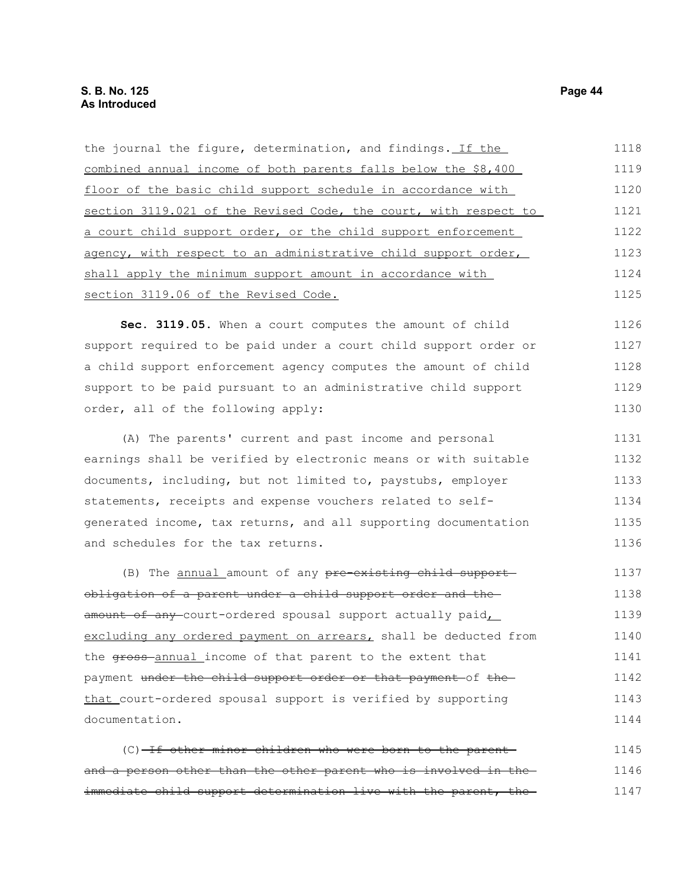| the journal the figure, determination, and findings. If the      | 1118 |
|------------------------------------------------------------------|------|
| combined annual income of both parents falls below the \$8,400   | 1119 |
| floor of the basic child support schedule in accordance with     | 1120 |
| section 3119.021 of the Revised Code, the court, with respect to | 1121 |
| a court child support order, or the child support enforcement    | 1122 |
| agency, with respect to an administrative child support order,   | 1123 |
| shall apply the minimum support amount in accordance with        | 1124 |
| section 3119.06 of the Revised Code.                             | 1125 |
| Sec. 3119.05. When a court computes the amount of child          | 1126 |

support required to be paid under a court child support order or a child support enforcement agency computes the amount of child support to be paid pursuant to an administrative child support order, all of the following apply: 1127 1128 1129 1130

(A) The parents' current and past income and personal earnings shall be verified by electronic means or with suitable documents, including, but not limited to, paystubs, employer statements, receipts and expense vouchers related to selfgenerated income, tax returns, and all supporting documentation and schedules for the tax returns. 1131 1132 1133 1134 1135 1136

(B) The annual amount of any pre-existing child supportobligation of a parent under a child support order and the amount of any-court-ordered spousal support actually paid, excluding any ordered payment on arrears, shall be deducted from the gross-annual income of that parent to the extent that payment under the child support order or that payment of the that court-ordered spousal support is verified by supporting documentation. 1137 1138 1139 1140 1141 1142 1143 1144

| $(C)$ -If other minor children who were born to the parent-      | 1145 |
|------------------------------------------------------------------|------|
| and a person other than the other parent who is involved in the- | 1146 |
| immediate child support determination live with the parent, the  | 1147 |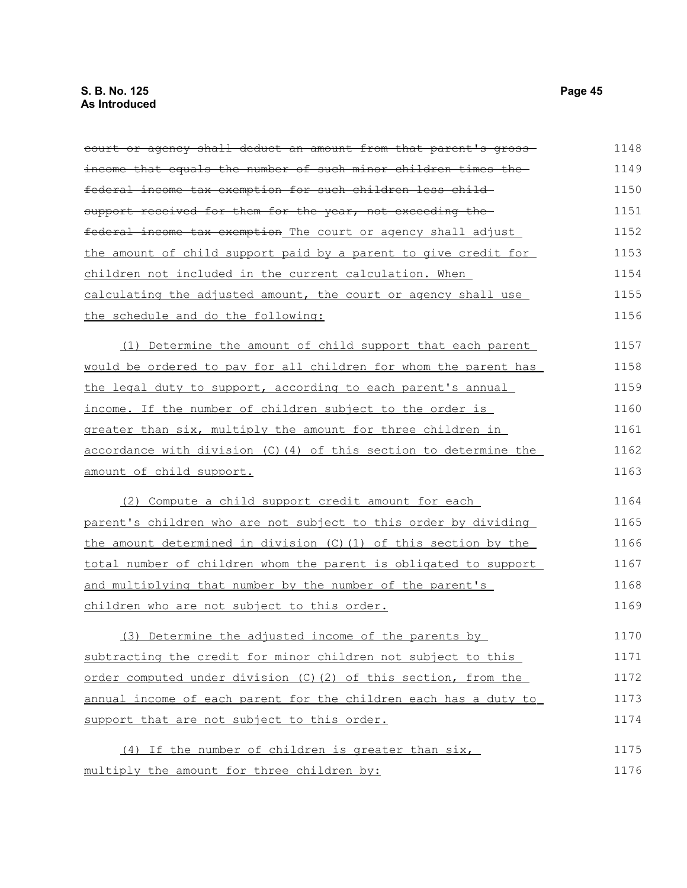| court or agency shall deduct an amount from that parent's gross-  | 1148 |
|-------------------------------------------------------------------|------|
| income that equals the number of such minor children times the-   | 1149 |
| federal income tax exemption for such children less child-        | 1150 |
| support received for them for the year, not exceeding the-        | 1151 |
| federal income tax exemption The court or agency shall adjust     | 1152 |
| the amount of child support paid by a parent to give credit for   | 1153 |
| children not included in the current calculation. When            | 1154 |
| calculating the adjusted amount, the court or agency shall use    | 1155 |
| the schedule and do the following:                                | 1156 |
| (1) Determine the amount of child support that each parent        | 1157 |
| would be ordered to pay for all children for whom the parent has  | 1158 |
| the legal duty to support, according to each parent's annual      | 1159 |
| income. If the number of children subject to the order is         | 1160 |
| greater than six, multiply the amount for three children in       | 1161 |
| accordance with division (C) (4) of this section to determine the | 1162 |
| amount of child support.                                          | 1163 |
| (2) Compute a child support credit amount for each                | 1164 |
| parent's children who are not subject to this order by dividing   | 1165 |
| the amount determined in division (C) (1) of this section by the  | 1166 |
| total number of children whom the parent is obligated to support  | 1167 |
| and multiplying that number by the number of the parent's         | 1168 |
| children who are not subject to this order.                       | 1169 |
| (3) Determine the adjusted income of the parents by               | 1170 |
| subtracting the credit for minor children not subject to this     | 1171 |
| order computed under division (C) (2) of this section, from the   | 1172 |
| annual income of each parent for the children each has a duty to  | 1173 |
| support that are not subject to this order.                       | 1174 |
| (4) If the number of children is greater than six,                | 1175 |
| multiply the amount for three children by:                        | 1176 |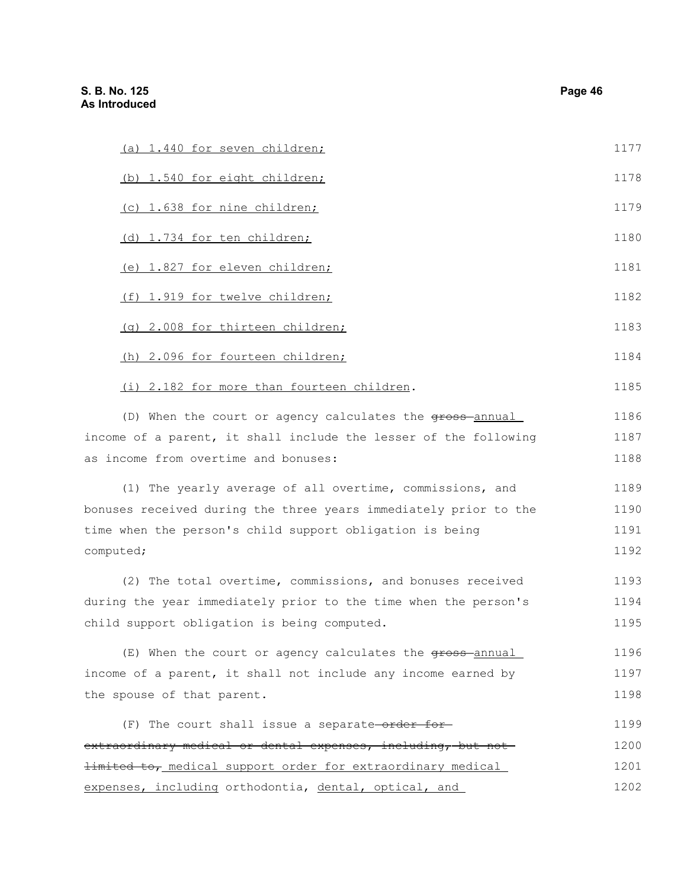| (a) 1.440 for seven children;                                    | 1177 |
|------------------------------------------------------------------|------|
| (b) 1.540 for eight children;                                    | 1178 |
| (c) 1.638 for nine children;                                     | 1179 |
| (d) 1.734 for ten children;                                      | 1180 |
| (e) 1.827 for eleven children;                                   | 1181 |
| (f) 1.919 for twelve children;                                   | 1182 |
| (g) 2.008 for thirteen children;                                 | 1183 |
| (h) 2.096 for fourteen children;                                 | 1184 |
| (i) 2.182 for more than fourteen children.                       | 1185 |
| (D) When the court or agency calculates the gross-annual         | 1186 |
| income of a parent, it shall include the lesser of the following | 1187 |
| as income from overtime and bonuses:                             | 1188 |
| (1) The yearly average of all overtime, commissions, and         | 1189 |
| bonuses received during the three years immediately prior to the | 1190 |
| time when the person's child support obligation is being         | 1191 |
| computed;                                                        | 1192 |
| (2) The total overtime, commissions, and bonuses received        | 1193 |
| during the year immediately prior to the time when the person's  | 1194 |
| child support obligation is being computed.                      | 1195 |
| (E) When the court or agency calculates the gross-annual         | 1196 |
| income of a parent, it shall not include any income earned by    | 1197 |
| the spouse of that parent.                                       | 1198 |
| (F) The court shall issue a separate-order for-                  | 1199 |
| extraordinary medical or dental expenses, including, but not     | 1200 |
| limited to, medical support order for extraordinary medical      | 1201 |

expenses, including orthodontia, dental, optical, and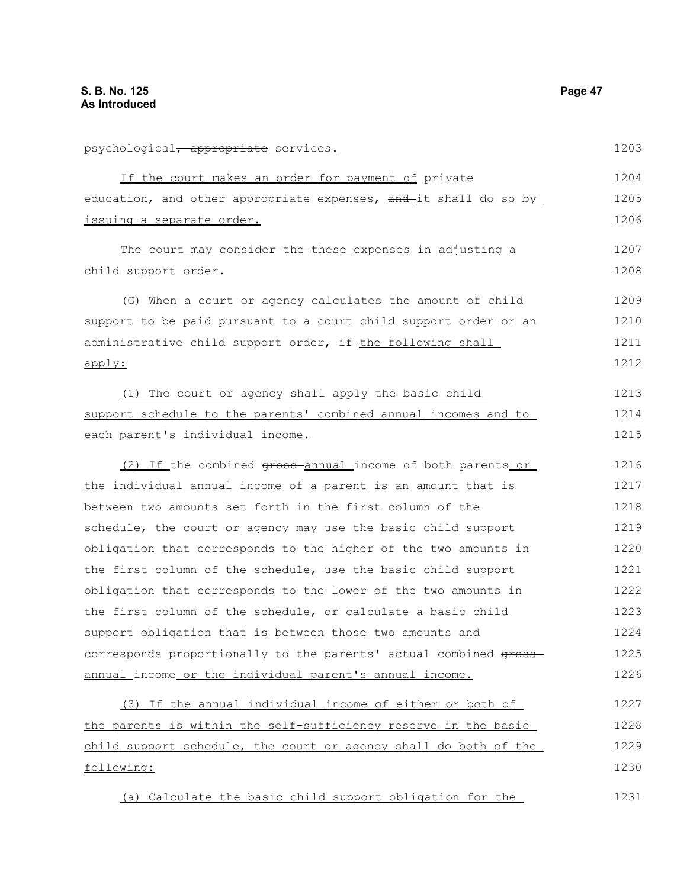| psychological <del>, appropriate</del> services.                       | 1203 |
|------------------------------------------------------------------------|------|
| If the court makes an order for payment of private                     | 1204 |
| education, and other appropriate expenses, and it shall do so by       | 1205 |
| issuing a separate order.                                              | 1206 |
| The court may consider the these expenses in adjusting a               | 1207 |
| child support order.                                                   | 1208 |
| (G) When a court or agency calculates the amount of child              | 1209 |
| support to be paid pursuant to a court child support order or an       | 1210 |
| administrative child support order, if the following shall             | 1211 |
| apply:                                                                 | 1212 |
| (1) The court or agency shall apply the basic child                    | 1213 |
| support schedule to the parents' combined annual incomes and to        | 1214 |
| each parent's individual income.                                       | 1215 |
| (2) If the combined <del>gross</del> -annual income of both parents or | 1216 |
| the individual annual income of a parent is an amount that is          | 1217 |
| between two amounts set forth in the first column of the               | 1218 |
| schedule, the court or agency may use the basic child support          | 1219 |
| obligation that corresponds to the higher of the two amounts in        | 1220 |
| the first column of the schedule, use the basic child support          | 1221 |
| obligation that corresponds to the lower of the two amounts in         | 1222 |
| the first column of the schedule, or calculate a basic child           | 1223 |
| support obligation that is between those two amounts and               | 1224 |
| corresponds proportionally to the parents' actual combined gross-      | 1225 |
| annual_income_or_the_individual_parent's_annual_income.                | 1226 |
| (3) If the annual individual income of either or both of               | 1227 |
| the parents is within the self-sufficiency reserve in the basic        | 1228 |
| child support schedule, the court or agency shall do both of the       | 1229 |
| following:                                                             | 1230 |
| (a) Calculate the basic child support obligation for the               | 1231 |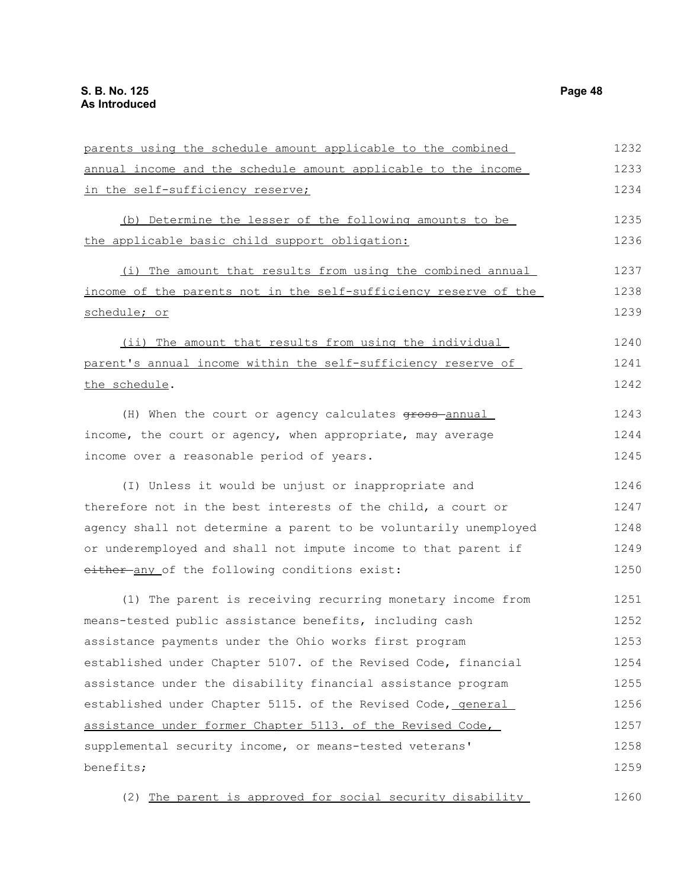parents using the schedule amount applicable to the combined annual income and the schedule amount applicable to the income in the self-sufficiency reserve; (b) Determine the lesser of the following amounts to be the applicable basic child support obligation: (i) The amount that results from using the combined annual income of the parents not in the self-sufficiency reserve of the schedule; or (ii) The amount that results from using the individual parent's annual income within the self-sufficiency reserve of the schedule. (H) When the court or agency calculates  $q$ ross-annual income, the court or agency, when appropriate, may average income over a reasonable period of years. (I) Unless it would be unjust or inappropriate and therefore not in the best interests of the child, a court or agency shall not determine a parent to be voluntarily unemployed or underemployed and shall not impute income to that parent if either any of the following conditions exist: (1) The parent is receiving recurring monetary income from means-tested public assistance benefits, including cash assistance payments under the Ohio works first program established under Chapter 5107. of the Revised Code, financial assistance under the disability financial assistance program established under Chapter 5115. of the Revised Code, general assistance under former Chapter 5113. of the Revised Code, supplemental security income, or means-tested veterans' benefits; (2) The parent is approved for social security disability 1232 1233 1234 1235 1236 1237 1238 1239 1240 1241 1242 1243 1244 1245 1246 1247 1248 1249 1250 1251 1252 1253 1254 1255 1256 1257 1258 1259 1260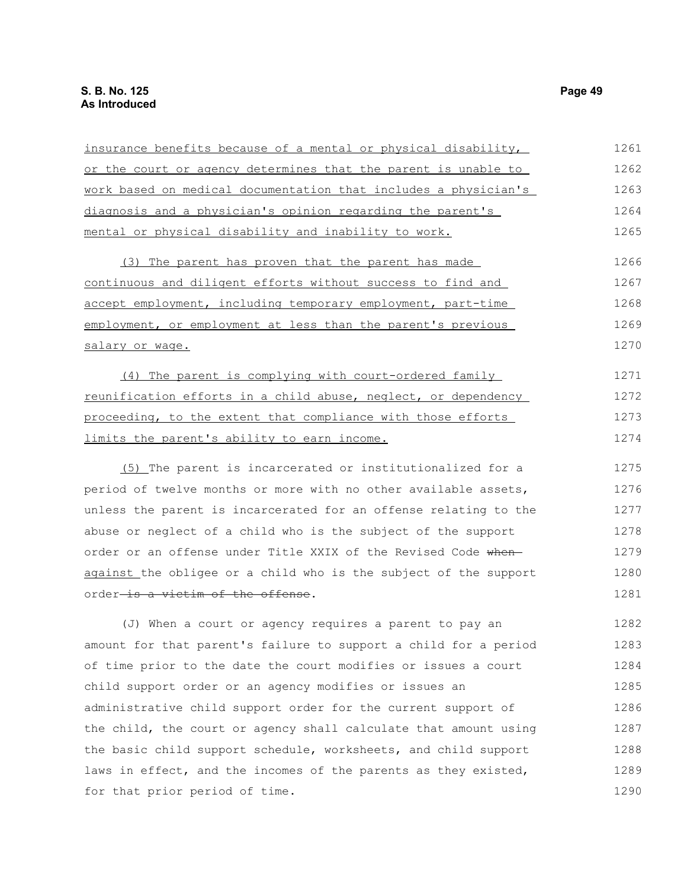| insurance benefits because of a mental or physical disability,   | 1261 |
|------------------------------------------------------------------|------|
| or the court or agency determines that the parent is unable to   | 1262 |
| work based on medical documentation that includes a physician's  | 1263 |
| diagnosis and a physician's opinion regarding the parent's       | 1264 |
| <u>mental or physical disability and inability to work.</u>      | 1265 |
| (3) The parent has proven that the parent has made               | 1266 |
| continuous and diligent efforts without success to find and      | 1267 |
| accept employment, including temporary employment, part-time     | 1268 |
| employment, or employment at less than the parent's previous     | 1269 |
| salary or wage.                                                  | 1270 |
| (4) The parent is complying with court-ordered family            | 1271 |
| reunification efforts in a child abuse, neglect, or dependency   | 1272 |
| proceeding, to the extent that compliance with those efforts     | 1273 |
| limits the parent's ability to earn income.                      | 1274 |
| (5) The parent is incarcerated or institutionalized for a        | 1275 |
| period of twelve months or more with no other available assets,  | 1276 |
| unless the parent is incarcerated for an offense relating to the | 1277 |
| abuse or neglect of a child who is the subject of the support    | 1278 |
| order or an offense under Title XXIX of the Revised Code when-   | 1279 |
| against the obligee or a child who is the subject of the support | 1280 |
| order <del>-is a victim of the offense</del> .                   | 1281 |
| (J) When a court or agency requires a parent to pay an           | 1282 |
| amount for that parent's failure to support a child for a period | 1283 |
| of time prior to the date the court modifies or issues a court   | 1284 |
| child support order or an agency modifies or issues an           | 1285 |
| administrative child support order for the current support of    | 1286 |
| the child, the court or agency shall calculate that amount using | 1287 |
| the basic child support schedule, worksheets, and child support  | 1288 |
| laws in effect, and the incomes of the parents as they existed,  | 1289 |
| for that prior period of time.                                   | 1290 |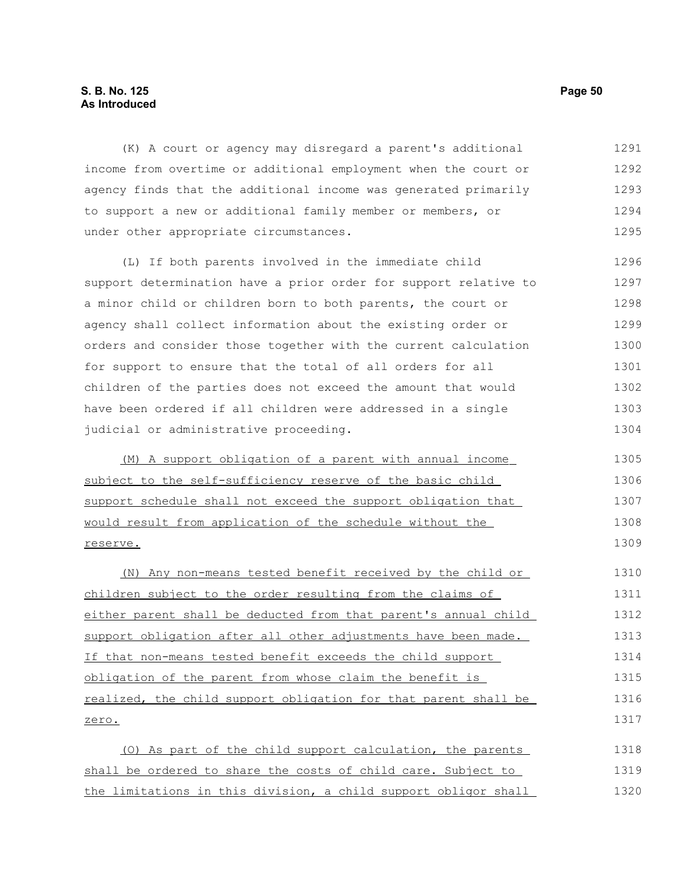# **S. B. No. 125 Page 50 As Introduced**

(K) A court or agency may disregard a parent's additional income from overtime or additional employment when the court or agency finds that the additional income was generated primarily to support a new or additional family member or members, or under other appropriate circumstances. 1291 1292 1293 1294 1295

(L) If both parents involved in the immediate child support determination have a prior order for support relative to a minor child or children born to both parents, the court or agency shall collect information about the existing order or orders and consider those together with the current calculation for support to ensure that the total of all orders for all children of the parties does not exceed the amount that would have been ordered if all children were addressed in a single judicial or administrative proceeding. 1296 1297 1298 1299 1300 1301 1302 1303 1304

 (M) A support obligation of a parent with annual income subject to the self-sufficiency reserve of the basic child support schedule shall not exceed the support obligation that would result from application of the schedule without the reserve. 1305 1306 1307 1308 1309

(N) Any non-means tested benefit received by the child or children subject to the order resulting from the claims of either parent shall be deducted from that parent's annual child support obligation after all other adjustments have been made. If that non-means tested benefit exceeds the child support obligation of the parent from whose claim the benefit is realized, the child support obligation for that parent shall be zero. 1310 1311 1312 1313 1314 1315 1316 1317

(O) As part of the child support calculation, the parents shall be ordered to share the costs of child care. Subject to the limitations in this division, a child support obligor shall 1318 1319 1320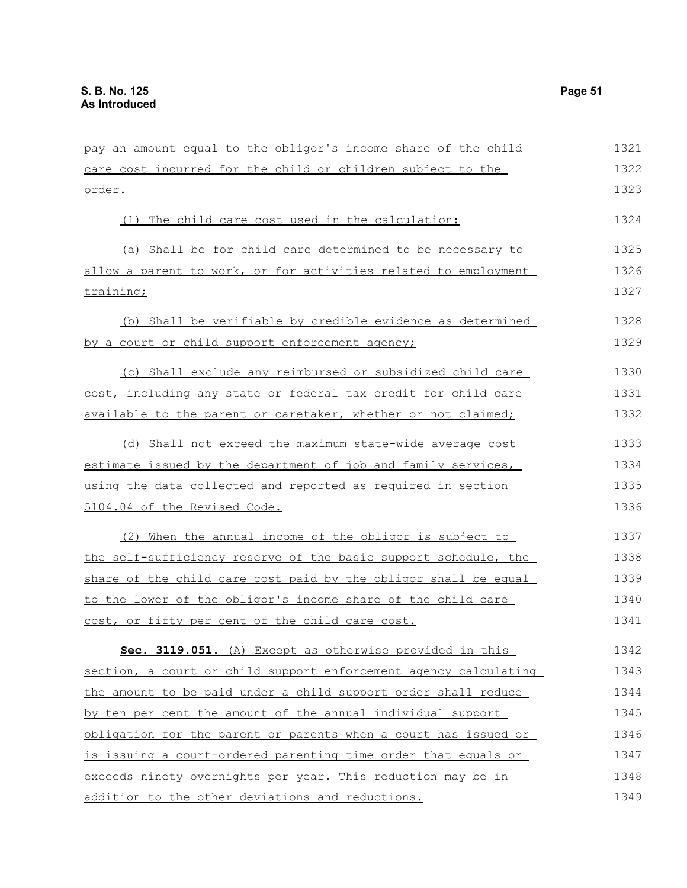| pay an amount equal to the obligor's income share of the child   | 1321 |
|------------------------------------------------------------------|------|
| care cost incurred for the child or children subject to the      | 1322 |
| <u>order.</u>                                                    | 1323 |
| (1) The child care cost used in the calculation:                 | 1324 |
| (a) Shall be for child care determined to be necessary to        | 1325 |
| allow a parent to work, or for activities related to employment  | 1326 |
| <u>training;</u>                                                 | 1327 |
| (b) Shall be verifiable by credible evidence as determined       | 1328 |
| by a court or child support enforcement agency;                  | 1329 |
| (c) Shall exclude any reimbursed or subsidized child care        | 1330 |
| cost, including any state or federal tax credit for child care   | 1331 |
| available to the parent or caretaker, whether or not claimed;    | 1332 |
| (d) Shall not exceed the maximum state-wide average cost         | 1333 |
| estimate issued by the department of job and family services,    | 1334 |
| using the data collected and reported as required in section     | 1335 |
| 5104.04 of the Revised Code.                                     | 1336 |
| (2) When the annual income of the obligor is subject to          | 1337 |
| the self-sufficiency reserve of the basic support schedule, the  | 1338 |
| share of the child care cost paid by the obligor shall be equal  | 1339 |
| to the lower of the obligor's income share of the child care     | 1340 |
| cost, or fifty per cent of the child care cost.                  | 1341 |
| Sec. 3119.051. (A) Except as otherwise provided in this          | 1342 |
| section, a court or child support enforcement agency calculating | 1343 |
| the amount to be paid under a child support order shall reduce   | 1344 |
| by ten per cent the amount of the annual individual support      | 1345 |
| obligation for the parent or parents when a court has issued or  | 1346 |
| is issuing a court-ordered parenting time order that equals or   | 1347 |
| exceeds ninety overnights per year. This reduction may be in     | 1348 |
| addition to the other deviations and reductions.                 | 1349 |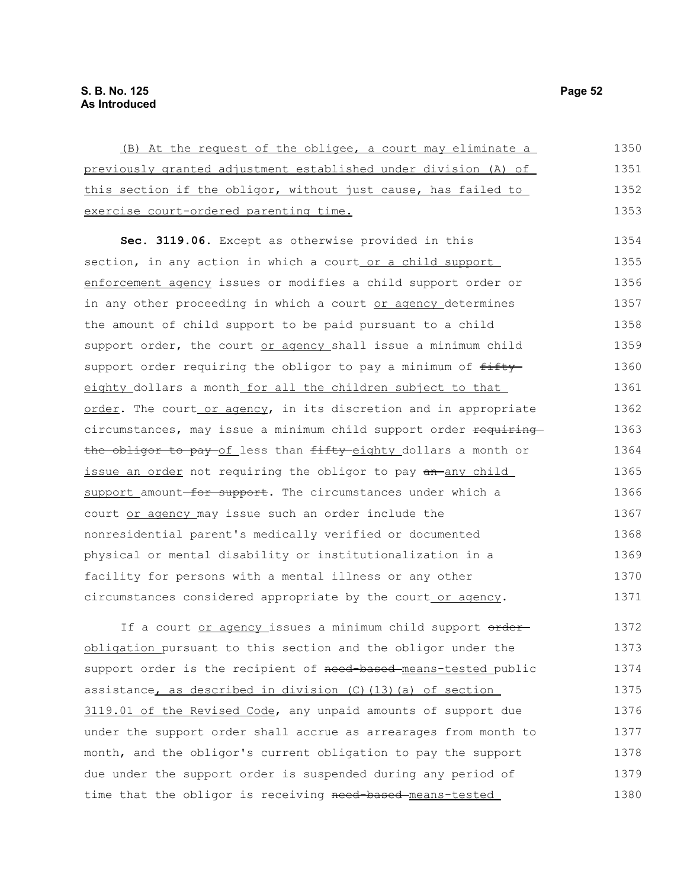| (B) At the request of the obligee, a court may eliminate a                                              | 1350    |
|---------------------------------------------------------------------------------------------------------|---------|
| previously granted adjustment established under division (A) of                                         | 1351    |
| this section if the obligor, without just cause, has failed to                                          | 1352    |
| exercise court-ordered parenting time.                                                                  | 1353    |
| Sec. 3119.06. Except as otherwise provided in this                                                      | 1354    |
| section, in any action in which a court or a child support                                              | 1355    |
| enforcement agency issues or modifies a child support order or                                          | 1356    |
| in any other proceeding in which a court or agency determines                                           | 1357    |
| the amount of child support to be paid pursuant to a child                                              | 1358    |
| support order, the court or agency shall issue a minimum child                                          | 1359    |
| support order requiring the obligor to pay a minimum of fifty                                           | 1360    |
| eighty_dollars a month for all the children subject to that                                             | 1361    |
| order. The court or agency, in its discretion and in appropriate                                        | 1362    |
| circumstances, may issue a minimum child support order requiring                                        | 1363    |
| the obligor to pay of less than fifty eighty dollars a month or                                         | 1364    |
| issue an order not requiring the obligor to pay an any child                                            | 1365    |
| support amount for support. The circumstances under which a                                             | 1366    |
| court or agency may issue such an order include the                                                     | 1367    |
| nonresidential parent's medically verified or documented                                                | 1368    |
| physical or mental disability or institutionalization in a                                              | 1369    |
| facility for persons with a mental illness or any other                                                 | 1370    |
| circumstances considered appropriate by the court or agency.                                            | 1371    |
| If a court or agency issues a minimum child support order                                               | 1372    |
| obligation pursuant to this section and the obligor under the                                           | 1373    |
| سال 1 والمنظ المستقل وسابق المستقل المستقل المستول والمستقل والمستقل المناقص والمستقل والمستقل والمستقل | $1 271$ |

support order is the recipient of need-based-means-tested public assistance, as described in division (C)(13)(a) of section 3119.01 of the Revised Code, any unpaid amounts of support due under the support order shall accrue as arrearages from month to month, and the obligor's current obligation to pay the support due under the support order is suspended during any period of time that the obligor is receiving need-based-means-tested 1374 1375 1376 1377 1378 1379 1380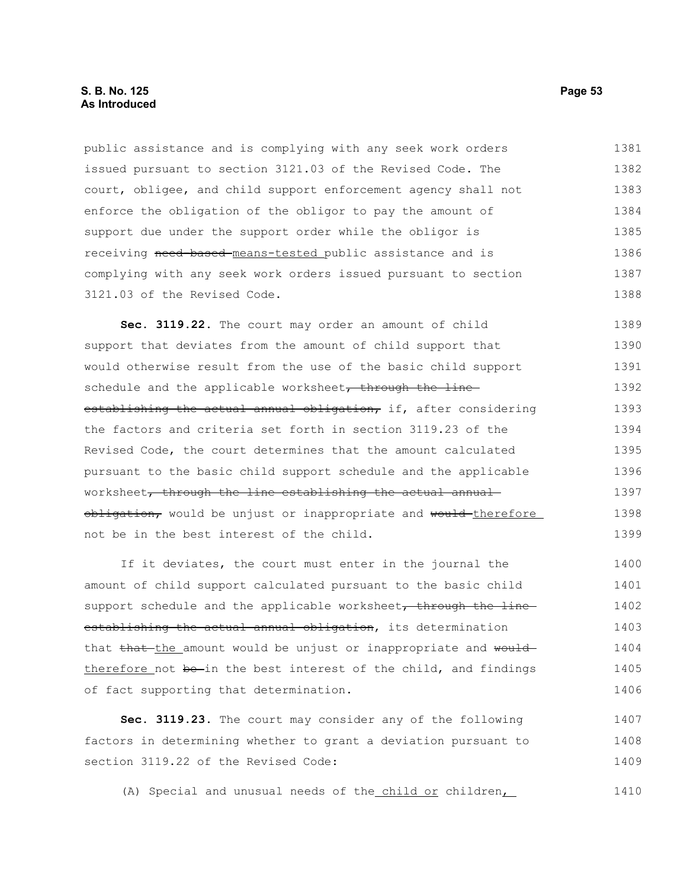# **S. B. No. 125 Page 53 As Introduced**

public assistance and is complying with any seek work orders issued pursuant to section 3121.03 of the Revised Code. The court, obligee, and child support enforcement agency shall not enforce the obligation of the obligor to pay the amount of support due under the support order while the obligor is receiving need-based-means-tested public assistance and is complying with any seek work orders issued pursuant to section 3121.03 of the Revised Code. 1381 1382 1383 1384 1385 1386 1387 1388

**Sec. 3119.22.** The court may order an amount of child support that deviates from the amount of child support that would otherwise result from the use of the basic child support schedule and the applicable worksheet, through the lineestablishing the actual annual obligation, if, after considering the factors and criteria set forth in section 3119.23 of the Revised Code, the court determines that the amount calculated pursuant to the basic child support schedule and the applicable worksheet, through the line establishing the actual annualobligation, would be unjust or inappropriate and would therefore not be in the best interest of the child. 1389 1390 1391 1392 1393 1394 1395 1396 1397 1398 1399

If it deviates, the court must enter in the journal the amount of child support calculated pursuant to the basic child support schedule and the applicable worksheet, through the lineestablishing the actual annual obligation, its determination that that the amount would be unjust or inappropriate and would therefore not be-in the best interest of the child, and findings of fact supporting that determination. 1400 1401 1402 1403 1404 1405 1406

**Sec. 3119.23.** The court may consider any of the following factors in determining whether to grant a deviation pursuant to section 3119.22 of the Revised Code: 1407 1408 1409

(A) Special and unusual needs of the child or children, 1410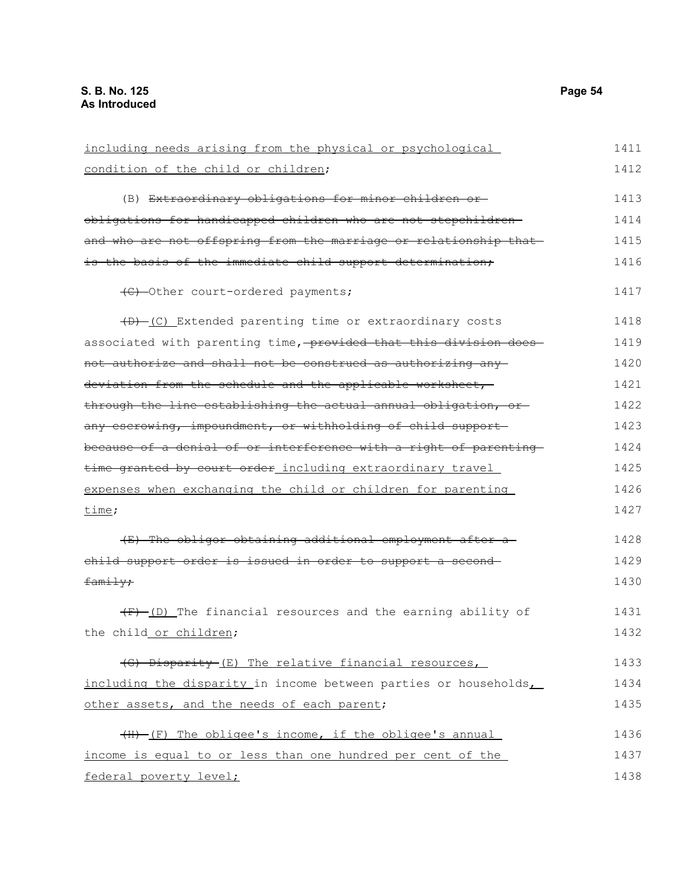| including needs arising from the physical or psychological        | 1411 |
|-------------------------------------------------------------------|------|
| condition of the child or children;                               | 1412 |
| (B) Extraordinary obligations for minor children or-              | 1413 |
| obligations for handicapped children who are not stepchildren-    | 1414 |
| and who are not offspring from the marriage or relationship that  | 1415 |
| is the basis of the immediate child support determination;        | 1416 |
| (C) -Other court-ordered payments;                                | 1417 |
| (B) -(C) Extended parenting time or extraordinary costs           | 1418 |
| associated with parenting time, provided that this division does- | 1419 |
| not authorize and shall not be construed as authorizing any       | 1420 |
| deviation from the schedule and the applicable worksheet,         | 1421 |
| through the line establishing the actual annual obligation, or-   | 1422 |
| any escrowing, impoundment, or withholding of child support-      | 1423 |
| because of a denial of or interference with a right of parenting  | 1424 |
| time granted by court order including extraordinary travel        | 1425 |
| expenses when exchanging the child or children for parenting      | 1426 |
| time;                                                             | 1427 |
| (E) The obligor obtaining additional employment after a           | 1428 |
| child support order is issued in order to support a second-       | 1429 |
| family;                                                           | 1430 |
| $(F)$ (D) The financial resources and the earning ability of      | 1431 |
| the child_or_children;                                            | 1432 |
| (G) Disparity (E) The relative financial resources,               | 1433 |
| including the disparity in income between parties or households   | 1434 |
| other assets, and the needs of each parent;                       | 1435 |
| (H) (F) The obligee's income, if the obligee's annual             | 1436 |
| income is equal to or less than one hundred per cent of the       | 1437 |
| federal poverty level;                                            | 1438 |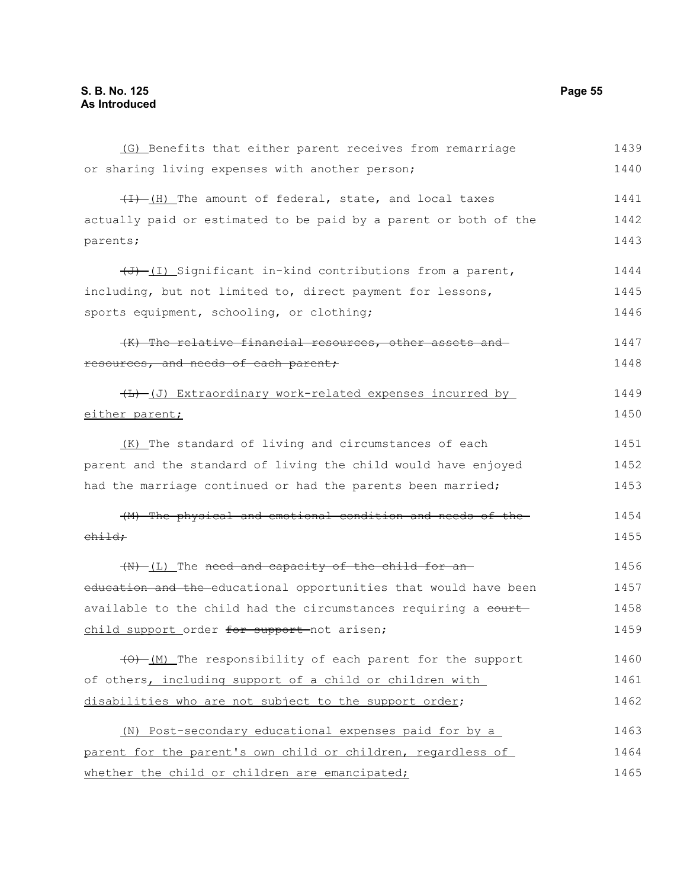(G) Benefits that either parent receives from remarriage or sharing living expenses with another person;  $(H)$  The amount of federal, state, and local taxes actually paid or estimated to be paid by a parent or both of the parents;  $\overline{(J) - (I)}$  Significant in-kind contributions from a parent, including, but not limited to, direct payment for lessons, sports equipment, schooling, or clothing; (K) The relative financial resources, other assets and resources, and needs of each parent;  $(\text{L})$  (J) Extraordinary work-related expenses incurred by either parent; (K) The standard of living and circumstances of each parent and the standard of living the child would have enjoyed had the marriage continued or had the parents been married; (M) The physical and emotional condition and needs of the child;  $(W)$  (L) The need and capacity of the child for aneducation and the educational opportunities that would have been available to the child had the circumstances requiring a court child support order for support not arisen; (O) (M) The responsibility of each parent for the support of others, including support of a child or children with disabilities who are not subject to the support order; (N) Post-secondary educational expenses paid for by a parent for the parent's own child or children, regardless of whether the child or children are emancipated; 1439 1440 1441 1442 1443 1444 1445 1446 1447 1448 1449 1450 1451 1452 1453 1454 1455 1456 1457 1458 1459 1460 1461 1462 1463 1464 1465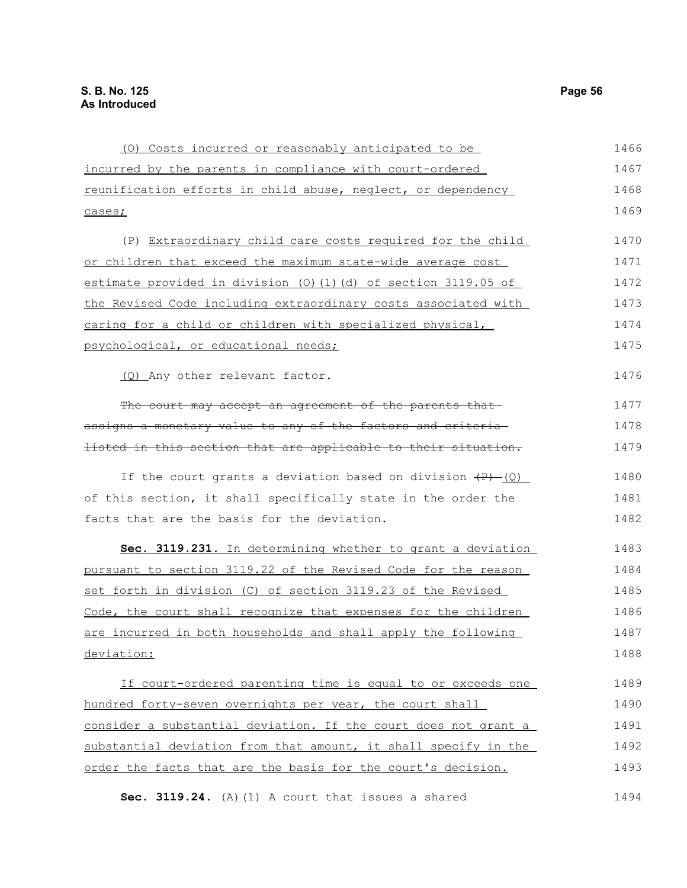| (0) Costs incurred or reasonably anticipated to be              | 1466 |
|-----------------------------------------------------------------|------|
| incurred by the parents in compliance with court-ordered        | 1467 |
| reunification efforts in child abuse, neglect, or dependency    | 1468 |
| cases;                                                          | 1469 |
| (P) Extraordinary child care costs required for the child       | 1470 |
| or children that exceed the maximum state-wide average cost     | 1471 |
| estimate provided in division (0)(1)(d) of section 3119.05 of   | 1472 |
| the Revised Code including extraordinary costs associated with  | 1473 |
| caring for a child or children with specialized physical,       | 1474 |
| psychological, or educational needs;                            | 1475 |
| (Q) Any other relevant factor.                                  | 1476 |
| The court may accept an agreement of the parents that           | 1477 |
| assigns a monetary value to any of the factors and criteria     | 1478 |
| listed in this section that are applicable to their situation.  | 1479 |
| If the court grants a deviation based on division $(P)$ (Q)     | 1480 |
| of this section, it shall specifically state in the order the   | 1481 |
| facts that are the basis for the deviation.                     | 1482 |
| Sec. 3119.231. In determining whether to grant a deviation      | 1483 |
| pursuant to section 3119.22 of the Revised Code for the reason  | 1484 |
| set forth in division (C) of section 3119.23 of the Revised     | 1485 |
| Code, the court shall recognize that expenses for the children  | 1486 |
| are incurred in both households and shall apply the following   | 1487 |
| deviation:                                                      | 1488 |
| If court-ordered parenting time is equal to or exceeds one      | 1489 |
| hundred forty-seven overnights per year, the court shall        | 1490 |
| consider a substantial deviation. If the court does not grant a | 1491 |
| substantial deviation from that amount, it shall specify in the | 1492 |
| order the facts that are the basis for the court's decision.    | 1493 |

**Sec. 3119.24.** (A)(1) A court that issues a shared 1494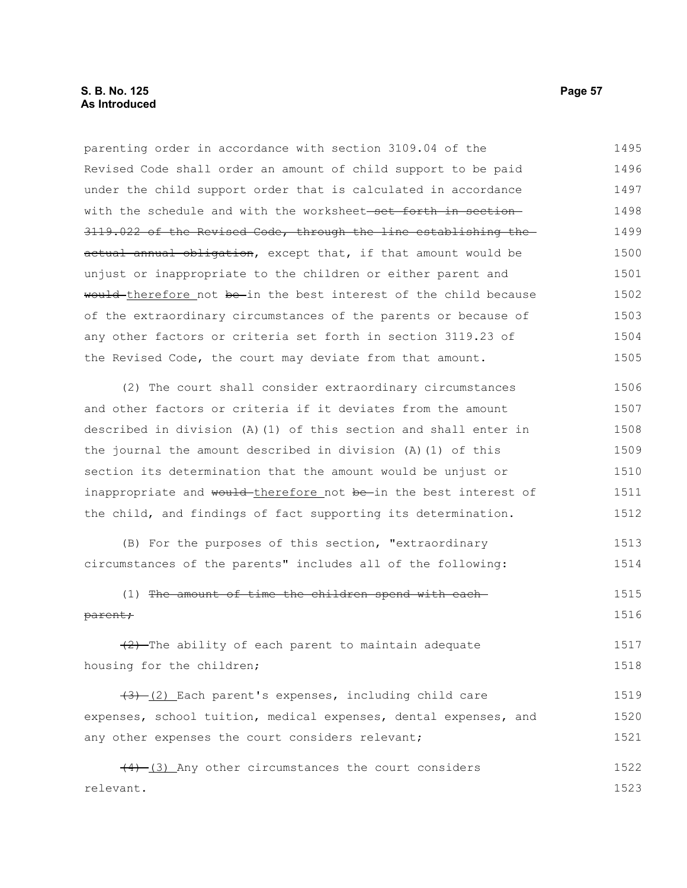# **S. B. No. 125 Page 57 As Introduced**

parenting order in accordance with section 3109.04 of the Revised Code shall order an amount of child support to be paid under the child support order that is calculated in accordance with the schedule and with the worksheet-set forth in section-3119.022 of the Revised Code, through the line establishing the actual annual obligation, except that, if that amount would be unjust or inappropriate to the children or either parent and would therefore not be in the best interest of the child because of the extraordinary circumstances of the parents or because of any other factors or criteria set forth in section 3119.23 of the Revised Code, the court may deviate from that amount. (2) The court shall consider extraordinary circumstances and other factors or criteria if it deviates from the amount 1495 1496 1497 1498 1499 1500 1501 1502 1503 1504 1505 1506 1507

described in division (A)(1) of this section and shall enter in the journal the amount described in division (A)(1) of this section its determination that the amount would be unjust or inappropriate and would-therefore not be in the best interest of the child, and findings of fact supporting its determination. 1508 1509 1510 1511 1512

(B) For the purposes of this section, "extraordinary circumstances of the parents" includes all of the following: 1513 1514

### (1) The amount of time the children spend with each parent; 1515 1516

 $(2)$ -The ability of each parent to maintain adequate housing for the children; 1517 1518

 $(3)$  (2) Each parent's expenses, including child care expenses, school tuition, medical expenses, dental expenses, and any other expenses the court considers relevant; 1519 1520 1521

(4) (3) Any other circumstances the court considers relevant. 1522 1523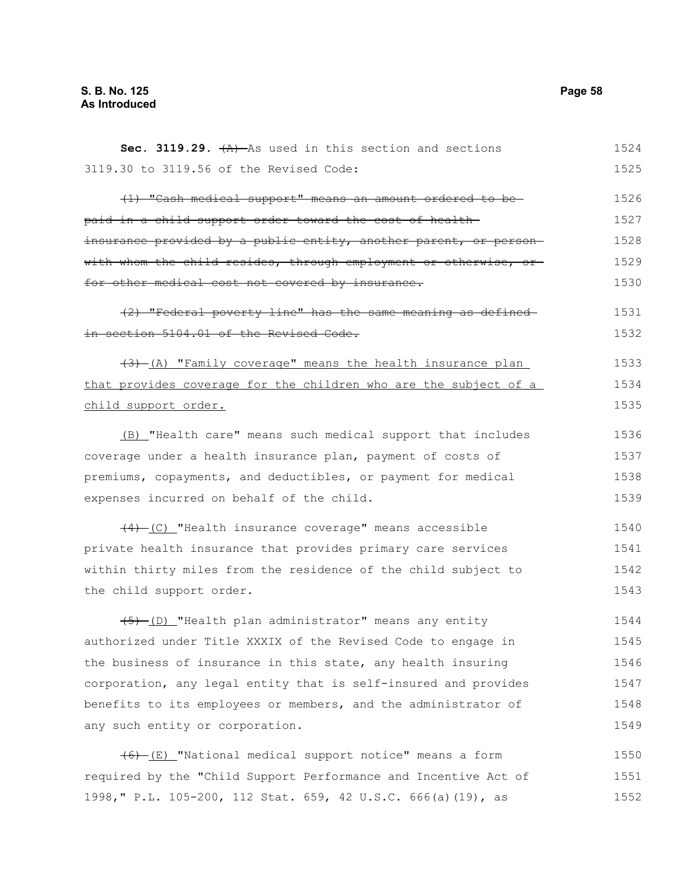**Sec. 3119.29.**  $\{A\}$  As used in this section and sections 3119.30 to 3119.56 of the Revised Code: (1) "Cash medical support" means an amount ordered to be paid in a child support order toward the cost of health insurance provided by a public entity, another parent, or personwith whom the child resides, through employment or otherwise, or for other medical cost not covered by insurance. (2) "Federal poverty line" has the same meaning as defined in section 5104.01 of the Revised Code.  $(3)$  (A) "Family coverage" means the health insurance plan that provides coverage for the children who are the subject of a child support order. (B) "Health care" means such medical support that includes coverage under a health insurance plan, payment of costs of premiums, copayments, and deductibles, or payment for medical expenses incurred on behalf of the child. (4) (C) "Health insurance coverage" means accessible private health insurance that provides primary care services within thirty miles from the residence of the child subject to the child support order. (5) (D) "Health plan administrator" means any entity authorized under Title XXXIX of the Revised Code to engage in the business of insurance in this state, any health insuring corporation, any legal entity that is self-insured and provides benefits to its employees or members, and the administrator of any such entity or corporation. 1524 1525 1526 1527 1528 1529 1530 1531 1532 1533 1534 1535 1536 1537 1538 1539 1540 1541 1542 1543 1544 1545 1546 1547 1548 1549

 $(6)$  (E) "National medical support notice" means a form required by the "Child Support Performance and Incentive Act of 1998," P.L. 105-200, 112 Stat. 659, 42 U.S.C. 666(a)(19), as 1550 1551 1552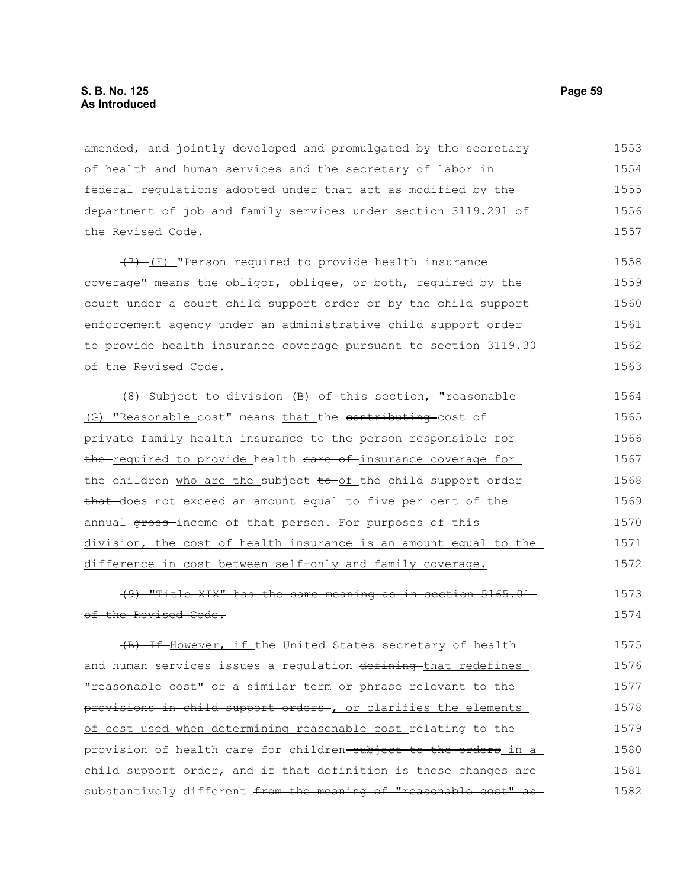amended, and jointly developed and promulgated by the secretary of health and human services and the secretary of labor in federal regulations adopted under that act as modified by the department of job and family services under section 3119.291 of the Revised Code. 1553 1554 1555 1556 1557

 $(7)$  (F) "Person required to provide health insurance coverage" means the obligor, obligee, or both, required by the court under a court child support order or by the child support enforcement agency under an administrative child support order to provide health insurance coverage pursuant to section 3119.30 of the Revised Code. 1558 1559 1560 1561 1562 1563

(8) Subject to division (B) of this section, "reasonable (G) "Reasonable cost" means that the contributing cost of private family health insurance to the person responsible forthe required to provide health eare of insurance coverage for the children who are the subject to of the child support order that does not exceed an amount equal to five per cent of the annual gross-income of that person. For purposes of this division, the cost of health insurance is an amount equal to the difference in cost between self-only and family coverage. 1564 1565 1566 1567 1568 1569 1570 1571 1572

(9) "Title XIX" has the same meaning as in section 5165.01 of the Revised Code. 1573 1574

(B) If However, if the United States secretary of health and human services issues a regulation defining that redefines "reasonable cost" or a similar term or phrase-relevant to theprovisions in child support orders , or clarifies the elements of cost used when determining reasonable cost relating to the provision of health care for children-subject to the orders in a child support order, and if that definition is those changes are substantively different from the meaning of "reasonable cost" as 1575 1576 1577 1578 1579 1580 1581 1582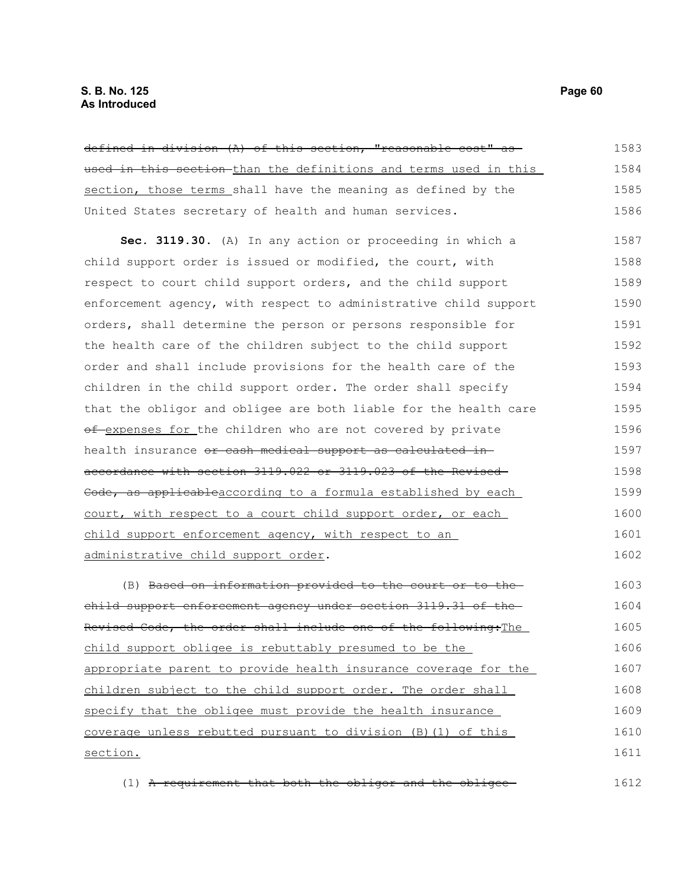defined in division (A) of this section, "reasonable cost" as used in this section-than the definitions and terms used in this section, those terms shall have the meaning as defined by the United States secretary of health and human services. **Sec. 3119.30.** (A) In any action or proceeding in which a child support order is issued or modified, the court, with respect to court child support orders, and the child support enforcement agency, with respect to administrative child support orders, shall determine the person or persons responsible for the health care of the children subject to the child support order and shall include provisions for the health care of the children in the child support order. The order shall specify that the obligor and obligee are both liable for the health care of expenses for the children who are not covered by private health insurance or cash medical support as calculated inaccordance with section 3119.022 or 3119.023 of the Revised Code, as applicableaccording to a formula established by each court, with respect to a court child support order, or each child support enforcement agency, with respect to an administrative child support order. (B) Based on information provided to the court or to the child support enforcement agency under section 3119.31 of the Revised Code, the order shall include one of the following:The 1583 1584 1585 1586 1587 1588 1589 1590 1591 1592 1593 1594 1595 1596 1597 1598 1599 1600 1601 1602 1603 1604 1605

child support obligee is rebuttably presumed to be the appropriate parent to provide health insurance coverage for the children subject to the child support order. The order shall specify that the obligee must provide the health insurance coverage unless rebutted pursuant to division (B)(1) of this section. 1606 1607 1608 1609 1610 1611

(1) A requirement that both the obligor and the obligee 1612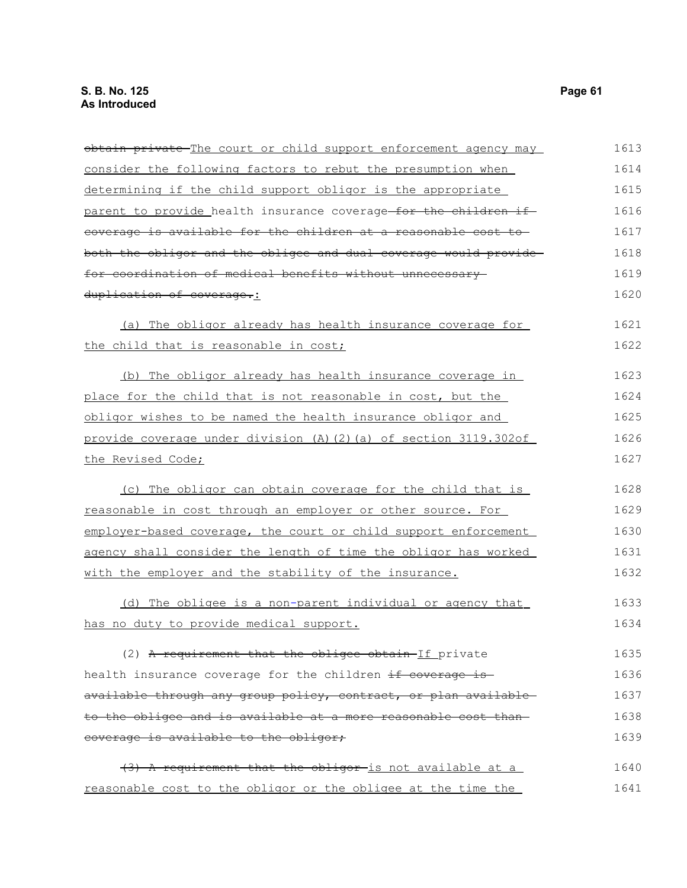| obtain private The court or child support enforcement agency may  | 1613 |
|-------------------------------------------------------------------|------|
| consider the following factors to rebut the presumption when      | 1614 |
| determining if the child support obligor is the appropriate       | 1615 |
| parent to provide health insurance coverage for the children if   | 1616 |
| coverage is available for the children at a reasonable cost to    | 1617 |
| both the obligor and the obligee and dual coverage would provide  | 1618 |
| for coordination of medical benefits without unnecessary          | 1619 |
| duplication of coverage.:                                         | 1620 |
| (a) The obligor already has health insurance coverage for         | 1621 |
| the child that is reasonable in cost;                             | 1622 |
| (b) The obligor already has health insurance coverage in          | 1623 |
| place for the child that is not reasonable in cost, but the       | 1624 |
| obligor wishes to be named the health insurance obligor and       | 1625 |
| provide coverage under division (A) (2) (a) of section 3119.302of | 1626 |
| the Revised Code;                                                 | 1627 |
| (c) The obligor can obtain coverage for the child that is         | 1628 |
| reasonable in cost through an employer or other source. For       | 1629 |
| employer-based coverage, the court or child support enforcement   | 1630 |
| agency shall consider the length of time the obligor has worked   | 1631 |
| with the employer and the stability of the insurance.             | 1632 |
| (d) The obligee is a non-parent individual or agency that         | 1633 |
| has no duty to provide medical support.                           | 1634 |
| (2) A requirement that the obligee obtain-If private              | 1635 |
| health insurance coverage for the children if coverage is         | 1636 |
| available through any group policy, contract, or plan available   | 1637 |
| to the obligee and is available at a more reasonable cost than    | 1638 |
| coverage is available to the obligor;                             | 1639 |
| (3) A requirement that the obligor is not available at a          | 1640 |
| reasonable cost to the obligor or the obligee at the time the     | 1641 |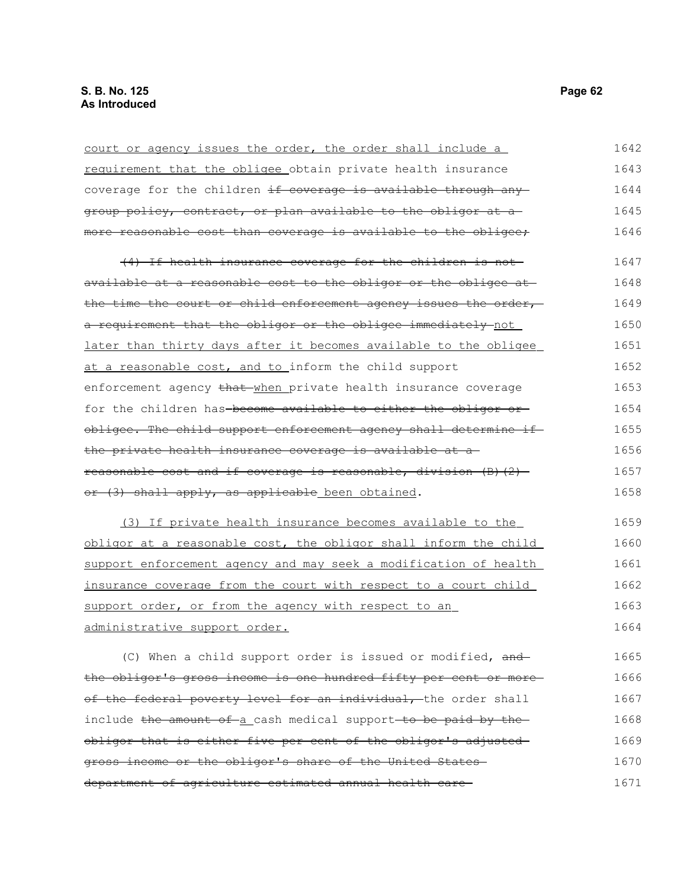| court or agency issues the order, the order shall include a       | 1642 |
|-------------------------------------------------------------------|------|
| requirement that the obligee obtain private health insurance      | 1643 |
| coverage for the children if coverage is available through any    | 1644 |
| group policy, contract, or plan available to the obligor at a     | 1645 |
| more reasonable cost than coverage is available to the obligee;   | 1646 |
| (4) If health insurance coverage for the children is not          | 1647 |
| available at a reasonable cost to the obligor or the obligee at   | 1648 |
| the time the court or child enforcement agency issues the order,  | 1649 |
| a requirement that the obligor or the obligee immediately not     | 1650 |
| later than thirty days after it becomes available to the obligee  | 1651 |
| at a reasonable cost, and to inform the child support             | 1652 |
| enforcement agency that when private health insurance coverage    | 1653 |
| for the children has-become available to either the obligor or-   | 1654 |
| obligee. The child support enforcement agency shall determine if  | 1655 |
| the private health insurance coverage is available at a           | 1656 |
| reasonable cost and if coverage is reasonable, division (B) (2) - | 1657 |
| or (3) shall apply, as applicable been obtained.                  | 1658 |
| (3) If private health insurance becomes available to the          | 1659 |
| obligor at a reasonable cost, the obligor shall inform the child  | 1660 |
| support enforcement agency and may seek a modification of health  | 1661 |
| insurance coverage from the court with respect to a court child   | 1662 |
| support order, or from the agency with respect to an              | 1663 |
| administrative support order.                                     | 1664 |
| (C) When a child support order is issued or modified, and         | 1665 |
| the obligor's gross income is one hundred fifty per cent or more  | 1666 |
| of the federal poverty level for an individual, the order shall   | 1667 |
| include the amount of a cash medical support to be paid by the    | 1668 |
| obligor that is either five per cent of the obligor's adjusted-   | 1669 |
| gross income or the obligor's share of the United States-         | 1670 |
| department of agriculture estimated annual health care-           | 1671 |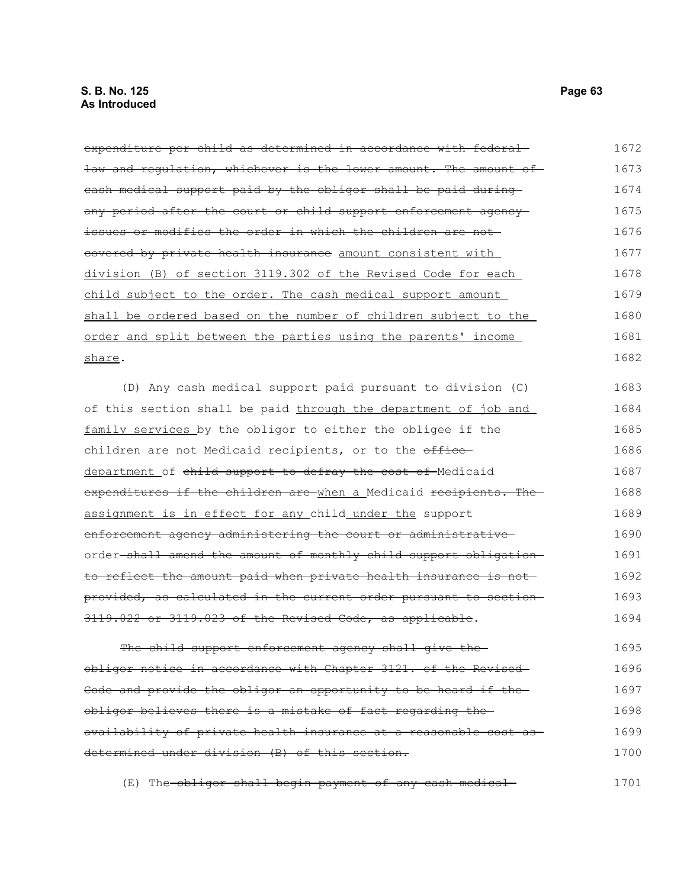expenditure per child as determined in accordance with federal law and regulation, whichever is the lower amount. The amount ofcash medical support paid by the obligor shall be paid during any period after the court or child support enforcement agencyissues or modifies the order in which the children are not covered by private health insurance amount consistent with division (B) of section 3119.302 of the Revised Code for each child subject to the order. The cash medical support amount shall be ordered based on the number of children subject to the order and split between the parties using the parents' income share. (D) Any cash medical support paid pursuant to division (C) of this section shall be paid through the department of job and family services by the obligor to either the obligee if the children are not Medicaid recipients, or to the officedepartment of child support to defray the cost of Medicaid expenditures if the children are when a Medicaid recipients. The assignment is in effect for any child under the support enforcement agency administering the court or administrative order-shall amend the amount of monthly child support obligationto reflect the amount paid when private health insurance is not provided, as calculated in the current order pursuant to section 3119.022 or 3119.023 of the Revised Code, as applicable. The child support enforcement agency shall give theobligor notice in accordance with Chapter 3121. of the Revised Code and provide the obligor an opportunity to be heard if theobligor believes there is a mistake of fact regarding the availability of private health insurance at a reasonable cost as determined under division (B) of this section. 1672 1673 1674 1675 1676 1677 1678 1679 1680 1681 1682 1683 1684 1685 1686 1687 1688 1689 1690 1691 1692 1693 1694 1695 1696 1697 1698 1699 1700

(E) The obligor shall begin payment of any cash medical 1701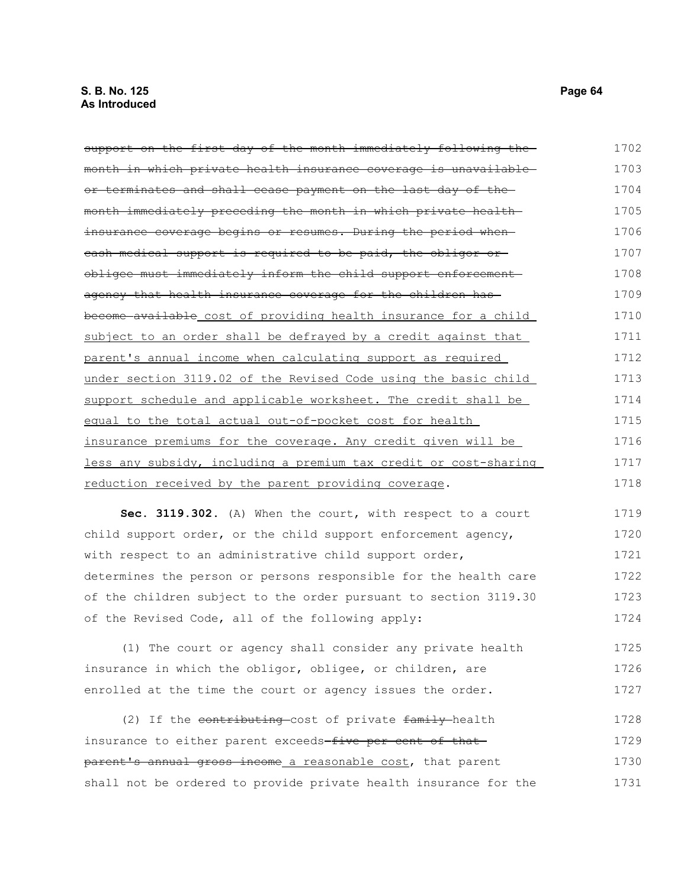| support on the first day of the month immediately following the      | 1702 |
|----------------------------------------------------------------------|------|
| month in which private health insurance coverage is unavailable-     | 1703 |
| or terminates and shall cease payment on the last day of the         | 1704 |
| month immediately preceding the month in which private health-       | 1705 |
| insurance coverage begins or resumes. During the period when-        | 1706 |
| eash medical support is required to be paid, the obligor or          | 1707 |
| obligee must immediately inform the child support enforcement        | 1708 |
| agency that health insurance coverage for the children has           | 1709 |
| become available cost of providing health insurance for a child      | 1710 |
| subject to an order shall be defrayed by a credit against that       | 1711 |
| parent's annual income when calculating support as required          | 1712 |
| under section 3119.02 of the Revised Code using the basic child      | 1713 |
| support schedule and applicable worksheet. The credit shall be       | 1714 |
| equal to the total actual out-of-pocket cost for health              | 1715 |
| <u>insurance premiums for the coverage. Any credit given will be</u> | 1716 |
| less any subsidy, including a premium tax credit or cost-sharing     | 1717 |
| reduction received by the parent providing coverage.                 | 1718 |

**Sec. 3119.302.** (A) When the court, with respect to a court child support order, or the child support enforcement agency, with respect to an administrative child support order, determines the person or persons responsible for the health care of the children subject to the order pursuant to section 3119.30 of the Revised Code, all of the following apply: 1719 1720 1721 1722 1723 1724

(1) The court or agency shall consider any private health insurance in which the obligor, obligee, or children, are enrolled at the time the court or agency issues the order. 1725 1726 1727

(2) If the contributing cost of private family health insurance to either parent exceeds-five per cent of thatparent's annual gross income a reasonable cost, that parent shall not be ordered to provide private health insurance for the 1728 1729 1730 1731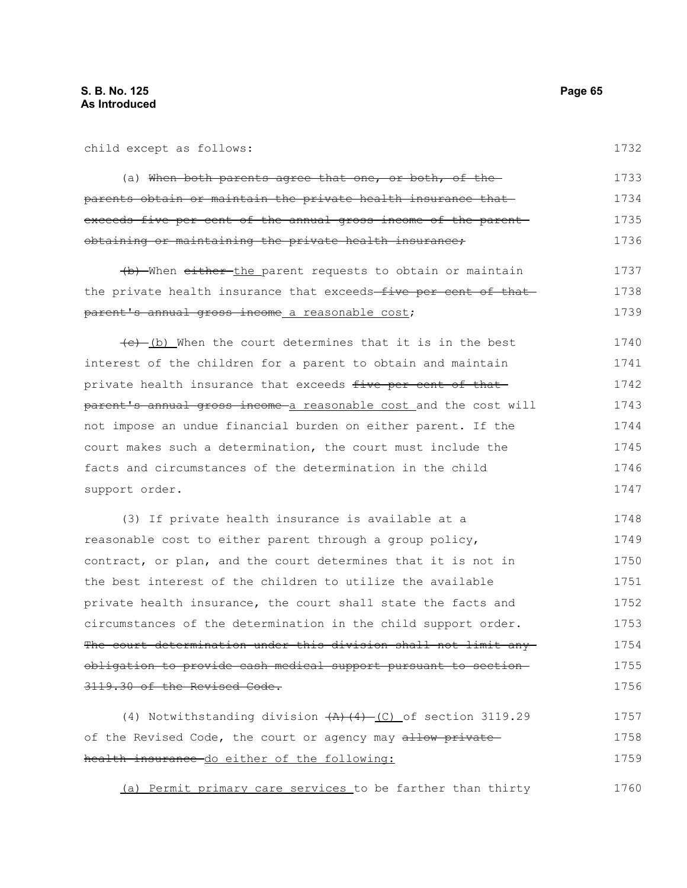| child except as follows:                                                | 1732 |
|-------------------------------------------------------------------------|------|
| (a) When both parents agree that one, or both, of the                   | 1733 |
| parents obtain or maintain the private health insurance that            | 1734 |
| exceeds five per cent of the annual gross income of the parent-         | 1735 |
| <del>obtaining or maintaining the private health insurance;</del>       | 1736 |
| (b) When either the parent requests to obtain or maintain               | 1737 |
| the private health insurance that exceeds-five per cent of that-        | 1738 |
| <del>parent's annual gross income</del> a reasonable cost;              | 1739 |
| $(e)$ (b) When the court determines that it is in the best              | 1740 |
| interest of the children for a parent to obtain and maintain            | 1741 |
| private health insurance that exceeds <del>five per cent of that-</del> | 1742 |
| parent's annual gross income a reasonable cost and the cost will        | 1743 |
| not impose an undue financial burden on either parent. If the           | 1744 |
| court makes such a determination, the court must include the            | 1745 |
| facts and circumstances of the determination in the child               | 1746 |
| support order.                                                          | 1747 |
| (3) If private health insurance is available at a                       | 1748 |
| reasonable cost to either parent through a group policy,                | 1749 |
| contract, or plan, and the court determines that it is not in           | 1750 |
| the best interest of the children to utilize the available              | 1751 |
| private health insurance, the court shall state the facts and           | 1752 |
| circumstances of the determination in the child support order.          | 1753 |
| <u>The court determination under this division shall not limit any-</u> | 1754 |
| obligation to provide cash medical support pursuant to section-         | 1755 |
| 3119.30 of the Revised Code.                                            | 1756 |
| (4) Notwithstanding division $(A)$ $(4)$ $(C)$ of section 3119.29       | 1757 |
| of the Revised Code, the court or agency may allow private              | 1758 |
| health insurance do either of the following:                            | 1759 |
| (a) Permit primary care services to be farther than thirty              | 1760 |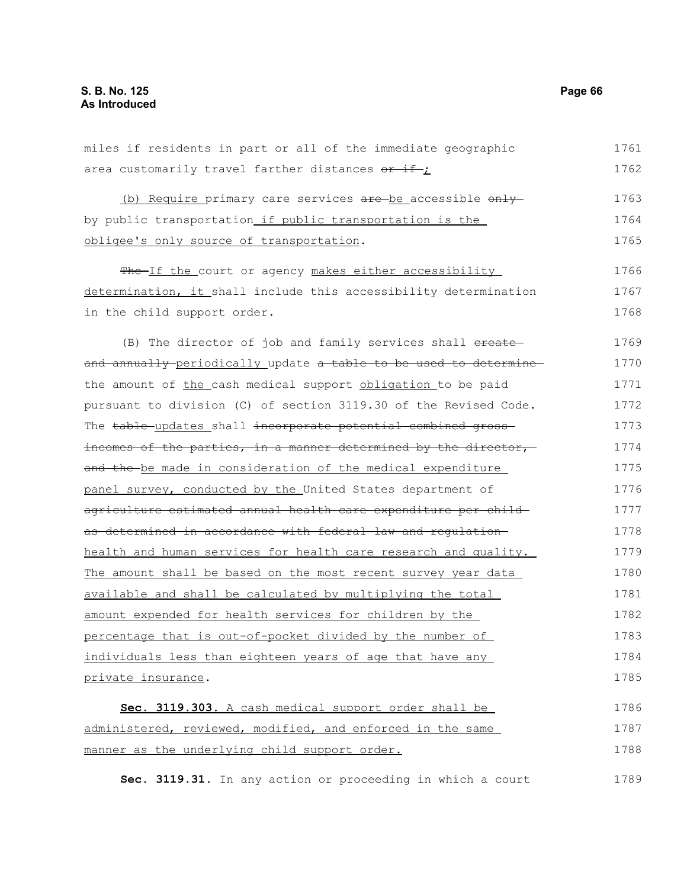miles if residents in part or all of the immediate geographic area customarily travel farther distances  $or$  if ; (b) Require primary care services are be accessible only by public transportation if public transportation is the obligee's only source of transportation. The If the court or agency makes either accessibility determination, it shall include this accessibility determination in the child support order. (B) The director of job and family services shall ereate and annually periodically update a table to be used to determine the amount of the cash medical support obligation to be paid pursuant to division (C) of section 3119.30 of the Revised Code. The table updates shall incorporate potential combined gross incomes of the parties, in a manner determined by the director, and the be made in consideration of the medical expenditure panel survey, conducted by the United States department of agriculture estimated annual health care expenditure per child as determined in accordance with federal law and regulation health and human services for health care research and quality. The amount shall be based on the most recent survey year data available and shall be calculated by multiplying the total amount expended for health services for children by the percentage that is out-of-pocket divided by the number of individuals less than eighteen years of age that have any private insurance. **Sec. 3119.303.** A cash medical support order shall be administered, reviewed, modified, and enforced in the same manner as the underlying child support order. 1761 1762 1763 1764 1765 1766 1767 1768 1769 1770 1771 1772 1773 1774 1775 1776 1777 1778 1779 1780 1781 1782 1783 1784 1785 1786 1787 1788

**Sec. 3119.31.** In any action or proceeding in which a court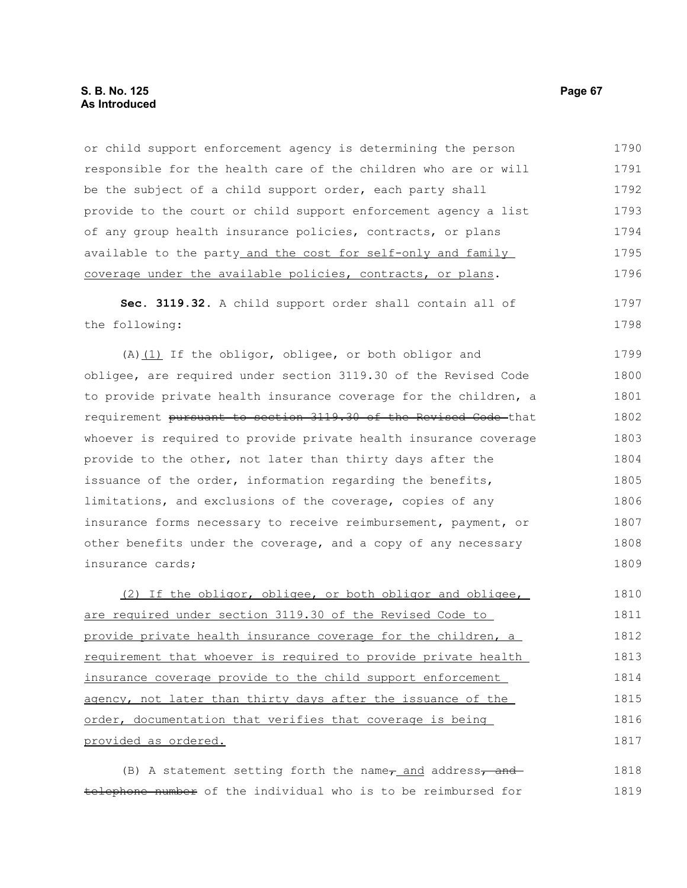# **S. B. No. 125 Page 67 As Introduced**

or child support enforcement agency is determining the person responsible for the health care of the children who are or will be the subject of a child support order, each party shall provide to the court or child support enforcement agency a list of any group health insurance policies, contracts, or plans available to the party\_and the cost for self-only and family coverage under the available policies, contracts, or plans. **Sec. 3119.32.** A child support order shall contain all of the following: (A) $(1)$  If the obligor, obligee, or both obligor and obligee, are required under section 3119.30 of the Revised Code to provide private health insurance coverage for the children, a requirement pursuant to section 3119.30 of the Revised Code that whoever is required to provide private health insurance coverage provide to the other, not later than thirty days after the issuance of the order, information regarding the benefits, limitations, and exclusions of the coverage, copies of any insurance forms necessary to receive reimbursement, payment, or other benefits under the coverage, and a copy of any necessary insurance cards; (2) If the obligor, obligee, or both obligor and obligee, are required under section 3119.30 of the Revised Code to provide private health insurance coverage for the children, a requirement that whoever is required to provide private health insurance coverage provide to the child support enforcement agency, not later than thirty days after the issuance of the order, documentation that verifies that coverage is being provided as ordered. 1790 1791 1792 1793 1794 1795 1796 1797 1798 1799 1800 1801 1802 1803 1804 1805 1806 1807 1808 1809 1810 1811 1812 1813 1814 1815 1816 1817

(B) A statement setting forth the name $\tau$  and address, and telephone number of the individual who is to be reimbursed for 1818 1819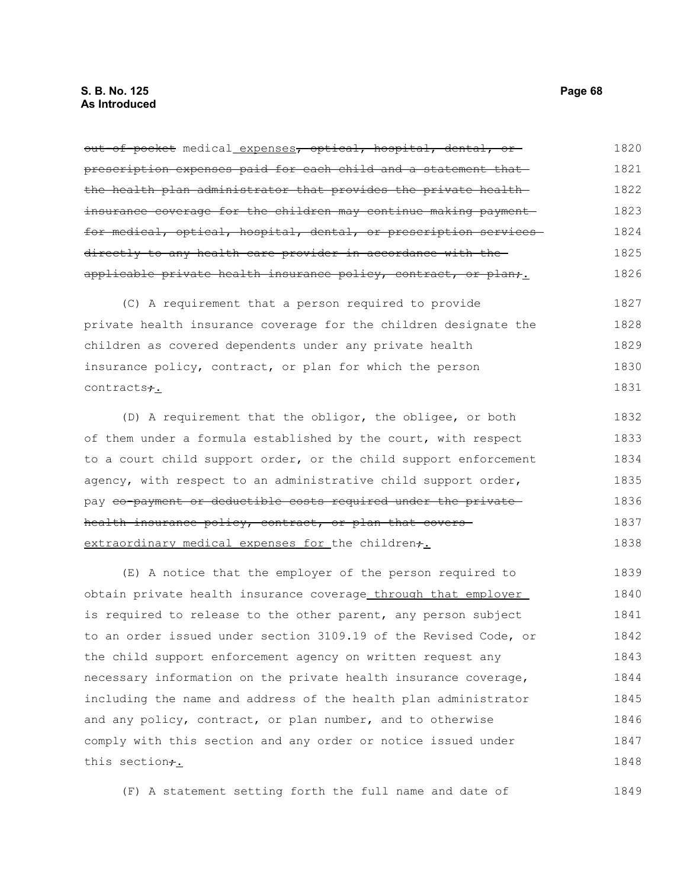out of pocket medical expenses, optical, hospital, dental, or prescription expenses paid for each child and a statement that the health plan administrator that provides the private health insurance coverage for the children may continue making payment for medical, optical, hospital, dental, or prescription services directly to any health care provider in accordance with the applicable private health insurance policy, contract, or plan; (C) A requirement that a person required to provide private health insurance coverage for the children designate the children as covered dependents under any private health insurance policy, contract, or plan for which the person contracts**+**. (D) A requirement that the obligor, the obligee, or both of them under a formula established by the court, with respect to a court child support order, or the child support enforcement 1820 1821 1822 1823 1824 1825 1826 1827 1828 1829 1830 1831 1832 1833 1834

agency, with respect to an administrative child support order, pay <del>co-payment or deductible costs required under the private</del> health insurance policy, contract, or plan that covers extraordinary medical expenses for the children+. 1835 1836 1837 1838

(E) A notice that the employer of the person required to obtain private health insurance coverage through that employer is required to release to the other parent, any person subject to an order issued under section 3109.19 of the Revised Code, or the child support enforcement agency on written request any necessary information on the private health insurance coverage, including the name and address of the health plan administrator and any policy, contract, or plan number, and to otherwise comply with this section and any order or notice issued under this section<del>;</del>. 1839 1840 1841 1842 1843 1844 1845 1846 1847 1848

(F) A statement setting forth the full name and date of 1849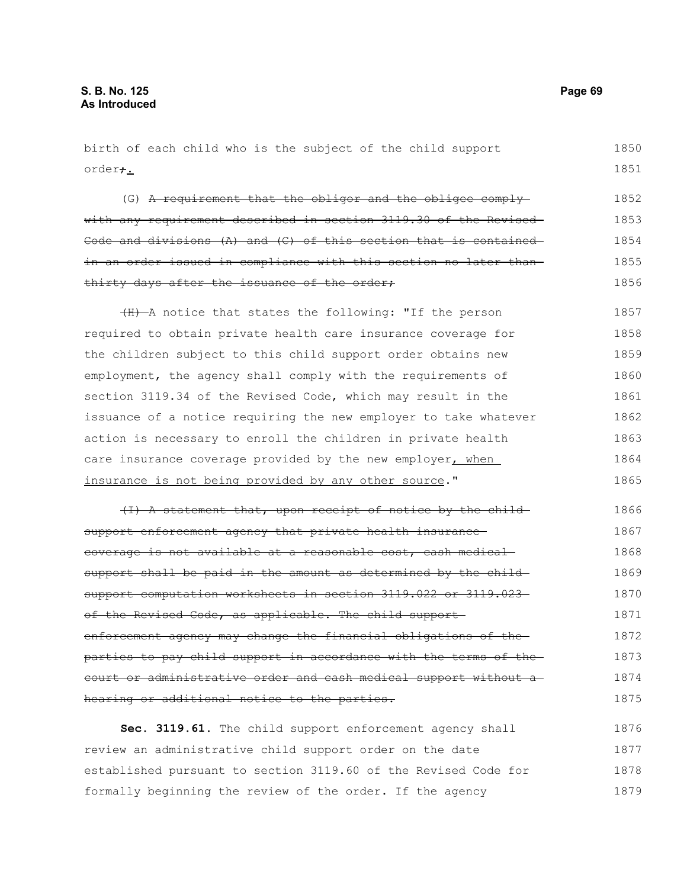birth of each child who is the subject of the child support order<del>;</del>. (G) A requirement that the obligor and the obligee comply with any requirement described in section 3119.30 of the Revised Code and divisions (A) and (C) of this section that is contained in an order issued in compliance with this section no later than thirty days after the issuance of the order; (H) A notice that states the following: "If the person required to obtain private health care insurance coverage for the children subject to this child support order obtains new employment, the agency shall comply with the requirements of section 3119.34 of the Revised Code, which may result in the issuance of a notice requiring the new employer to take whatever action is necessary to enroll the children in private health care insurance coverage provided by the new employer, when insurance is not being provided by any other source." (I) A statement that, upon receipt of notice by the child support enforcement agency that private health insurancecoverage is not available at a reasonable cost, cash medical support shall be paid in the amount as determined by the childsupport computation worksheets in section 3119.022 or 3119.023 of the Revised Code, as applicable. The child supportenforcement agency may change the financial obligations of the parties to pay child support in accordance with the terms of the court or administrative order and cash medical support without a hearing or additional notice to the parties. 1850 1851 1852 1853 1854 1855 1856 1857 1858 1859 1860 1861 1862 1863 1864 1865 1866 1867 1868 1869 1870 1871 1872 1873 1874 1875

**Sec. 3119.61.** The child support enforcement agency shall review an administrative child support order on the date established pursuant to section 3119.60 of the Revised Code for formally beginning the review of the order. If the agency 1876 1877 1878 1879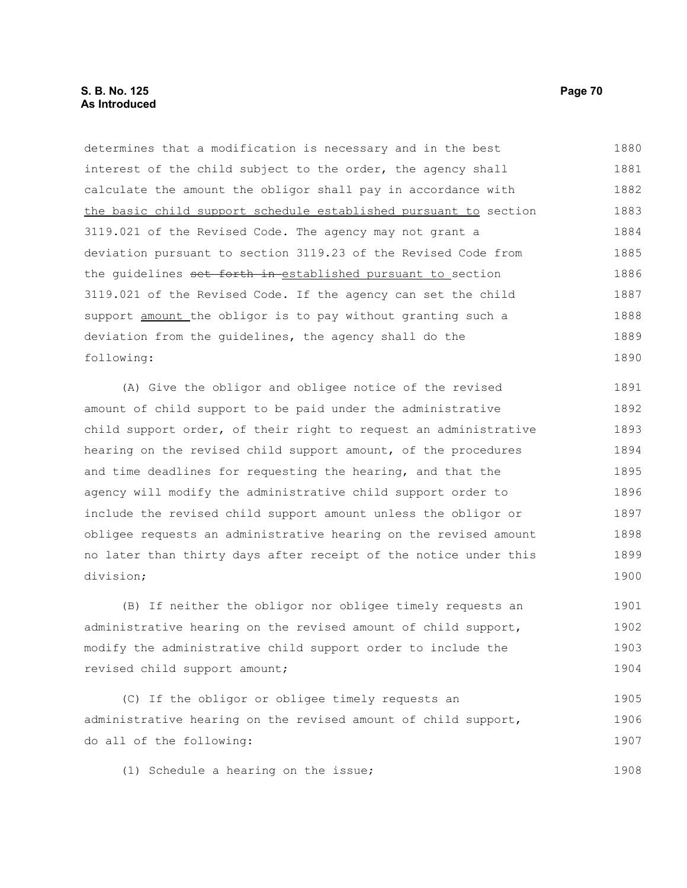determines that a modification is necessary and in the best interest of the child subject to the order, the agency shall calculate the amount the obligor shall pay in accordance with the basic child support schedule established pursuant to section 3119.021 of the Revised Code. The agency may not grant a deviation pursuant to section 3119.23 of the Revised Code from the quidelines set forth in established pursuant to section 3119.021 of the Revised Code. If the agency can set the child support amount the obligor is to pay without granting such a deviation from the guidelines, the agency shall do the following: 1880 1881 1882 1883 1884 1885 1886 1887 1888 1889 1890

(A) Give the obligor and obligee notice of the revised amount of child support to be paid under the administrative child support order, of their right to request an administrative hearing on the revised child support amount, of the procedures and time deadlines for requesting the hearing, and that the agency will modify the administrative child support order to include the revised child support amount unless the obligor or obligee requests an administrative hearing on the revised amount no later than thirty days after receipt of the notice under this division; 1891 1892 1893 1894 1895 1896 1897 1898 1899 1900

(B) If neither the obligor nor obligee timely requests an administrative hearing on the revised amount of child support, modify the administrative child support order to include the revised child support amount; 1901 1902 1903 1904

(C) If the obligor or obligee timely requests an administrative hearing on the revised amount of child support, do all of the following: 1905 1906 1907

(1) Schedule a hearing on the issue;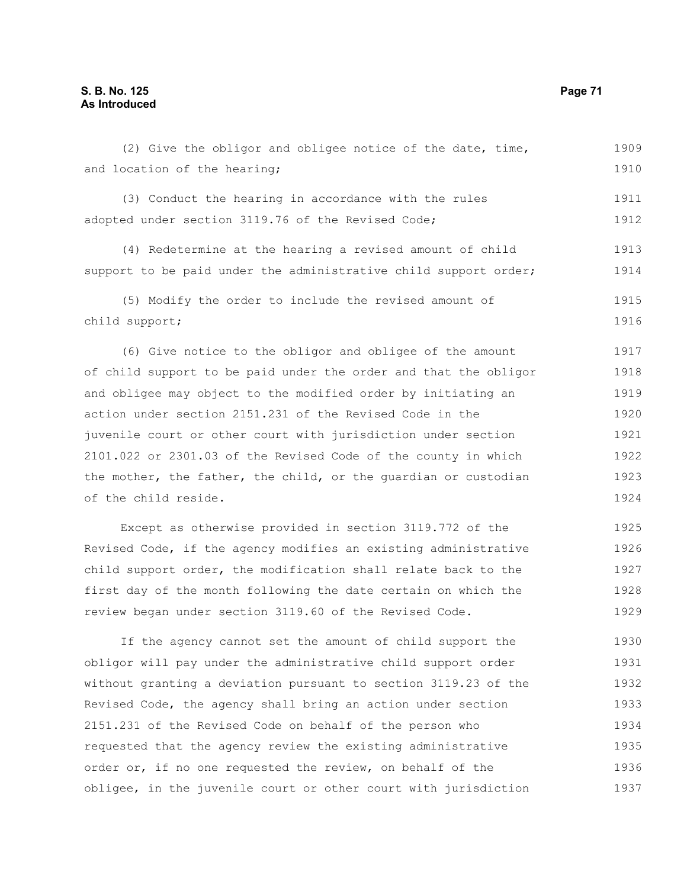and location of the hearing; (3) Conduct the hearing in accordance with the rules adopted under section 3119.76 of the Revised Code; (4) Redetermine at the hearing a revised amount of child support to be paid under the administrative child support order; (5) Modify the order to include the revised amount of child support; (6) Give notice to the obligor and obligee of the amount of child support to be paid under the order and that the obligor and obligee may object to the modified order by initiating an action under section 2151.231 of the Revised Code in the juvenile court or other court with jurisdiction under section 2101.022 or 2301.03 of the Revised Code of the county in which the mother, the father, the child, or the guardian or custodian of the child reside. 1910 1911 1912 1913 1914 1915 1916 1917 1918 1919 1920 1921 1922 1923 1924

Except as otherwise provided in section 3119.772 of the Revised Code, if the agency modifies an existing administrative child support order, the modification shall relate back to the first day of the month following the date certain on which the review began under section 3119.60 of the Revised Code. 1925 1926 1927 1928 1929

If the agency cannot set the amount of child support the obligor will pay under the administrative child support order without granting a deviation pursuant to section 3119.23 of the Revised Code, the agency shall bring an action under section 2151.231 of the Revised Code on behalf of the person who requested that the agency review the existing administrative order or, if no one requested the review, on behalf of the obligee, in the juvenile court or other court with jurisdiction 1930 1931 1932 1933 1934 1935 1936 1937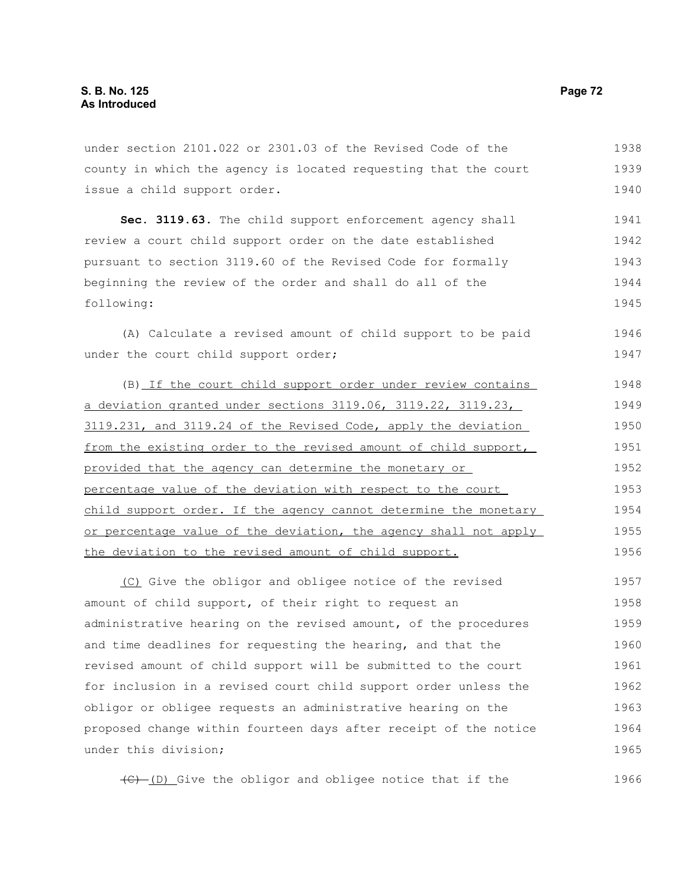under section 2101.022 or 2301.03 of the Revised Code of the county in which the agency is located requesting that the court issue a child support order. 1938 1939 1940

**Sec. 3119.63.** The child support enforcement agency shall review a court child support order on the date established pursuant to section 3119.60 of the Revised Code for formally beginning the review of the order and shall do all of the following: 1941 1942 1943 1944 1945

(A) Calculate a revised amount of child support to be paid under the court child support order; 1946 1947

(B) If the court child support order under review contains a deviation granted under sections  $3119.06$ ,  $3119.22$ ,  $3119.23$ , 3119.231, and 3119.24 of the Revised Code, apply the deviation from the existing order to the revised amount of child support, provided that the agency can determine the monetary or percentage value of the deviation with respect to the court child support order. If the agency cannot determine the monetary or percentage value of the deviation, the agency shall not apply the deviation to the revised amount of child support. 1948 1949 1950 1951 1952 1953 1954 1955 1956

(C) Give the obligor and obligee notice of the revised amount of child support, of their right to request an administrative hearing on the revised amount, of the procedures and time deadlines for requesting the hearing, and that the revised amount of child support will be submitted to the court for inclusion in a revised court child support order unless the obligor or obligee requests an administrative hearing on the proposed change within fourteen days after receipt of the notice under this division; 1957 1958 1959 1960 1961 1962 1963 1964 1965

 $\overline{(C) - (D)}$  Give the obligor and obligee notice that if the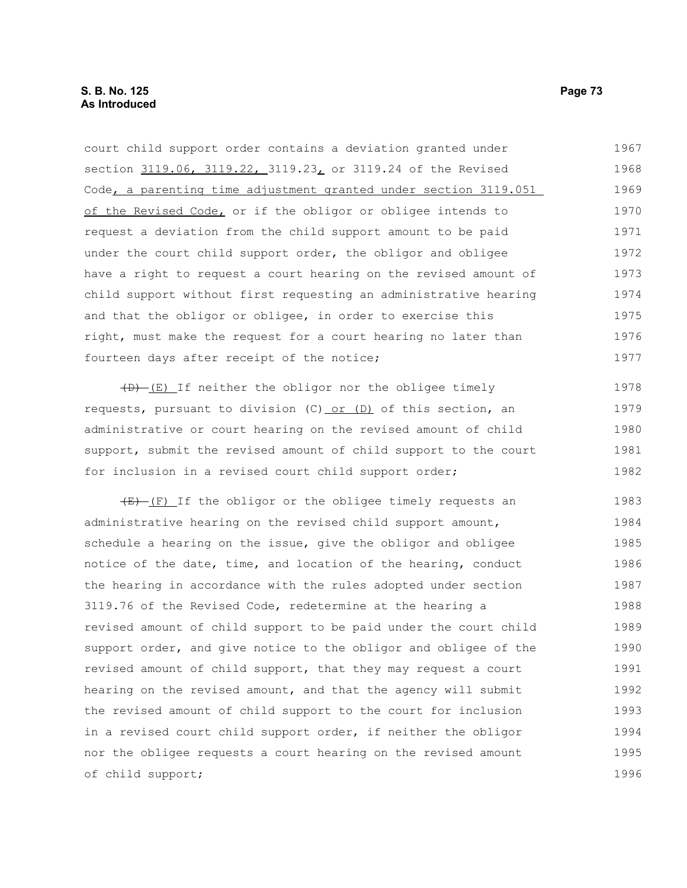court child support order contains a deviation granted under section 3119.06, 3119.22, 3119.23, or 3119.24 of the Revised Code, a parenting time adjustment granted under section 3119.051 of the Revised Code, or if the obligor or obligee intends to request a deviation from the child support amount to be paid under the court child support order, the obligor and obligee have a right to request a court hearing on the revised amount of child support without first requesting an administrative hearing and that the obligor or obligee, in order to exercise this right, must make the request for a court hearing no later than fourteen days after receipt of the notice; 1967 1968 1969 1970 1971 1972 1973 1974 1975 1976 1977

 $(D)$  (E) If neither the obligor nor the obligee timely requests, pursuant to division (C) or (D) of this section, an administrative or court hearing on the revised amount of child support, submit the revised amount of child support to the court for inclusion in a revised court child support order; 1978 1979 1980 1981 1982

 $(E)$  (F) If the obligor or the obligee timely requests an administrative hearing on the revised child support amount, schedule a hearing on the issue, give the obligor and obligee notice of the date, time, and location of the hearing, conduct the hearing in accordance with the rules adopted under section 3119.76 of the Revised Code, redetermine at the hearing a revised amount of child support to be paid under the court child support order, and give notice to the obligor and obligee of the revised amount of child support, that they may request a court hearing on the revised amount, and that the agency will submit the revised amount of child support to the court for inclusion in a revised court child support order, if neither the obligor nor the obligee requests a court hearing on the revised amount of child support; 1983 1984 1985 1986 1987 1988 1989 1990 1991 1992 1993 1994 1995 1996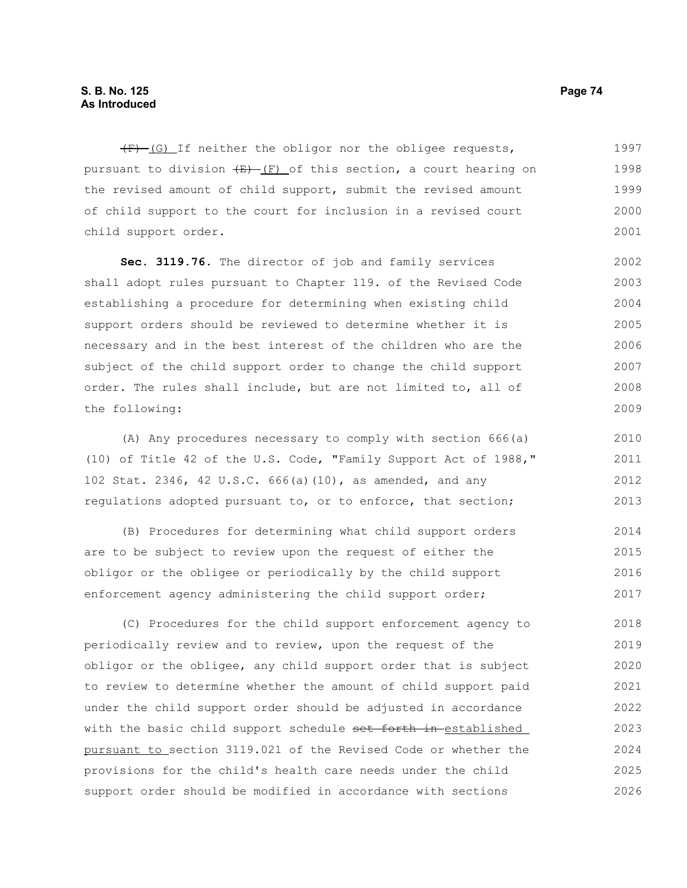$(F)$  (G) If neither the obligor nor the obligee requests, pursuant to division  $(E)$  (F) of this section, a court hearing on the revised amount of child support, submit the revised amount of child support to the court for inclusion in a revised court child support order. 1997 1998 1999 2000 2001

**Sec. 3119.76.** The director of job and family services shall adopt rules pursuant to Chapter 119. of the Revised Code establishing a procedure for determining when existing child support orders should be reviewed to determine whether it is necessary and in the best interest of the children who are the subject of the child support order to change the child support order. The rules shall include, but are not limited to, all of the following: 2002 2003 2004 2005 2006 2007 2008 2009

(A) Any procedures necessary to comply with section 666(a) (10) of Title 42 of the U.S. Code, "Family Support Act of 1988," 102 Stat. 2346, 42 U.S.C. 666(a)(10), as amended, and any regulations adopted pursuant to, or to enforce, that section; 2010 2011 2012 2013

(B) Procedures for determining what child support orders are to be subject to review upon the request of either the obligor or the obligee or periodically by the child support enforcement agency administering the child support order; 2014 2015 2016 2017

(C) Procedures for the child support enforcement agency to periodically review and to review, upon the request of the obligor or the obligee, any child support order that is subject to review to determine whether the amount of child support paid under the child support order should be adjusted in accordance with the basic child support schedule set forth in established pursuant to section 3119.021 of the Revised Code or whether the provisions for the child's health care needs under the child support order should be modified in accordance with sections 2018 2019 2020 2021 2022 2023 2024 2025 2026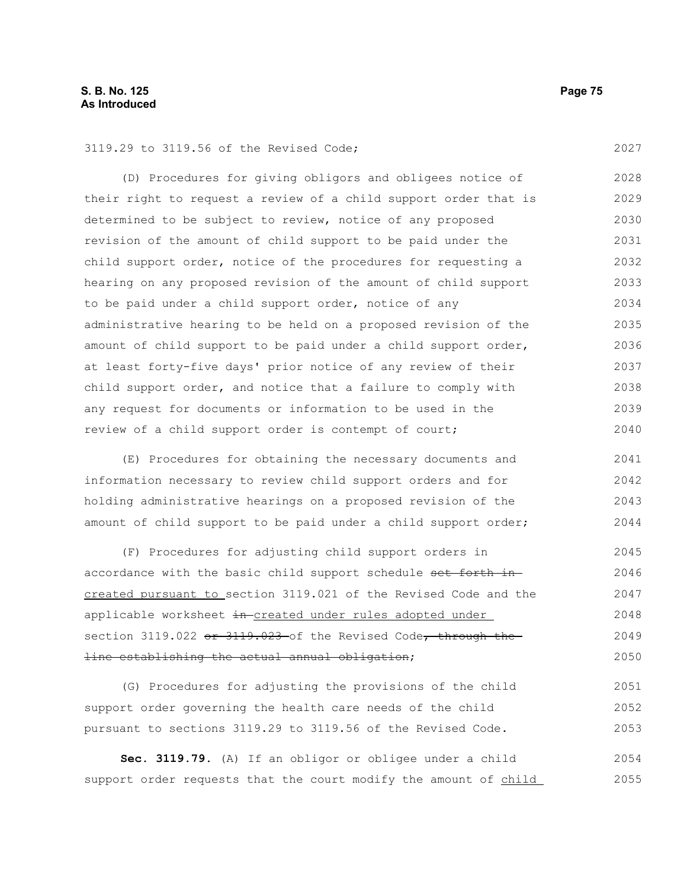3119.29 to 3119.56 of the Revised Code;

(D) Procedures for giving obligors and obligees notice of their right to request a review of a child support order that is determined to be subject to review, notice of any proposed revision of the amount of child support to be paid under the child support order, notice of the procedures for requesting a hearing on any proposed revision of the amount of child support to be paid under a child support order, notice of any administrative hearing to be held on a proposed revision of the amount of child support to be paid under a child support order, at least forty-five days' prior notice of any review of their child support order, and notice that a failure to comply with any request for documents or information to be used in the review of a child support order is contempt of court; 2028 2029 2030 2031 2032 2033 2034 2035 2036 2037 2038 2039 2040

(E) Procedures for obtaining the necessary documents and information necessary to review child support orders and for holding administrative hearings on a proposed revision of the amount of child support to be paid under a child support order; 2041 2042 2043 2044

(F) Procedures for adjusting child support orders in accordance with the basic child support schedule set forth increated pursuant to section 3119.021 of the Revised Code and the applicable worksheet in created under rules adopted under section 3119.022 or 3119.023 of the Revised Code, through the line establishing the actual annual obligation; 2045 2046 2047 2048 2049 2050

(G) Procedures for adjusting the provisions of the child support order governing the health care needs of the child pursuant to sections 3119.29 to 3119.56 of the Revised Code. 2051 2052 2053

**Sec. 3119.79.** (A) If an obligor or obligee under a child support order requests that the court modify the amount of child 2054 2055

2027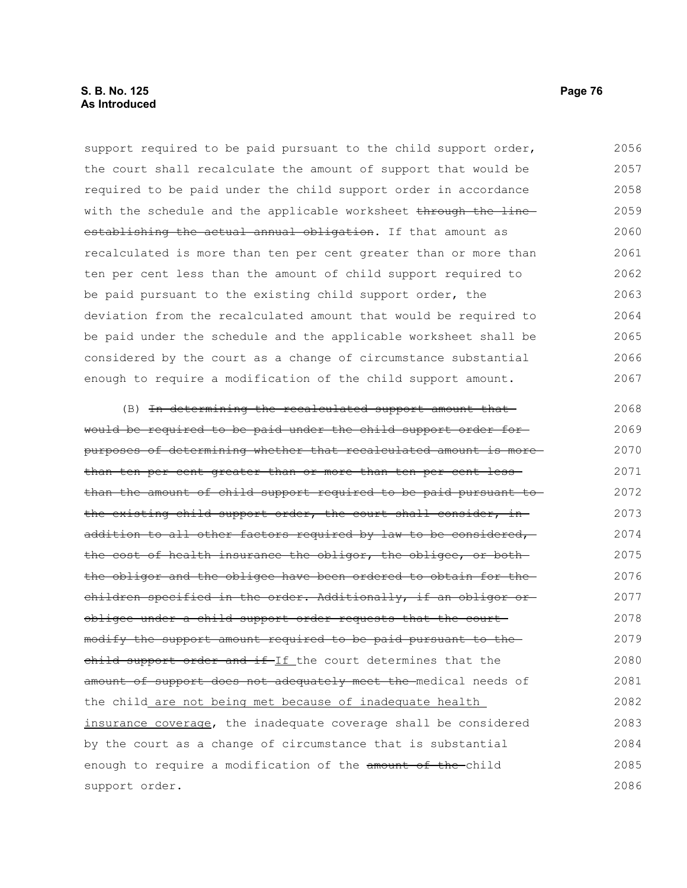## **S. B. No. 125 Page 76 As Introduced**

support required to be paid pursuant to the child support order, the court shall recalculate the amount of support that would be required to be paid under the child support order in accordance with the schedule and the applicable worksheet through the lineestablishing the actual annual obligation. If that amount as recalculated is more than ten per cent greater than or more than ten per cent less than the amount of child support required to be paid pursuant to the existing child support order, the deviation from the recalculated amount that would be required to be paid under the schedule and the applicable worksheet shall be considered by the court as a change of circumstance substantial enough to require a modification of the child support amount. 2056 2057 2058 2059 2060 2061 2062 2063 2064 2065 2066 2067

(B) In determining the recalculated support amount that would be required to be paid under the child support order for purposes of determining whether that recalculated amount is more than ten per cent greater than or more than ten per cent less than the amount of child support required to be paid pursuant to the existing child support order, the court shall consider, in addition to all other factors required by law to be considered, the cost of health insurance the obligor, the obligee, or boththe obligor and the obligee have been ordered to obtain for the children specified in the order. Additionally, if an obligor or obligee under a child support order requests that the court modify the support amount required to be paid pursuant to the child support order and if-If the court determines that the amount of support does not adequately meet the medical needs of the child are not being met because of inadequate health insurance coverage, the inadequate coverage shall be considered by the court as a change of circumstance that is substantial enough to require a modification of the amount of the-child support order. 2068 2069 2070 2071 2072 2073 2074 2075 2076 2077 2078 2079 2080 2081 2082 2083 2084 2085 2086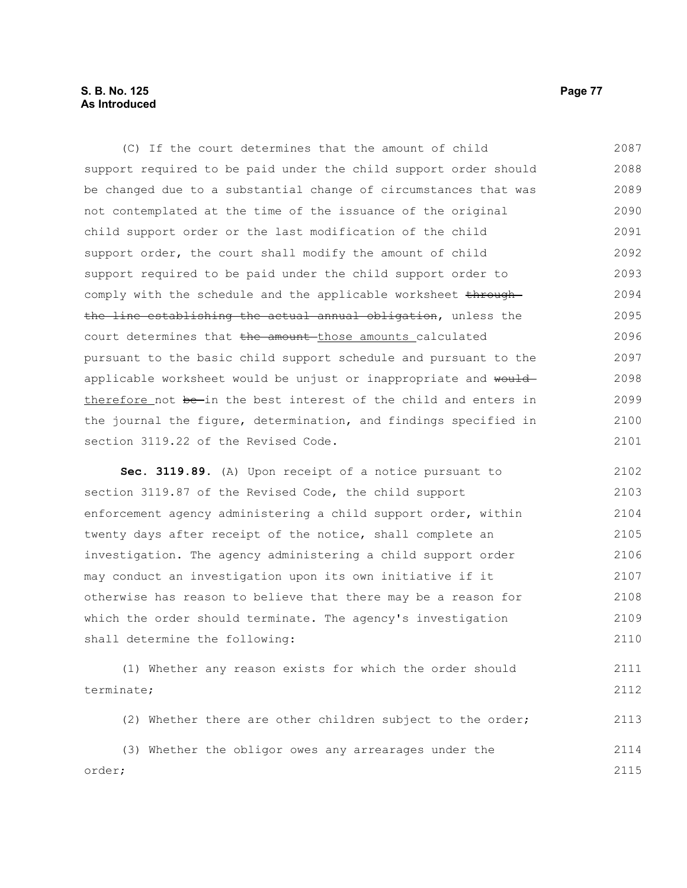## **S. B. No. 125 Page 77 As Introduced**

(C) If the court determines that the amount of child support required to be paid under the child support order should be changed due to a substantial change of circumstances that was not contemplated at the time of the issuance of the original child support order or the last modification of the child support order, the court shall modify the amount of child support required to be paid under the child support order to comply with the schedule and the applicable worksheet throughthe line establishing the actual annual obligation, unless the court determines that the amount those amounts calculated pursuant to the basic child support schedule and pursuant to the applicable worksheet would be unjust or inappropriate and would therefore not be-in the best interest of the child and enters in the journal the figure, determination, and findings specified in section 3119.22 of the Revised Code. 2087 2088 2089 2090 2091 2092 2093 2094 2095 2096 2097 2098 2099 2100 2101

**Sec. 3119.89.** (A) Upon receipt of a notice pursuant to section 3119.87 of the Revised Code, the child support enforcement agency administering a child support order, within twenty days after receipt of the notice, shall complete an investigation. The agency administering a child support order may conduct an investigation upon its own initiative if it otherwise has reason to believe that there may be a reason for which the order should terminate. The agency's investigation shall determine the following: 2102 2103 2104 2105 2106 2107 2108 2109 2110

(1) Whether any reason exists for which the order should terminate; 2111 2112

(2) Whether there are other children subject to the order; 2113

|        |  |  |  | (3) Whether the obligor owes any arrearages under the |  | 2114 |
|--------|--|--|--|-------------------------------------------------------|--|------|
| order; |  |  |  |                                                       |  | 2115 |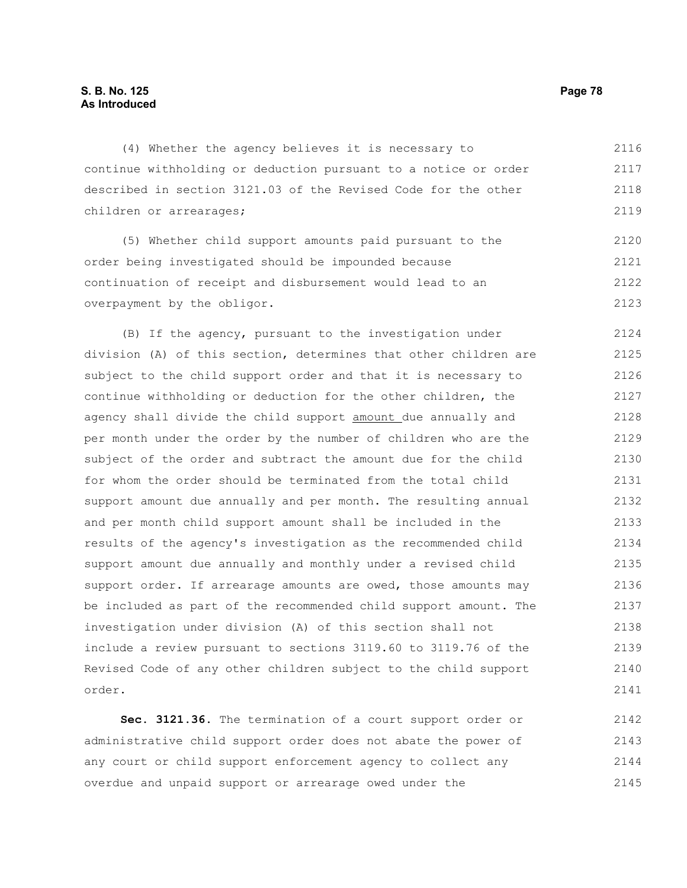## **S. B. No. 125 Page 78 As Introduced**

(4) Whether the agency believes it is necessary to continue withholding or deduction pursuant to a notice or order described in section 3121.03 of the Revised Code for the other children or arrearages; 2116 2117 2118 2119

(5) Whether child support amounts paid pursuant to the order being investigated should be impounded because continuation of receipt and disbursement would lead to an overpayment by the obligor. 2120 2121 2122 2123

(B) If the agency, pursuant to the investigation under division (A) of this section, determines that other children are subject to the child support order and that it is necessary to continue withholding or deduction for the other children, the agency shall divide the child support amount due annually and per month under the order by the number of children who are the subject of the order and subtract the amount due for the child for whom the order should be terminated from the total child support amount due annually and per month. The resulting annual and per month child support amount shall be included in the results of the agency's investigation as the recommended child support amount due annually and monthly under a revised child support order. If arrearage amounts are owed, those amounts may be included as part of the recommended child support amount. The investigation under division (A) of this section shall not include a review pursuant to sections 3119.60 to 3119.76 of the Revised Code of any other children subject to the child support order. 2124 2125 2126 2127 2128 2129 2130 2131 2132 2133 2134 2135 2136 2137 2138 2139 2140 2141

**Sec. 3121.36.** The termination of a court support order or administrative child support order does not abate the power of any court or child support enforcement agency to collect any overdue and unpaid support or arrearage owed under the 2142 2143 2144 2145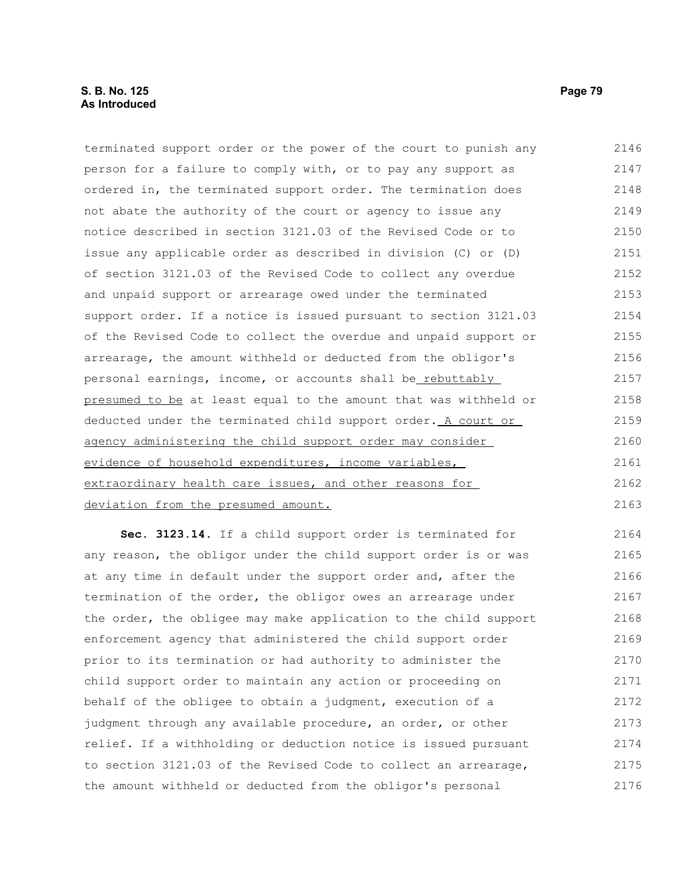## **S. B. No. 125 Page 79 As Introduced**

terminated support order or the power of the court to punish any person for a failure to comply with, or to pay any support as ordered in, the terminated support order. The termination does not abate the authority of the court or agency to issue any notice described in section 3121.03 of the Revised Code or to issue any applicable order as described in division (C) or (D) of section 3121.03 of the Revised Code to collect any overdue and unpaid support or arrearage owed under the terminated support order. If a notice is issued pursuant to section 3121.03 of the Revised Code to collect the overdue and unpaid support or arrearage, the amount withheld or deducted from the obligor's personal earnings, income, or accounts shall be rebuttably presumed to be at least equal to the amount that was withheld or deducted under the terminated child support order. A court or agency administering the child support order may consider evidence of household expenditures, income variables, extraordinary health care issues, and other reasons for deviation from the presumed amount. 2146 2147 2148 2149 2150 2151 2152 2153 2154 2155 2156 2157 2158 2159 2160 2161 2162 2163

**Sec. 3123.14.** If a child support order is terminated for any reason, the obligor under the child support order is or was at any time in default under the support order and, after the termination of the order, the obligor owes an arrearage under the order, the obligee may make application to the child support enforcement agency that administered the child support order prior to its termination or had authority to administer the child support order to maintain any action or proceeding on behalf of the obligee to obtain a judgment, execution of a judgment through any available procedure, an order, or other relief. If a withholding or deduction notice is issued pursuant to section 3121.03 of the Revised Code to collect an arrearage, the amount withheld or deducted from the obligor's personal 2164 2165 2166 2167 2168 2169 2170 2171 2172 2173 2174 2175 2176